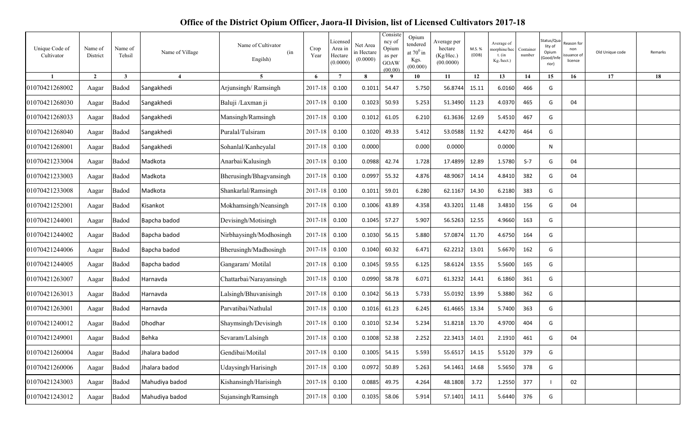## **Office of the District Opium Officer, Jaora-II Division, list of Licensed Cultivators 2017-18**

| Unique Code of<br>Cultivator | Name of<br>District | Name of<br>Tehsil | Name of Village        | Name of Cultivator<br>(in<br>Engilsh) | Crop<br>Year | Licensed<br>Area in<br>Hectare<br>(0.0000) | Net Area<br>in Hectare<br>(0.0000) | Consiste<br>ncy of<br>Opium<br>as per<br>GOAW<br>(00.00) | Opium<br>tendered<br>at $70^0$ in<br>Kgs.<br>(00.000) | Average per<br>hectare<br>(Kg/Hec.)<br>(00.0000) | M.S. %<br>(ODB) | Average of<br>morphine/hec<br>$t.$ (in<br>Kg./hect.) | Container<br>number | Status/Qua<br>lity of<br>Opium<br>Good/Infe<br>rior) | ≷eason for<br>non<br>ssuance of<br>licence | Old Unique code | Remarks |
|------------------------------|---------------------|-------------------|------------------------|---------------------------------------|--------------|--------------------------------------------|------------------------------------|----------------------------------------------------------|-------------------------------------------------------|--------------------------------------------------|-----------------|------------------------------------------------------|---------------------|------------------------------------------------------|--------------------------------------------|-----------------|---------|
|                              | $\overline{2}$      | 3                 | $\boldsymbol{\Lambda}$ | $\overline{5}$                        | -6           | $\overline{7}$                             | 8                                  | - 9                                                      | 10                                                    | 11                                               | 12              | 13                                                   | 14                  | 15                                                   | 16                                         | 17              | 18      |
| 01070421268002               | Aagar               | Badod             | Sangakhedi             | Arjunsingh/Ramsingh                   | 2017-18      | 0.100                                      | 0.1011                             | 54.47                                                    | 5.750                                                 | 56.8744                                          | 15.11           | 6.0160                                               | 466                 | G                                                    |                                            |                 |         |
| 01070421268030               | Aagar               | Badod             | Sangakhedi             | Baluji /Laxman ji                     | 2017-18      | 0.100                                      | 0.1023                             | 50.93                                                    | 5.253                                                 | 51.3490                                          | 11.23           | 4.0370                                               | 465                 | G                                                    | 04                                         |                 |         |
| 01070421268033               | Aagar               | Badod             | Sangakhedi             | Mansingh/Ramsingh                     | 2017-18      | 0.100                                      | 0.1012                             | 61.05                                                    | 6.210                                                 | 61.3636                                          | 12.69           | 5.4510                                               | 467                 | G                                                    |                                            |                 |         |
| 01070421268040               | Aagar               | Badod             | Sangakhedi             | Puralal/Tulsiram                      | 2017-18      | 0.100                                      | 0.1020                             | 49.33                                                    | 5.412                                                 | 53.0588                                          | 11.92           | 4.4270                                               | 464                 | G                                                    |                                            |                 |         |
| 01070421268001               | Aagar               | Badod             | Sangakhedi             | Sohanlal/Kanheyalal                   | 2017-18      | 0.100                                      | 0.0000                             |                                                          | 0.000                                                 | 0.0000                                           |                 | 0.0000                                               |                     | N                                                    |                                            |                 |         |
| 01070421233004               | Aagar               | Badod             | Madkota                | Anarbai/Kalusingh                     | 2017-18      | 0.100                                      | 0.0988                             | 42.74                                                    | 1.728                                                 | 17.4899                                          | 12.89           | 1.5780                                               | $S-7$               | G                                                    | 04                                         |                 |         |
| 01070421233003               | Aagar               | Badod             | Madkota                | Bherusingh/Bhagvansingh               | 2017-18      | 0.100                                      | 0.0997                             | 55.32                                                    | 4.876                                                 | 48.9067                                          | 14.14           | 4.8410                                               | 382                 | G                                                    | 04                                         |                 |         |
| 01070421233008               | Aagar               | Badod             | Madkota                | Shankarlal/Ramsingh                   | 2017-18      | 0.100                                      | 0.1011                             | 59.01                                                    | 6.280                                                 | 62.1167                                          | 14.30           | 6.2180                                               | 383                 | G                                                    |                                            |                 |         |
| 01070421252001               | Aagar               | Badod             | Kisankot               | Mokhamsingh/Neansingh                 | 2017-18      | 0.100                                      | 0.1006                             | 43.89                                                    | 4.358                                                 | 43.3201 11.48                                    |                 | 3.4810                                               | 156                 | G                                                    | 04                                         |                 |         |
| 01070421244001               | Aagar               | Badod             | Bapcha badod           | Devisingh/Motisingh                   | 2017-18      | 0.100                                      | 0.1045                             | 57.27                                                    | 5.907                                                 | 56.5263                                          | 12.55           | 4.9660                                               | 163                 | G                                                    |                                            |                 |         |
| 01070421244002               | Aagar               | Badod             | Bapcha badod           | Nirbhaysingh/Modhosingh               | 2017-18      | 0.100                                      | 0.1030                             | 56.15                                                    | 5.880                                                 | 57.0874 11.70                                    |                 | 4.6750                                               | 164                 | G                                                    |                                            |                 |         |
| 01070421244006               | Aagar               | Badod             | Bapcha badod           | Bherusingh/Madhosingh                 | 2017-18      | 0.100                                      | 0.1040                             | 60.32                                                    | 6.471                                                 | 62.2212                                          | 13.01           | 5.6670                                               | 162                 | G                                                    |                                            |                 |         |
| 01070421244005               | Aagar               | Badod             | Bapcha badod           | Gangaram/Motilal                      | 2017-18      | 0.100                                      | 0.1045                             | 59.55                                                    | 6.125                                                 | 58.6124                                          | 13.55           | 5.5600                                               | 165                 | G                                                    |                                            |                 |         |
| 01070421263007               | Aagar               | Badod             | Harnavda               | Chattarbai/Narayansingh               | 2017-18      | 0.100                                      | 0.0990                             | 58.78                                                    | 6.071                                                 | 61.3232                                          | 14.41           | 6.1860                                               | 361                 | G                                                    |                                            |                 |         |
| 01070421263013               | Aagar               | Badod             | Harnavda               | Lalsingh/Bhuvanisingh                 | 2017-18      | 0.100                                      | 0.1042                             | 56.13                                                    | 5.733                                                 | 55.0192                                          | 13.99           | 5.3880                                               | 362                 | G                                                    |                                            |                 |         |
| 01070421263001               | Aagar               | Badod             | Harnavda               | Parvatibai/Nathulal                   | 2017-18      | 0.100                                      | 0.1016                             | 61.23                                                    | 6.245                                                 | 61.4665 13.34                                    |                 | 5.7400                                               | 363                 | G                                                    |                                            |                 |         |
| 01070421240012               | Aagar               | Badod             | Dhodhar                | Shaymsingh/Devisingh                  | 2017-18      | 0.100                                      | 0.1010                             | 52.34                                                    | 5.234                                                 | 51.8218                                          | 13.70           | 4.9700                                               | 404                 | G                                                    |                                            |                 |         |
| 01070421249001               | Aagar               | Badod             | <b>Behka</b>           | Sevaram/Lalsingh                      | 2017-18      | 0.100                                      | 0.1008                             | 52.38                                                    | 2.252                                                 | 22.3413 14.01                                    |                 | 2.1910                                               | 461                 | G                                                    | 04                                         |                 |         |
| 01070421260004               | Aagar               | Badod             | Jhalara badod          | Gendibai/Motilal                      | 2017-18      | 0.100                                      | 0.1005                             | 54.15                                                    | 5.593                                                 | 55.6517                                          | 14.15           | 5.5120                                               | 379                 | G                                                    |                                            |                 |         |
| 01070421260006               | Aagar               | Badod             | Jhalara badod          | Udaysingh/Harisingh                   | 2017-18      | 0.100                                      | 0.0972                             | 50.89                                                    | 5.263                                                 | 54.1461 14.68                                    |                 | 5.5650                                               | 378                 | G                                                    |                                            |                 |         |
| 01070421243003               | Aagar               | Badod             | Mahudiya badod         | Kishansingh/Harisingh                 | 2017-18      | 0.100                                      | 0.0885                             | 49.75                                                    | 4.264                                                 | 48.1808                                          | 3.72            | 1.2550                                               | 377                 |                                                      | 02                                         |                 |         |
| 01070421243012               | Aagar               | Badod             | Mahudiya badod         | Sujansingh/Ramsingh                   | 2017-18      | 0.100                                      | 0.1035                             | 58.06                                                    | 5.914                                                 | 57.1401 14.11                                    |                 | 5.6440                                               | 376                 | G                                                    |                                            |                 |         |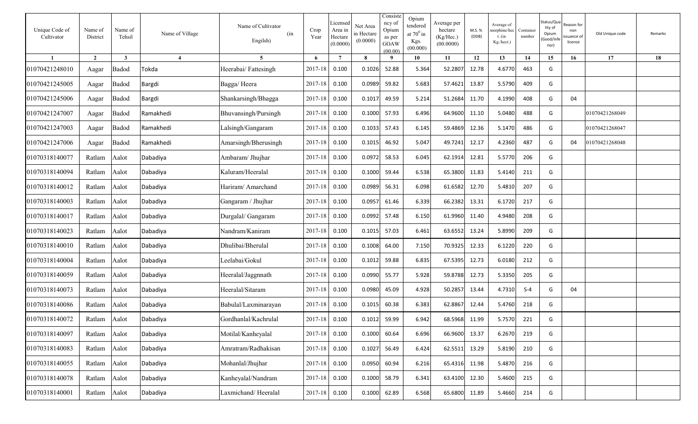| Unique Code of<br>Cultivator | Name of<br>District | Name of<br>Tehsil | Name of Village       | Name of Cultivator<br>(in<br>Engilsh) | Crop<br>Year | Licensed<br>Area in<br>Hectare<br>(0.0000) | Net Area<br>n Hectare<br>(0.0000) | Consiste<br>ncy of<br>Opium<br>as per<br>GOAW<br>(00.00) | Opium<br>tendered<br>at $70^0$ in<br>Kgs.<br>(00.000) | Average per<br>hectare<br>(Kg/Hec.)<br>(00.0000) | M.S. %<br>(ODB) | Average of<br>norphine/hec<br>t. $(in$<br>Kg./hect.) | Container<br>number | Status/Qua<br>lity of<br>Opium<br>Good/Inf<br>rior) | ≀eason for<br>non<br>ssuance o<br>licence | Old Unique code | Remarks |
|------------------------------|---------------------|-------------------|-----------------------|---------------------------------------|--------------|--------------------------------------------|-----------------------------------|----------------------------------------------------------|-------------------------------------------------------|--------------------------------------------------|-----------------|------------------------------------------------------|---------------------|-----------------------------------------------------|-------------------------------------------|-----------------|---------|
|                              | $\overline{2}$      | $\mathbf{3}$      | $\boldsymbol{\Delta}$ | $5^{\circ}$                           | 6            | $7\phantom{.0}$                            | 8                                 | $\mathbf q$                                              | 10                                                    | 11                                               | 12              | 13                                                   | 14                  | 15                                                  | 16                                        | 17              | 18      |
| 01070421248010               | Aagar               | Badod             | Tokda                 | Heerabai/Fattesingh                   | 2017-18      | 0.100                                      | 0.1026                            | 52.88                                                    | 5.364                                                 | 52.2807                                          | 12.78           | 4.6770                                               | 463                 | G                                                   |                                           |                 |         |
| 01070421245005               | Aagar               | Badod             | Bargdi                | Bagga/Heera                           | 2017-18      | 0.100                                      | 0.0989                            | 59.82                                                    | 5.683                                                 | 57.4621                                          | 13.87           | 5.5790                                               | 409                 | G                                                   |                                           |                 |         |
| 01070421245006               | Aagar               | Badod             | Bargdi                | Shankarsingh/Bhagga                   | 2017-18      | 0.100                                      | 0.1017                            | 49.59                                                    | 5.214                                                 | 51.2684                                          | 11.70           | 4.1990                                               | 408                 | G                                                   | 04                                        |                 |         |
| 01070421247007               | Aagar               | Badod             | Ramakhedi             | Bhuvansingh/Pursingh                  | 2017-18      | 0.100                                      | 0.1000                            | 57.93                                                    | 6.496                                                 | 64.9600                                          | 11.10           | 5.0480                                               | 488                 | G                                                   |                                           | 01070421268049  |         |
| 01070421247003               | Aagar               | Badod             | Ramakhedi             | Lalsingh/Gangaram                     | 2017-18      | 0.100                                      | 0.1033                            | 57.43                                                    | 6.145                                                 | 59.4869                                          | 12.36           | 5.1470                                               | 486                 | G                                                   |                                           | 01070421268047  |         |
| 01070421247006               | Aagar               | Badod             | Ramakhedi             | Amarsingh/Bherusingh                  | 2017-18      | 0.100                                      | 0.1015                            | 46.92                                                    | 5.047                                                 | 49.7241                                          | 12.17           | 4.2360                                               | 487                 | G                                                   | 04                                        | 01070421268048  |         |
| 01070318140077               | Ratlam              | Aalot             | Dabadiya              | Ambaram/ Jhujhar                      | 2017-18      | 0.100                                      | 0.0972                            | 58.53                                                    | 6.045                                                 | 62.1914                                          | 12.81           | 5.5770                                               | 206                 | G                                                   |                                           |                 |         |
| 01070318140094               | Ratlam              | Aalot             | Dabadiya              | Kaluram/Heeralal                      | 2017-18      | 0.100                                      | 0.1000                            | 59.44                                                    | 6.538                                                 | 65.3800                                          | 11.83           | 5.4140                                               | 211                 | G                                                   |                                           |                 |         |
| 01070318140012               | Ratlam              | Aalot             | Dabadiya              | Hariram/ Amarchand                    | 2017-18      | 0.100                                      | 0.0989                            | 56.31                                                    | 6.098                                                 | 61.6582                                          | 12.70           | 5.4810                                               | 207                 | G                                                   |                                           |                 |         |
| 01070318140003               | Ratlam              | Aalot             | Dabadiya              | Gangaram / Jhujhar                    | 2017-18      | 0.100                                      | 0.0957                            | 61.46                                                    | 6.339                                                 | 66.2382                                          | 13.31           | 6.1720                                               | 217                 | G                                                   |                                           |                 |         |
| 01070318140017               | Ratlam              | Aalot             | Dabadiya              | Durgalal/ Gangaram                    | 2017-18      | 0.100                                      | 0.0992                            | 57.48                                                    | 6.150                                                 | 61.9960                                          | 11.40           | 4.9480                                               | 208                 | G                                                   |                                           |                 |         |
| 01070318140023               | Ratlam              | Aalot             | Dabadiya              | Nandram/Kaniram                       | 2017-18      | 0.100                                      | 0.1015                            | 57.03                                                    | 6.461                                                 | 63.6552                                          | 13.24           | 5.8990                                               | 209                 | G                                                   |                                           |                 |         |
| 01070318140010               | Ratlam              | Aalot             | Dabadiya              | Dhulibai/Bherulal                     | 2017-18      | 0.100                                      | 0.1008                            | 64.00                                                    | 7.150                                                 | 70.9325                                          | 12.33           | 6.1220                                               | 220                 | G                                                   |                                           |                 |         |
| 01070318140004               | Ratlam              | Aalot             | Dabadiya              | Leelabai/Gokul                        | 2017-18      | 0.100                                      | 0.1012                            | 59.88                                                    | 6.835                                                 | 67.5395                                          | 12.73           | 6.0180                                               | 212                 | G                                                   |                                           |                 |         |
| 01070318140059               | Ratlam              | Aalot             | Dabadiya              | Heeralal/Jaggnnath                    | 2017-18      | 0.100                                      | 0.0990                            | 55.77                                                    | 5.928                                                 | 59.8788                                          | 12.73           | 5.3350                                               | 205                 | G                                                   |                                           |                 |         |
| 01070318140073               | Ratlam              | Aalot             | Dabadiya              | Heeralal/Sitaram                      | 2017-18      | 0.100                                      | 0.0980                            | 45.09                                                    | 4.928                                                 | 50.2857                                          | 13.44           | 4.7310                                               | $S-4$               | G                                                   | 04                                        |                 |         |
| 01070318140086               | Ratlam              | Aalot             | Dabadiya              | Babulal/Laxminarayan                  | 2017-18      | 0.100                                      | 0.1015                            | 60.38                                                    | 6.383                                                 | 62.8867                                          | 12.44           | 5.4760                                               | 218                 | G                                                   |                                           |                 |         |
| 01070318140072               | Ratlam              | Aalot             | Dabadiya              | Gordhanlal/Kachrulal                  | $2017 - 18$  | 0.100                                      | 0.1012                            | 59.99                                                    | 6.942                                                 | 68.5968                                          | 11.99           | 5.7570                                               | 221                 | G                                                   |                                           |                 |         |
| 01070318140097               | Ratlam              | Aalot             | Dabadiya              | Motilal/Kanheyalal                    | 2017-18      | 0.100                                      | 0.1000                            | 60.64                                                    | 6.696                                                 | 66.9600                                          | 13.37           | 6.2670                                               | 219                 | G                                                   |                                           |                 |         |
| 01070318140083               | Ratlam              | Aalot             | Dabadiya              | Amratram/Radhakisan                   | 2017-18      | 0.100                                      | 0.1027                            | 56.49                                                    | 6.424                                                 | 62.5511                                          | 13.29           | 5.8190                                               | 210                 | G                                                   |                                           |                 |         |
| 01070318140055               | Ratlam              | Aalot             | Dabadiya              | Mohanlal/Jhujhar                      | 2017-18      | 0.100                                      | 0.0950                            | 60.94                                                    | 6.216                                                 | 65.4316                                          | 11.98           | 5.4870                                               | 216                 | G                                                   |                                           |                 |         |
| 01070318140078               | Ratlam              | Aalot             | Dabadiya              | Kanheyalal/Nandram                    | 2017-18      | 0.100                                      | 0.1000                            | 58.79                                                    | 6.341                                                 | 63.4100                                          | 12.30           | 5.4600                                               | 215                 | G                                                   |                                           |                 |         |
| 01070318140001               | Ratlam              | Aalot             | Dabadiya              | Laxmichand/Heeralal                   | 2017-18      | 0.100                                      | 0.1000                            | 62.89                                                    | 6.568                                                 | 65.6800                                          | 11.89           | 5.4660                                               | 214                 | G                                                   |                                           |                 |         |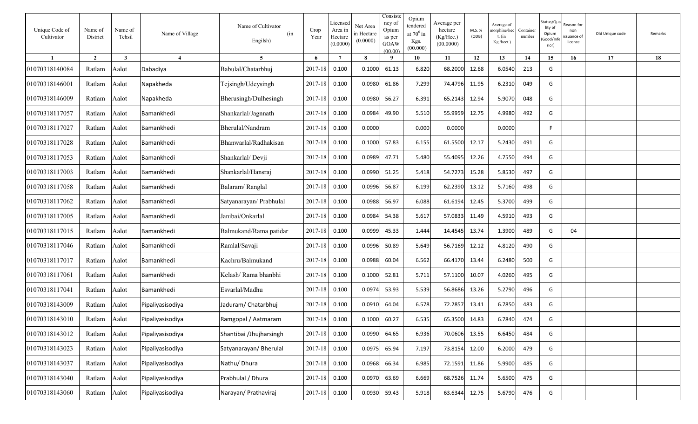| Unique Code of<br>Cultivator | Name of<br>District | Name of<br>Tehsil       | Name of Village   | Name of Cultivator<br>(in<br>Engilsh) | Crop<br>Year | Licensed<br>Area in<br>Hectare<br>(0.0000) | Net Area<br>in Hectare<br>(0.0000) | Consiste<br>ncy of<br>Opium<br>as per<br>GOAW<br>(00.00) | Opium<br>tendered<br>at $70^0$ in<br>Kgs.<br>(00.000) | Average per<br>hectare<br>(Kg/Hec.)<br>(00.0000) | M.S. %<br>(ODB) | Average of<br>norphine/hec<br>t. (in<br>Kg./hect.) | Container<br>number | Status/Qu<br>lity of<br>Opium<br>Good/Inf<br>rior) | eason for:<br>non<br>ssuance of<br>licence | Old Unique code | Remarks |
|------------------------------|---------------------|-------------------------|-------------------|---------------------------------------|--------------|--------------------------------------------|------------------------------------|----------------------------------------------------------|-------------------------------------------------------|--------------------------------------------------|-----------------|----------------------------------------------------|---------------------|----------------------------------------------------|--------------------------------------------|-----------------|---------|
|                              | $\overline{2}$      | $\overline{\mathbf{3}}$ | $\overline{4}$    | 5 <sup>5</sup>                        | 6            | $7\phantom{.0}$                            | $\mathbf{8}$                       | $\mathbf q$                                              | 10                                                    | 11                                               | 12              | 13                                                 | 14                  | 15                                                 | 16                                         | 17              | 18      |
| 01070318140084               | Ratlam              | Aalot                   | Dabadiya          | Babulal/Chatarbhuj                    | 2017-18      | 0.100                                      | 0.1000                             | 61.13                                                    | 6.820                                                 | 68.2000                                          | 12.68           | 6.0540                                             | 213                 | G                                                  |                                            |                 |         |
| 01070318146001               | Ratlam              | Aalot                   | Napakheda         | Tejsingh/Udeysingh                    | 2017-18      | 0.100                                      | 0.0980                             | 61.86                                                    | 7.299                                                 | 74.4796                                          | 11.95           | 6.2310                                             | 049                 | G                                                  |                                            |                 |         |
| 01070318146009               | Ratlam              | Aalot                   | Napakheda         | Bherusingh/Dulhesingh                 | 2017-18      | 0.100                                      | 0.0980                             | 56.27                                                    | 6.391                                                 | 65.2143                                          | 12.94           | 5.9070                                             | 048                 | G                                                  |                                            |                 |         |
| 01070318117057               | Ratlam              | Aalot                   | Bamankhedi        | Shankarlal/Jagnnath                   | 2017-18      | 0.100                                      | 0.0984                             | 49.90                                                    | 5.510                                                 | 55.9959                                          | 12.75           | 4.9980                                             | 492                 | G                                                  |                                            |                 |         |
| 01070318117027               | Ratlam              | Aalot                   | Bamankhedi        | Bherulal/Nandram                      | 2017-18      | 0.100                                      | 0.0000                             |                                                          | 0.000                                                 | 0.0000                                           |                 | 0.0000                                             |                     | F.                                                 |                                            |                 |         |
| 01070318117028               | Ratlam              | Aalot                   | Bamankhedi        | Bhanwarlal/Radhakisan                 | 2017-18      | 0.100                                      | 0.1000                             | 57.83                                                    | 6.155                                                 | 61.5500                                          | 12.17           | 5.2430                                             | 491                 | G                                                  |                                            |                 |         |
| 01070318117053               | Ratlam              | Aalot                   | Bamankhedi        | Shankarlal/Devji                      | 2017-18      | 0.100                                      | 0.0989                             | 47.71                                                    | 5.480                                                 | 55.4095                                          | 12.26           | 4.7550                                             | 494                 | G                                                  |                                            |                 |         |
| 01070318117003               | Ratlam              | Aalot                   | Bamankhedi        | Shankarlal/Hansraj                    | 2017-18      | 0.100                                      | 0.0990                             | 51.25                                                    | 5.418                                                 | 54.7273                                          | 15.28           | 5.8530                                             | 497                 | G                                                  |                                            |                 |         |
| 01070318117058               | Ratlam              | Aalot                   | Bamankhedi        | Balaram/Ranglal                       | 2017-18      | 0.100                                      | 0.0996                             | 56.87                                                    | 6.199                                                 | 62.2390                                          | 13.12           | 5.7160                                             | 498                 | G                                                  |                                            |                 |         |
| 01070318117062               | Ratlam              | Aalot                   | Bamankhedi        | Satyanarayan/ Prabhulal               | 2017-18      | 0.100                                      | 0.0988                             | 56.97                                                    | 6.088                                                 | 61.6194                                          | 12.45           | 5.3700                                             | 499                 | G                                                  |                                            |                 |         |
| 01070318117005               | Ratlam              | Aalot                   | Bamankhedi        | Janibai/Onkarlal                      | 2017-18      | 0.100                                      | 0.0984                             | 54.38                                                    | 5.617                                                 | 57.0833                                          | 11.49           | 4.5910                                             | 493                 | G                                                  |                                            |                 |         |
| 01070318117015               | Ratlam              | Aalot                   | Bamankhedi        | Balmukand/Rama patidar                | 2017-18      | 0.100                                      | 0.0999                             | 45.33                                                    | 1.444                                                 | 14.4545                                          | 13.74           | 1.3900                                             | 489                 | G                                                  | 04                                         |                 |         |
| 01070318117046               | Ratlam              | Aalot                   | Bamankhedi        | Ramlal/Savaji                         | 2017-18      | 0.100                                      | 0.0996                             | 50.89                                                    | 5.649                                                 | 56.7169                                          | 12.12           | 4.8120                                             | 490                 | G                                                  |                                            |                 |         |
| 01070318117017               | Ratlam              | Aalot                   | Bamankhedi        | Kachru/Balmukand                      | 2017-18      | 0.100                                      | 0.0988                             | 60.04                                                    | 6.562                                                 | 66.4170                                          | 13.44           | 6.2480                                             | 500                 | G                                                  |                                            |                 |         |
| 01070318117061               | Ratlam              | Aalot                   | Bamankhedi        | Kelash/ Rama bhanbhi                  | 2017-18      | 0.100                                      | 0.1000                             | 52.81                                                    | 5.711                                                 | 57.1100                                          | 10.07           | 4.0260                                             | 495                 | G                                                  |                                            |                 |         |
| 01070318117041               | Ratlam              | Aalot                   | <b>Bamankhedi</b> | Esvarlal/Madhu                        | 2017-18      | 0.100                                      | 0.0974                             | 53.93                                                    | 5.539                                                 | 56.8686                                          | 13.26           | 5.2790                                             | 496                 | G                                                  |                                            |                 |         |
| 01070318143009               | Ratlam              | Aalot                   | Pipaliyasisodiya  | Jaduram/ Chatarbhuj                   | 2017-18      | 0.100                                      | 0.0910                             | 64.04                                                    | 6.578                                                 | 72.2857                                          | 13.41           | 6.7850                                             | 483                 | G                                                  |                                            |                 |         |
| 01070318143010               | Ratlam              | Aalot                   | Pipaliyasisodiya  | Ramgopal / Aatmaram                   | 2017-18      | 0.100                                      | 0.1000                             | 60.27                                                    | 6.535                                                 | 65.3500                                          | 14.83           | 6.7840                                             | 474                 | G                                                  |                                            |                 |         |
| 01070318143012               | Ratlam              | Aalot                   | Pipaliyasisodiya  | Shantibai /Jhujharsingh               | 2017-18      | 0.100                                      | 0.0990                             | 64.65                                                    | 6.936                                                 | 70.0606                                          | 13.55           | 6.6450                                             | 484                 | G                                                  |                                            |                 |         |
| 01070318143023               | Ratlam              | Aalot                   | Pipaliyasisodiya  | Satyanarayan/ Bherulal                | 2017-18      | 0.100                                      | 0.0975                             | 65.94                                                    | 7.197                                                 | 73.8154                                          | 12.00           | 6.2000                                             | 479                 | G                                                  |                                            |                 |         |
| 01070318143037               | Ratlam              | Aalot                   | Pipaliyasisodiya  | Nathu/Dhura                           | 2017-18      | 0.100                                      | 0.0968                             | 66.34                                                    | 6.985                                                 | 72.1591                                          | 11.86           | 5.9900                                             | 485                 | G                                                  |                                            |                 |         |
| 01070318143040               | Ratlam              | Aalot                   | Pipaliyasisodiya  | Prabhulal / Dhura                     | 2017-18      | 0.100                                      | 0.0970                             | 63.69                                                    | 6.669                                                 | 68.7526                                          | 11.74           | 5.6500                                             | 475                 | G                                                  |                                            |                 |         |
| 01070318143060               | Ratlam              | Aalot                   | Pipaliyasisodiya  | Narayan/ Prathaviraj                  | 2017-18      | 0.100                                      | 0.0930                             | 59.43                                                    | 5.918                                                 | 63.6344                                          | 12.75           | 5.6790                                             | 476                 | G                                                  |                                            |                 |         |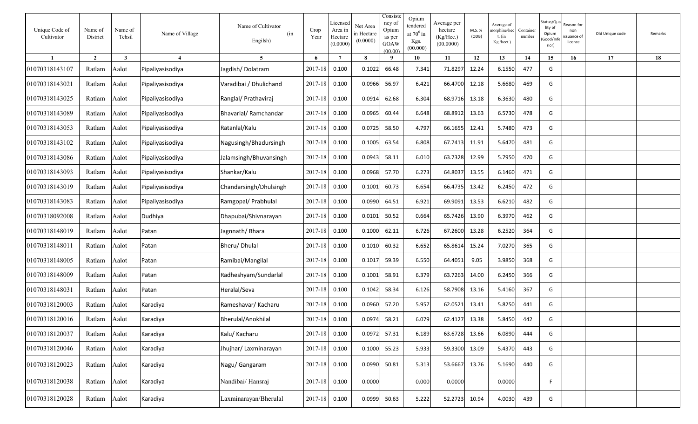| Unique Code of<br>Cultivator | Name of<br>District | Name of<br>Tehsil | Name of Village         | Name of Cultivator<br>(in<br>Engilsh) | Crop<br>Year | Licenseo<br>Area in<br>Hectare<br>(0.0000) | Net Area<br>in Hectare<br>(0.0000) | Consiste<br>ncy of<br>Opium<br>as per<br>GOAW<br>(00.00) | Opium<br>tendered<br>at $70^0$ in<br>Kgs.<br>(00.000) | Average per<br>hectare<br>(Kg/Hec.)<br>(00.0000) | M.S. %<br>(ODB) | Average of<br>norphine/hec<br>$t.$ (in<br>Kg./hect.) | Container<br>number | Status/Qu<br>lity of<br>Opium<br>Good/Inf<br>rior) | ≀eason for<br>non<br>suance of<br>licence | Old Unique code | Remarks |
|------------------------------|---------------------|-------------------|-------------------------|---------------------------------------|--------------|--------------------------------------------|------------------------------------|----------------------------------------------------------|-------------------------------------------------------|--------------------------------------------------|-----------------|------------------------------------------------------|---------------------|----------------------------------------------------|-------------------------------------------|-----------------|---------|
|                              | $\overline{2}$      | 3                 | $\overline{\mathbf{4}}$ | 5                                     | 6            | $\overline{7}$                             | 8                                  | -9                                                       | 10                                                    | 11                                               | 12              | 13                                                   | 14                  | 15                                                 | 16                                        | 17              | 18      |
| 01070318143107               | Ratlam              | Aalot             | Pipaliyasisodiya        | Jagdish/Dolatram                      | 2017-18      | 0.100                                      | 0.1022                             | 66.48                                                    | 7.341                                                 | 71.8297                                          | 12.24           | 6.1550                                               | 477                 | G                                                  |                                           |                 |         |
| 01070318143021               | Ratlam              | Aalot             | Pipaliyasisodiya        | Varadibai / Dhulichand                | 2017-18      | 0.100                                      | 0.0966                             | 56.97                                                    | 6.421                                                 | 66.4700                                          | 12.18           | 5.6680                                               | 469                 | G                                                  |                                           |                 |         |
| 01070318143025               | Ratlam              | Aalot             | Pipaliyasisodiya        | Ranglal/ Prathaviraj                  | 2017-18      | 0.100                                      | 0.0914                             | 62.68                                                    | 6.304                                                 | 68.9716                                          | 13.18           | 6.3630                                               | 480                 | G                                                  |                                           |                 |         |
| 01070318143089               | Ratlam              | Aalot             | Pipaliyasisodiya        | Bhavarlal/Ramchandar                  | 2017-18      | 0.100                                      | 0.0965                             | 60.44                                                    | 6.648                                                 | 68.8912                                          | 13.63           | 6.5730                                               | 478                 | G                                                  |                                           |                 |         |
| 01070318143053               | Ratlam              | Aalot             | Pipaliyasisodiya        | Ratanlal/Kalu                         | 2017-18      | 0.100                                      | 0.0725                             | 58.50                                                    | 4.797                                                 | 66.1655                                          | 12.41           | 5.7480                                               | 473                 | G                                                  |                                           |                 |         |
| 01070318143102               | Ratlam              | Aalot             | Pipaliyasisodiya        | Nagusingh/Bhadursingh                 | 2017-18      | 0.100                                      | 0.1005                             | 63.54                                                    | 6.808                                                 | 67.7413                                          | 11.91           | 5.6470                                               | 481                 | G                                                  |                                           |                 |         |
| 01070318143086               | Ratlam              | Aalot             | Pipaliyasisodiya        | Jalamsingh/Bhuvansingh                | 2017-18      | 0.100                                      | 0.0943                             | 58.11                                                    | 6.010                                                 | 63.7328                                          | 12.99           | 5.7950                                               | 470                 | G                                                  |                                           |                 |         |
| 01070318143093               | Ratlam              | Aalot             | Pipaliyasisodiya        | Shankar/Kalu                          | 2017-18      | 0.100                                      | 0.0968                             | 57.70                                                    | 6.273                                                 | 64.8037                                          | 13.55           | 6.1460                                               | 471                 | G                                                  |                                           |                 |         |
| 01070318143019               | Ratlam              | Aalot             | Pipaliyasisodiya        | Chandarsingh/Dhulsingh                | 2017-18      | 0.100                                      | 0.1001                             | 60.73                                                    | 6.654                                                 | 66.4735                                          | 13.42           | 6.2450                                               | 472                 | G                                                  |                                           |                 |         |
| 01070318143083               | Ratlam              | Aalot             | Pipaliyasisodiya        | Ramgopal/ Prabhulal                   | 2017-18      | 0.100                                      | 0.0990                             | 64.51                                                    | 6.921                                                 | 69.9091                                          | 13.53           | 6.6210                                               | 482                 | G                                                  |                                           |                 |         |
| 01070318092008               | Ratlam              | Aalot             | Dudhiya                 | Dhapubai/Shivnarayan                  | 2017-18      | 0.100                                      | 0.0101                             | 50.52                                                    | 0.664                                                 | 65.7426                                          | 13.90           | 6.3970                                               | 462                 | G                                                  |                                           |                 |         |
| 01070318148019               | Ratlam              | Aalot             | Patan                   | Jagnnath/Bhara                        | 2017-18      | 0.100                                      | 0.1000                             | 62.11                                                    | 6.726                                                 | 67.2600                                          | 13.28           | 6.2520                                               | 364                 | G                                                  |                                           |                 |         |
| 01070318148011               | Ratlam              | Aalot             | Patan                   | Bheru/Dhulal                          | 2017-18      | 0.100                                      | 0.1010                             | 60.32                                                    | 6.652                                                 | 65.8614                                          | 15.24           | 7.0270                                               | 365                 | G                                                  |                                           |                 |         |
| 01070318148005               | Ratlam              | Aalot             | Patan                   | Ramibai/Mangilal                      | 2017-18      | 0.100                                      | 0.1017                             | 59.39                                                    | 6.550                                                 | 64.4051                                          | 9.05            | 3.9850                                               | 368                 | G                                                  |                                           |                 |         |
| 01070318148009               | Ratlam              | Aalot             | Patan                   | Radheshyam/Sundarlal                  | 2017-18      | 0.100                                      | 0.1001                             | 58.91                                                    | 6.379                                                 | 63.7263                                          | 14.00           | 6.2450                                               | 366                 | G                                                  |                                           |                 |         |
| 01070318148031               | Ratlam              | Aalot             | Patan                   | Heralal/Seva                          | 2017-18      | 0.100                                      | 0.1042                             | 58.34                                                    | 6.126                                                 | 58.7908                                          | 13.16           | 5.4160                                               | 367                 | G                                                  |                                           |                 |         |
| 01070318120003               | Ratlam              | Aalot             | Karadiya                | Rameshavar/ Kacharu                   | 2017-18      | 0.100                                      | 0.0960                             | 57.20                                                    | 5.957                                                 | 62.0521                                          | 13.41           | 5.8250                                               | 441                 | G                                                  |                                           |                 |         |
| 01070318120016               | Ratlam              | Aalot             | Karadiya                | Bherulal/Anokhilal                    | 2017-18      | 0.100                                      | 0.0974                             | 58.21                                                    | 6.079                                                 | 62.4127                                          | 13.38           | 5.8450                                               | 442                 | G                                                  |                                           |                 |         |
| 01070318120037               | Ratlam              | Aalot             | Karadiya                | Kalu/ Kacharu                         | 2017-18      | 0.100                                      | 0.0972                             | 57.31                                                    | 6.189                                                 | 63.6728                                          | 13.66           | 6.0890                                               | 444                 | G                                                  |                                           |                 |         |
| 01070318120046               | Ratlam              | Aalot             | Karadiya                | Jhujhar/ Laxminarayan                 | 2017-18      | 0.100                                      | 0.1000                             | 55.23                                                    | 5.933                                                 | 59.3300                                          | 13.09           | 5.4370                                               | 443                 | G                                                  |                                           |                 |         |
| 01070318120023               | Ratlam              | Aalot             | Karadiya                | Nagu/ Gangaram                        | 2017-18      | 0.100                                      | 0.0990                             | 50.81                                                    | 5.313                                                 | 53.6667                                          | 13.76           | 5.1690                                               | 440                 | G                                                  |                                           |                 |         |
| 01070318120038               | Ratlam              | Aalot             | Karadiya                | Nandibai/ Hansraj                     | 2017-18      | 0.100                                      | 0.0000                             |                                                          | 0.000                                                 | 0.0000                                           |                 | 0.0000                                               |                     | F                                                  |                                           |                 |         |
| 01070318120028               | Ratlam              | Aalot             | Karadiya                | Laxminarayan/Bherulal                 | 2017-18      | 0.100                                      | 0.0999                             | 50.63                                                    | 5.222                                                 | 52.2723                                          | 10.94           | 4.0030                                               | 439                 | G                                                  |                                           |                 |         |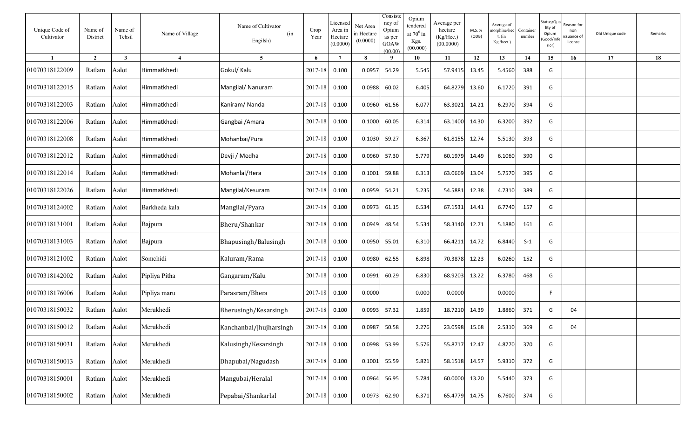| Unique Code of<br>Cultivator | Name of<br>District | Name of<br>Tehsil | Name of Village | Name of Cultivator<br>(in<br>Engilsh) | Crop<br>Year | Licensed<br>Area in<br>Hectare<br>(0.0000) | Net Area<br>in Hectare<br>(0.0000) | Consiste<br>ncy of<br>Opium<br>as per<br><b>GOAW</b><br>(00.00) | Opium<br>tendered<br>at $70^0$ in<br>Kgs.<br>(00.000) | Average per<br>hectare<br>(Kg/Hec.)<br>(00.0000) | M.S. %<br>(ODB) | Average of<br>norphine/hec<br>$t.$ (in<br>Kg./hect.) | Container<br>number | Status/Qu<br>lity of<br>Opium<br>Good/Inf<br>rior) | ≀eason for<br>non<br>ssuance of<br>licence | Old Unique code | Remarks |
|------------------------------|---------------------|-------------------|-----------------|---------------------------------------|--------------|--------------------------------------------|------------------------------------|-----------------------------------------------------------------|-------------------------------------------------------|--------------------------------------------------|-----------------|------------------------------------------------------|---------------------|----------------------------------------------------|--------------------------------------------|-----------------|---------|
| $\mathbf{1}$                 | $\overline{2}$      | $\mathbf{3}$      | $\overline{4}$  | $5^{\circ}$                           | 6            | $7\phantom{.0}$                            | 8                                  | 9                                                               | 10                                                    | 11                                               | 12              | 13                                                   | 14                  | 15                                                 | 16                                         | 17              | 18      |
| 01070318122009               | Ratlam              | Aalot             | Himmatkhedi     | Gokul/ Kalu                           | 2017-18      | 0.100                                      | 0.0957                             | 54.29                                                           | 5.545                                                 | 57.9415                                          | 13.45           | 5.4560                                               | 388                 | G                                                  |                                            |                 |         |
| 01070318122015               | Ratlam              | Aalot             | Himmatkhedi     | Mangilal/ Nanuram                     | 2017-18      | 0.100                                      | 0.0988                             | 60.02                                                           | 6.405                                                 | 64.8279                                          | 13.60           | 6.1720                                               | 391                 | G                                                  |                                            |                 |         |
| 01070318122003               | Ratlam              | Aalot             | Himmatkhedi     | Kaniram/Nanda                         | 2017-18      | 0.100                                      | 0.0960                             | 61.56                                                           | 6.077                                                 | 63.3021                                          | 14.21           | 6.2970                                               | 394                 | G                                                  |                                            |                 |         |
| 01070318122006               | Ratlam              | Aalot             | Himmatkhedi     | Gangbai / Amara                       | 2017-18      | 0.100                                      | 0.1000                             | 60.05                                                           | 6.314                                                 | 63.1400                                          | 14.30           | 6.3200                                               | 392                 | G                                                  |                                            |                 |         |
| 01070318122008               | Ratlam              | Aalot             | Himmatkhedi     | Mohanbai/Pura                         | 2017-18      | 0.100                                      | 0.1030                             | 59.27                                                           | 6.367                                                 | 61.8155                                          | 12.74           | 5.5130                                               | 393                 | G                                                  |                                            |                 |         |
| 01070318122012               | Ratlam              | Aalot             | Himmatkhedi     | Devji / Medha                         | 2017-18      | 0.100                                      | 0.0960                             | 57.30                                                           | 5.779                                                 | 60.1979                                          | 14.49           | 6.1060                                               | 390                 | G                                                  |                                            |                 |         |
| 01070318122014               | Ratlam              | Aalot             | Himmatkhedi     | Mohanlal/Hera                         | 2017-18      | 0.100                                      | 0.1001                             | 59.88                                                           | 6.313                                                 | 63.0669                                          | 13.04           | 5.7570                                               | 395                 | G                                                  |                                            |                 |         |
| 01070318122026               | Ratlam              | Aalot             | Himmatkhedi     | Mangilal/Kesuram                      | 2017-18      | 0.100                                      | 0.0959                             | 54.21                                                           | 5.235                                                 | 54.5881                                          | 12.38           | 4.7310                                               | 389                 | G                                                  |                                            |                 |         |
| 01070318124002               | Ratlam              | Aalot             | Barkheda kala   | Mangilal/Pyara                        | 2017-18      | 0.100                                      | 0.0973                             | 61.15                                                           | 6.534                                                 | 67.1531                                          | 14.41           | 6.7740                                               | 157                 | G                                                  |                                            |                 |         |
| 01070318131001               | Ratlam              | Aalot             | Bajpura         | Bheru/Shankar                         | 2017-18      | 0.100                                      | 0.0949                             | 48.54                                                           | 5.534                                                 | 58.3140                                          | 12.71           | 5.1880                                               | 161                 | G                                                  |                                            |                 |         |
| 01070318131003               | Ratlam              | Aalot             | Bajpura         | Bhapusingh/Balusingh                  | 2017-18      | 0.100                                      | 0.0950                             | 55.01                                                           | 6.310                                                 | 66.4211                                          | 14.72           | 6.8440                                               | $S-1$               | G                                                  |                                            |                 |         |
| 01070318121002               | Ratlam              | Aalot             | Somchidi        | Kaluram/Rama                          | 2017-18      | 0.100                                      | 0.0980                             | 62.55                                                           | 6.898                                                 | 70.3878                                          | 12.23           | 6.0260                                               | 152                 | G                                                  |                                            |                 |         |
| 01070318142002               | Ratlam              | Aalot             | Pipliya Pitha   | Gangaram/Kalu                         | 2017-18      | 0.100                                      | 0.0991                             | 60.29                                                           | 6.830                                                 | 68.9203                                          | 13.22           | 6.3780                                               | 468                 | G                                                  |                                            |                 |         |
| 01070318176006               | Ratlam              | Aalot             | Pipliya maru    | Parasram/Bhera                        | 2017-18      | 0.100                                      | 0.0000                             |                                                                 | 0.000                                                 | 0.0000                                           |                 | 0.0000                                               |                     | F.                                                 |                                            |                 |         |
| 01070318150032               | Ratlam              | Aalot             | Merukhedi       | Bherusingh/Kesarsingh                 | 2017-18      | 0.100                                      | 0.0993                             | 57.32                                                           | 1.859                                                 | 18.7210                                          | 14.39           | 1.8860                                               | 371                 | G                                                  | 04                                         |                 |         |
| 01070318150012               | Ratlam              | Aalot             | Merukhedi       | Kanchanbai/Jhujharsingh               | 2017-18      | 0.100                                      | 0.0987                             | 50.58                                                           | 2.276                                                 | 23.0598 15.68                                    |                 | 2.5310                                               | 369                 | G                                                  | 04                                         |                 |         |
| 01070318150031               | Ratlam Aalot        |                   | Merukhedi       | Kalusingh/Kesarsingh                  | $2017 - 18$  | 0.100                                      | 0.0998                             | 53.99                                                           | 5.576                                                 | 55.8717 12.47                                    |                 | 4.8770                                               | 370                 | G                                                  |                                            |                 |         |
| 01070318150013               | Ratlam              | Aalot             | Merukhedi       | Dhapubai/Nagudash                     | 2017-18      | 0.100                                      | 0.1001                             | 55.59                                                           | 5.821                                                 | 58.1518 14.57                                    |                 | 5.9310                                               | 372                 | G                                                  |                                            |                 |         |
| 01070318150001               | Ratlam              | Aalot             | Merukhedi       | Mangubai/Heralal                      | 2017-18      | 0.100                                      | 0.0964                             | 56.95                                                           | 5.784                                                 | 60.0000                                          | 13.20           | 5.5440                                               | 373                 | G                                                  |                                            |                 |         |
| 01070318150002               | Ratlam              | Aalot             | Merukhedi       | Pepabai/Shankarlal                    | 2017-18      | 0.100                                      | 0.0973                             | 62.90                                                           | 6.371                                                 | 65.4779 14.75                                    |                 | 6.7600                                               | 374                 | G                                                  |                                            |                 |         |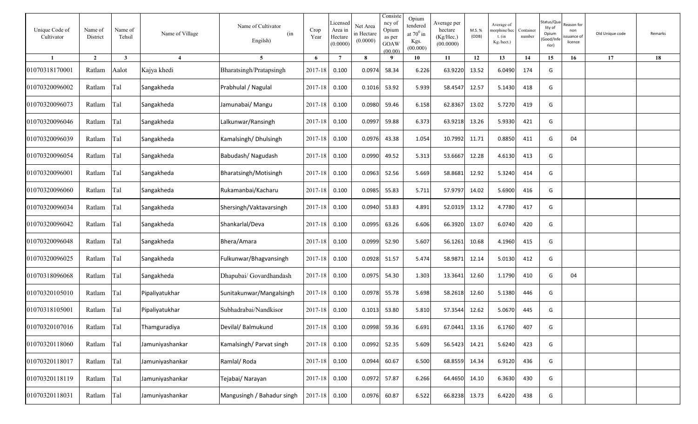| Unique Code of<br>Cultivator | Name of<br>District | Name of<br>Tehsil | Name of Village        | Name of Cultivator<br>(in<br>Engilsh) | Crop<br>Year  | Licensed<br>Area in<br>Hectare<br>(0.0000) | Net Area<br>in Hectare<br>(0.0000) | Consiste<br>ncy of<br>Opium<br>as per<br>GOAW<br>(00.00) | Opium<br>tendered<br>at $70^0$ in<br>Kgs.<br>(00.000) | Average per<br>hectare<br>(Kg/Hec.)<br>(00.0000) | M.S.%<br>(ODB) | Average of<br>norphine/hec<br>t. (in<br>Kg./hect.) | Container<br>number | Status/Qu<br>lity of<br>Opium<br>Good/Inf<br>rior) | eason for:<br>non<br>suance of<br>licence | Old Unique code | Remarks |
|------------------------------|---------------------|-------------------|------------------------|---------------------------------------|---------------|--------------------------------------------|------------------------------------|----------------------------------------------------------|-------------------------------------------------------|--------------------------------------------------|----------------|----------------------------------------------------|---------------------|----------------------------------------------------|-------------------------------------------|-----------------|---------|
|                              | $\overline{2}$      | $\mathbf{3}$      | $\boldsymbol{\Lambda}$ | $\overline{5}$                        | 6             | $\overline{7}$                             | $\mathbf{8}$                       | $\mathbf q$                                              | 10                                                    | 11                                               | 12             | 13                                                 | 14                  | 15                                                 | 16                                        | 17              | 18      |
| 01070318170001               | Ratlam              | Aalot             | Kajya khedi            | Bharatsingh/Pratapsingh               | 2017-18       | 0.100                                      | 0.0974                             | 58.34                                                    | 6.226                                                 | 63.9220                                          | 13.52          | 6.0490                                             | 174                 | G                                                  |                                           |                 |         |
| 01070320096002               | Ratlam              | Tal               | Sangakheda             | Prabhulal / Nagulal                   | 2017-18       | 0.100                                      | 0.1016                             | 53.92                                                    | 5.939                                                 | 58.4547                                          | 12.57          | 5.1430                                             | 418                 | G                                                  |                                           |                 |         |
| 01070320096073               | Ratlam              | Tal               | Sangakheda             | Jamunabai/ Mangu                      | 2017-18       | 0.100                                      | 0.0980                             | 59.46                                                    | 6.158                                                 | 62.8367                                          | 13.02          | 5.7270                                             | 419                 | G                                                  |                                           |                 |         |
| 01070320096046               | Ratlam              | Tal               | Sangakheda             | Lalkunwar/Ransingh                    | 2017-18       | 0.100                                      | 0.0997                             | 59.88                                                    | 6.373                                                 | 63.9218                                          | 13.26          | 5.9330                                             | 421                 | G                                                  |                                           |                 |         |
| 01070320096039               | Ratlam              | Tal               | Sangakheda             | Kamalsingh/Dhulsingh                  | 2017-18       | 0.100                                      | 0.0976                             | 43.38                                                    | 1.054                                                 | 10.7992                                          | 11.71          | 0.8850                                             | 411                 | G                                                  | 04                                        |                 |         |
| 01070320096054               | Ratlam              | Tal               | Sangakheda             | Babudash/Nagudash                     | 2017-18       | 0.100                                      | 0.0990                             | 49.52                                                    | 5.313                                                 | 53.6667                                          | 12.28          | 4.6130                                             | 413                 | G                                                  |                                           |                 |         |
| 01070320096001               | Ratlam              | Tal               | Sangakheda             | Bharatsingh/Motisingh                 | 2017-18       | 0.100                                      | 0.0963                             | 52.56                                                    | 5.669                                                 | 58.8681                                          | 12.92          | 5.3240                                             | 414                 | G                                                  |                                           |                 |         |
| 01070320096060               | Ratlam              | Tal               | Sangakheda             | Rukamanbai/Kacharu                    | 2017-18       | 0.100                                      | 0.0985                             | 55.83                                                    | 5.711                                                 | 57.9797                                          | 14.02          | 5.6900                                             | 416                 | G                                                  |                                           |                 |         |
| 01070320096034               | Ratlam              | Tal               | Sangakheda             | Shersingh/Vaktavarsingh               | 2017-18       | 0.100                                      | 0.0940                             | 53.83                                                    | 4.891                                                 | 52.0319                                          | 13.12          | 4.7780                                             | 417                 | G                                                  |                                           |                 |         |
| 01070320096042               | Ratlam              | Tal               | Sangakheda             | Shankarlal/Deva                       | 2017-18       | 0.100                                      | 0.0995                             | 63.26                                                    | 6.606                                                 | 66.3920                                          | 13.07          | 6.0740                                             | 420                 | G                                                  |                                           |                 |         |
| 01070320096048               | Ratlam              | Tal               | Sangakheda             | Bhera/Amara                           | 2017-18       | 0.100                                      | 0.0999                             | 52.90                                                    | 5.607                                                 | 56.1261                                          | 10.68          | 4.1960                                             | 415                 | G                                                  |                                           |                 |         |
| 01070320096025               | Ratlam              | Tal               | Sangakheda             | Fulkunwar/Bhagvansingh                | 2017-18       | 0.100                                      | 0.0928                             | 51.57                                                    | 5.474                                                 | 58.9871                                          | 12.14          | 5.0130                                             | 412                 | G                                                  |                                           |                 |         |
| 01070318096068               | Ratlam              | Tal               | Sangakheda             | Dhapubai/ Govardhandash               | 2017-18       | 0.100                                      | 0.0975                             | 54.30                                                    | 1.303                                                 | 13.3641                                          | 12.60          | 1.1790                                             | 410                 | G                                                  | 04                                        |                 |         |
| 01070320105010               | Ratlam              | Tal               | Pipaliyatukhar         | Sunitakunwar/Mangalsingh              | 2017-18       | 0.100                                      | 0.0978                             | 55.78                                                    | 5.698                                                 | 58.2618                                          | 12.60          | 5.1380                                             | 446                 | G                                                  |                                           |                 |         |
| 01070318105001               | Ratlam              | Tal               | Pipaliyatukhar         | Subhadrabai/Nandkisor                 | 2017-18       | 0.100                                      | 0.1013                             | 53.80                                                    | 5.810                                                 | 57.3544                                          | 12.62          | 5.0670                                             | 445                 | G                                                  |                                           |                 |         |
| 01070320107016               | Ratlam              | Tal               | Thamguradiya           | Devilal/ Balmukund                    | 2017-18 0.100 |                                            |                                    | 0.0998 59.36                                             | 6.691                                                 | 67.0441 13.16                                    |                | 6.1760                                             | 407                 | G                                                  |                                           |                 |         |
| 01070320118060               | Ratlam              | Tal               | Jamuniyashankar        | Kamalsingh/ Parvat singh              | 2017-18 0.100 |                                            | 0.0992                             | 52.35                                                    | 5.609                                                 | 56.5423                                          | 14.21          | 5.6240                                             | 423                 | G                                                  |                                           |                 |         |
| 01070320118017               | Ratlam              | Tal               | Jamuniyashankar        | Ramlal/Roda                           | 2017-18 0.100 |                                            | 0.0944                             | 60.67                                                    | 6.500                                                 | 68.8559 14.34                                    |                | 6.9120                                             | 436                 | G                                                  |                                           |                 |         |
| 01070320118119               | Ratlam              | Tal               | Jamuniyashankar        | Tejabai/ Narayan                      | 2017-18 0.100 |                                            | 0.0972 57.87                       |                                                          | 6.266                                                 | 64.4650 14.10                                    |                | 6.3630                                             | 430                 | G                                                  |                                           |                 |         |
| 01070320118031               | Ratlam              | Tal               | Jamuniyashankar        | Mangusingh / Bahadur singh            | 2017-18 0.100 |                                            | 0.0976                             | 60.87                                                    | 6.522                                                 | 66.8238 13.73                                    |                | 6.4220                                             | 438                 | G                                                  |                                           |                 |         |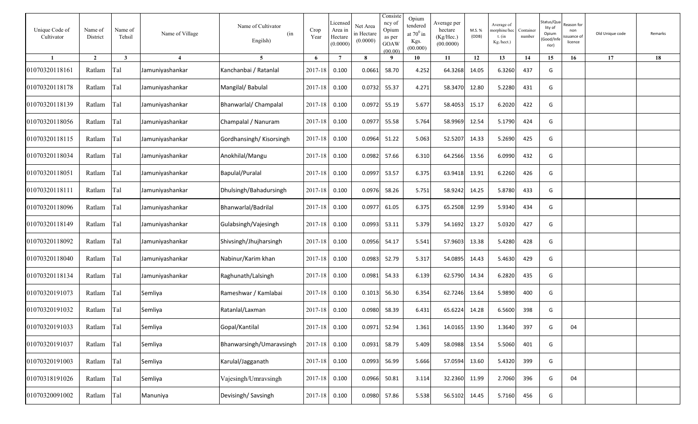| Unique Code of<br>Cultivator | Name of<br>District | Name of<br>Tehsil | Name of Village        | Name of Cultivator<br>(in<br>Engilsh) | Crop<br>Year  | Licensed<br>Area in<br>Hectare<br>(0.0000) | Net Area<br>in Hectare<br>(0.0000) | Consiste<br>ncy of<br>Opium<br>as per<br>GOAW<br>(00.00) | Opium<br>tendered<br>at $70^0$ in<br>Kgs.<br>(00.000) | Average per<br>hectare<br>(Kg/Hec.)<br>(00.0000) | M.S. %<br>(ODB) | Average of<br>norphine/hec<br>$t.$ (in<br>Kg./hect.) | Container<br>number | Status/Qu<br>lity of<br>Opium<br>Good/Inf<br>rior) | eason for:<br>non<br>suance of<br>licence | Old Unique code | Remarks |
|------------------------------|---------------------|-------------------|------------------------|---------------------------------------|---------------|--------------------------------------------|------------------------------------|----------------------------------------------------------|-------------------------------------------------------|--------------------------------------------------|-----------------|------------------------------------------------------|---------------------|----------------------------------------------------|-------------------------------------------|-----------------|---------|
| -1                           | $\overline{2}$      | $\mathbf{3}$      | $\boldsymbol{\Lambda}$ | 5                                     | 6             | $\overline{7}$                             | 8                                  | - 9                                                      | 10                                                    | 11                                               | 12              | 13                                                   | 14                  | 15                                                 | 16                                        | 17              | 18      |
| 01070320118161               | Ratlam              | Tal               | Jamuniyashankar        | Kanchanbai / Ratanlal                 | 2017-18       | 0.100                                      | 0.0661                             | 58.70                                                    | 4.252                                                 | 64.3268                                          | 14.05           | 6.3260                                               | 437                 | G                                                  |                                           |                 |         |
| 01070320118178               | Ratlam              | Tal               | Jamuniyashankar        | Mangilal/Babulal                      | 2017-18       | 0.100                                      | 0.0732                             | 55.37                                                    | 4.271                                                 | 58.3470                                          | 12.80           | 5.2280                                               | 431                 | G                                                  |                                           |                 |         |
| 01070320118139               | Ratlam              | Tal               | Jamuniyashankar        | Bhanwarlal/ Champalal                 | 2017-18       | 0.100                                      | 0.0972                             | 55.19                                                    | 5.677                                                 | 58.4053                                          | 15.17           | 6.2020                                               | 422                 | G                                                  |                                           |                 |         |
| 01070320118056               | Ratlam              | Tal               | Jamuniyashankar        | Champalal / Nanuram                   | 2017-18       | 0.100                                      | 0.0977                             | 55.58                                                    | 5.764                                                 | 58.9969                                          | 12.54           | 5.1790                                               | 424                 | G                                                  |                                           |                 |         |
| 01070320118115               | Ratlam              | Tal               | Jamuniyashankar        | Gordhansingh/Kisorsingh               | 2017-18       | 0.100                                      | 0.0964                             | 51.22                                                    | 5.063                                                 | 52.5207                                          | 14.33           | 5.2690                                               | 425                 | G                                                  |                                           |                 |         |
| 01070320118034               | Ratlam              | Tal               | Jamuniyashankar        | Anokhilal/Mangu                       | 2017-18       | 0.100                                      | 0.0982                             | 57.66                                                    | 6.310                                                 | 64.2566                                          | 13.56           | 6.0990                                               | 432                 | G                                                  |                                           |                 |         |
| 01070320118051               | Ratlam              | Tal               | Jamuniyashankar        | Bapulal/Puralal                       | 2017-18       | 0.100                                      | 0.0997                             | 53.57                                                    | 6.375                                                 | 63.9418                                          | 13.91           | 6.2260                                               | 426                 | G                                                  |                                           |                 |         |
| 01070320118111               | Ratlam              | Tal               | Jamuniyashankar        | Dhulsingh/Bahadursingh                | 2017-18       | 0.100                                      | 0.0976                             | 58.26                                                    | 5.751                                                 | 58.9242                                          | 14.25           | 5.8780                                               | 433                 | G                                                  |                                           |                 |         |
| 01070320118096               | Ratlam              | Tal               | Jamuniyashankar        | Bhanwarlal/Badrilal                   | 2017-18       | 0.100                                      | 0.0977                             | 61.05                                                    | 6.375                                                 | 65.2508                                          | 12.99           | 5.9340                                               | 434                 | G                                                  |                                           |                 |         |
| 01070320118149               | Ratlam              | Tal               | Jamuniyashankar        | Gulabsingh/Vajesingh                  | 2017-18       | 0.100                                      | 0.0993                             | 53.11                                                    | 5.379                                                 | 54.1692                                          | 13.27           | 5.0320                                               | 427                 | G                                                  |                                           |                 |         |
| 01070320118092               | Ratlam              | Tal               | Jamuniyashankar        | Shivsingh/Jhujharsingh                | 2017-18       | 0.100                                      | 0.0956                             | 54.17                                                    | 5.541                                                 | 57.9603                                          | 13.38           | 5.4280                                               | 428                 | G                                                  |                                           |                 |         |
| 01070320118040               | Ratlam              | Tal               | Jamuniyashankar        | Nabinur/Karim khan                    | 2017-18       | 0.100                                      | 0.0983                             | 52.79                                                    | 5.317                                                 | 54.0895                                          | 14.43           | 5.4630                                               | 429                 | G                                                  |                                           |                 |         |
| 01070320118134               | Ratlam              | Tal               | Jamuniyashankar        | Raghunath/Lalsingh                    | 2017-18       | 0.100                                      | 0.0981                             | 54.33                                                    | 6.139                                                 | 62.5790                                          | 14.34           | 6.2820                                               | 435                 | G                                                  |                                           |                 |         |
| 01070320191073               | Ratlam              | Tal               | Semliya                | Rameshwar / Kamlabai                  | 2017-18       | 0.100                                      | 0.1013                             | 56.30                                                    | 6.354                                                 | 62.7246                                          | 13.64           | 5.9890                                               | 400                 | G                                                  |                                           |                 |         |
| 01070320191032               | Ratlam              | Tal               | Semliya                | Ratanlal/Laxman                       | 2017-18       | 0.100                                      | 0.0980                             | 58.39                                                    | 6.431                                                 | 65.6224                                          | 14.28           | 6.5600                                               | 398                 | G                                                  |                                           |                 |         |
| 01070320191033               | Ratlam              | Tal               | Semliya                | Gopal/Kantilal                        | 2017-18 0.100 |                                            | 0.0971 52.94                       |                                                          | 1.361                                                 | 14.0165 13.90                                    |                 | 1.3640                                               | 397                 | G                                                  | 04                                        |                 |         |
| 01070320191037               | Ratlam              | Tal               | Semliya                | Bhanwarsingh/Umaravsingh              | 2017-18 0.100 |                                            | 0.0931 58.79                       |                                                          | 5.409                                                 | 58.0988 13.54                                    |                 | 5.5060                                               | 401                 | G                                                  |                                           |                 |         |
| 01070320191003               | Ratlam              | Tal               | Semliya                | Karulal/Jagganath                     | 2017-18 0.100 |                                            | 0.0993                             | 56.99                                                    | 5.666                                                 | 57.0594 13.60                                    |                 | 5.4320                                               | 399                 | G                                                  |                                           |                 |         |
| 01070318191026               | Ratlam              | Tal               | Semliya                | Vajesingh/Umravsingh                  | 2017-18 0.100 |                                            | 0.0966                             | 50.81                                                    | 3.114                                                 | 32.2360                                          | 11.99           | 2.7060                                               | 396                 | G                                                  | 04                                        |                 |         |
| 01070320091002               | Ratlam              | Tal               | Manuniya               | Devisingh/Savsingh                    | 2017-18 0.100 |                                            | 0.0980                             | 57.86                                                    | 5.538                                                 | 56.5102 14.45                                    |                 | 5.7160                                               | 456                 | G                                                  |                                           |                 |         |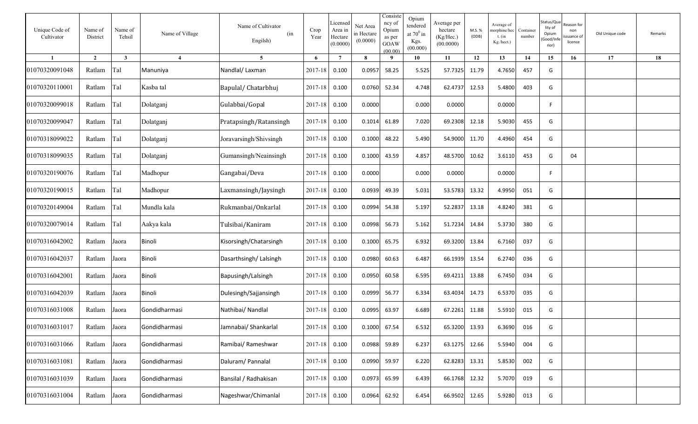| Unique Code of<br>Cultivator | Name of<br>District | Name of<br>Tehsil | Name of Village        | Name of Cultivator<br>(in<br>Engilsh) | Crop<br>Year  | Licensed<br>Area in<br>Hectare<br>(0.0000) | Net Area<br>in Hectare<br>(0.0000) | Consiste<br>ncy of<br>Opium<br>as per<br>GOAW<br>(00.00) | Opium<br>tendered<br>at $70^0$ in<br>Kgs.<br>(00.000) | Average per<br>hectare<br>(Kg/Hec.)<br>(00.0000) | M.S.%<br>(ODB) | Average of<br>norphine/hec<br>t. (in<br>Kg./hect.) | Container<br>number | Status/Qu<br>lity of<br>Opium<br>Good/Inf<br>rior) | eason for:<br>non<br>suance of<br>licence | Old Unique code | Remarks |
|------------------------------|---------------------|-------------------|------------------------|---------------------------------------|---------------|--------------------------------------------|------------------------------------|----------------------------------------------------------|-------------------------------------------------------|--------------------------------------------------|----------------|----------------------------------------------------|---------------------|----------------------------------------------------|-------------------------------------------|-----------------|---------|
| $\blacksquare$               | $\overline{2}$      | $\mathbf{3}$      | $\boldsymbol{\Lambda}$ | $\overline{5}$                        | 6             | $\overline{7}$                             | $\mathbf{8}$                       | $\mathbf q$                                              | 10                                                    | 11                                               | 12             | 13                                                 | 14                  | 15                                                 | 16                                        | 17              | 18      |
| 01070320091048               | Ratlam              | Tal               | Manuniya               | Nandlal/Laxman                        | 2017-18       | 0.100                                      | 0.0957                             | 58.25                                                    | 5.525                                                 | 57.7325                                          | 11.79          | 4.7650                                             | 457                 | G                                                  |                                           |                 |         |
| 01070320110001               | Ratlam              | Tal               | Kasba tal              | Bapulal/Chatarbhuj                    | 2017-18       | 0.100                                      | 0.0760                             | 52.34                                                    | 4.748                                                 | 62.4737                                          | 12.53          | 5.4800                                             | 403                 | G                                                  |                                           |                 |         |
| 01070320099018               | Ratlam              | Tal               | Dolatganj              | Gulabbai/Gopal                        | 2017-18       | 0.100                                      | 0.0000                             |                                                          | 0.000                                                 | 0.0000                                           |                | 0.0000                                             |                     | F.                                                 |                                           |                 |         |
| 01070320099047               | Ratlam              | Tal               | Dolatganj              | Pratapsingh/Ratansingh                | 2017-18       | 0.100                                      | 0.1014                             | 61.89                                                    | 7.020                                                 | 69.2308                                          | 12.18          | 5.9030                                             | 455                 | G                                                  |                                           |                 |         |
| 01070318099022               | Ratlam              | Tal               | Dolatganj              | Joravarsingh/Shivsingh                | 2017-18       | 0.100                                      | 0.1000                             | 48.22                                                    | 5.490                                                 | 54.9000                                          | 11.70          | 4.4960                                             | 454                 | G                                                  |                                           |                 |         |
| 01070318099035               | Ratlam              | Tal               | Dolatganj              | Gumansingh/Neainsingh                 | 2017-18       | 0.100                                      | 0.1000                             | 43.59                                                    | 4.857                                                 | 48.5700                                          | 10.62          | 3.6110                                             | 453                 | G                                                  | 04                                        |                 |         |
| 01070320190076               | Ratlam              | Tal               | Madhopur               | Gangabai/Deva                         | 2017-18       | 0.100                                      | 0.0000                             |                                                          | 0.000                                                 | 0.0000                                           |                | 0.0000                                             |                     | F.                                                 |                                           |                 |         |
| 01070320190015               | Ratlam              | Tal               | Madhopur               | Laxmansingh/Jaysingh                  | 2017-18       | 0.100                                      | 0.0939                             | 49.39                                                    | 5.031                                                 | 53.5783                                          | 13.32          | 4.9950                                             | 051                 | G                                                  |                                           |                 |         |
| 01070320149004               | Ratlam              | Tal               | Mundla kala            | Rukmanbai/Onkarlal                    | 2017-18       | 0.100                                      | 0.0994                             | 54.38                                                    | 5.197                                                 | 52.2837                                          | 13.18          | 4.8240                                             | 381                 | G                                                  |                                           |                 |         |
| 01070320079014               | Ratlam              | Tal               | Aakya kala             | Tulsibai/Kaniram                      | 2017-18       | 0.100                                      | 0.0998                             | 56.73                                                    | 5.162                                                 | 51.7234                                          | 14.84          | 5.3730                                             | 380                 | G                                                  |                                           |                 |         |
| 01070316042002               | Ratlam              | Jaora             | Binoli                 | Kisorsingh/Chatarsingh                | 2017-18       | 0.100                                      | 0.1000                             | 65.75                                                    | 6.932                                                 | 69.3200                                          | 13.84          | 6.7160                                             | 037                 | G                                                  |                                           |                 |         |
| 01070316042037               | Ratlam              | Jaora             | Binoli                 | Dasarthsingh/Lalsingh                 | 2017-18       | 0.100                                      | 0.0980                             | 60.63                                                    | 6.487                                                 | 66.1939                                          | 13.54          | 6.2740                                             | 036                 | G                                                  |                                           |                 |         |
| 01070316042001               | Ratlam              | Jaora             | Binoli                 | Bapusingh/Lalsingh                    | 2017-18       | 0.100                                      | 0.0950                             | 60.58                                                    | 6.595                                                 | 69.4211                                          | 13.88          | 6.7450                                             | 034                 | G                                                  |                                           |                 |         |
| 01070316042039               | Ratlam              | Jaora             | Binoli                 | Dulesingh/Sajjansingh                 | 2017-18       | 0.100                                      | 0.0999                             | 56.77                                                    | 6.334                                                 | 63.4034                                          | 14.73          | 6.5370                                             | 035                 | G                                                  |                                           |                 |         |
| 01070316031008               | Ratlam              | Jaora             | Gondidharmasi          | Nathibai/ Nandlal                     | 2017-18       | 0.100                                      | 0.0995                             | 63.97                                                    | 6.689                                                 | 67.2261                                          | 11.88          | 5.5910                                             | 015                 | G                                                  |                                           |                 |         |
| 01070316031017               | Ratlam              | Jaora             | Gondidharmasi          | Jamnabai/ Shankarlal                  | 2017-18 0.100 |                                            | 0.1000 67.54                       |                                                          | 6.532                                                 | 65.3200 13.93                                    |                | 6.3690                                             | 016                 | G                                                  |                                           |                 |         |
| 01070316031066               | Ratlam              | Jaora             | Gondidharmasi          | Ramibai/ Rameshwar                    | 2017-18 0.100 |                                            | 0.0988                             | 59.89                                                    | 6.237                                                 | 63.1275 12.66                                    |                | 5.5940                                             | 004                 | G                                                  |                                           |                 |         |
| 01070316031081               | Ratlam              | Jaora             | Gondidharmasi          | Daluram/ Pannalal                     | 2017-18 0.100 |                                            | 0.0990 59.97                       |                                                          | 6.220                                                 | 62.8283 13.31                                    |                | 5.8530                                             | 002                 | G                                                  |                                           |                 |         |
| 01070316031039               | Ratlam              | Jaora             | Gondidharmasi          | Bansilal / Radhakisan                 | 2017-18 0.100 |                                            | 0.0973                             | 65.99                                                    | 6.439                                                 | 66.1768 12.32                                    |                | 5.7070                                             | 019                 | G                                                  |                                           |                 |         |
| 01070316031004               | Ratlam              | Jaora             | Gondidharmasi          | Nageshwar/Chimanlal                   | 2017-18 0.100 |                                            | 0.0964                             | 62.92                                                    | 6.454                                                 | 66.9502                                          | 12.65          | 5.9280                                             | 013                 | G                                                  |                                           |                 |         |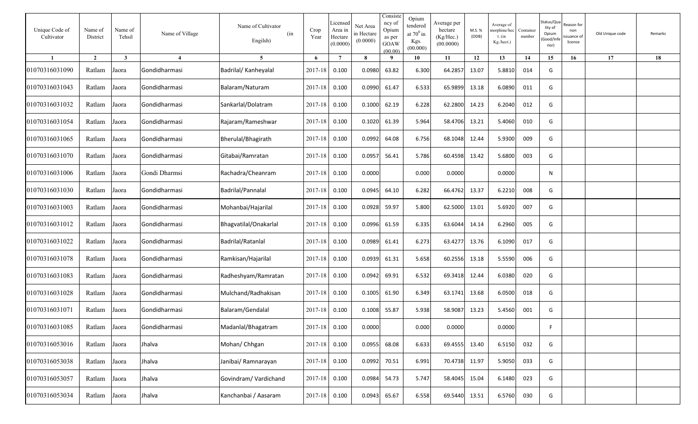| Unique Code of<br>Cultivator | Name of<br>District | Name of<br>Tehsil | Name of Village | Name of Cultivator<br>(in<br>Engilsh) | Crop<br>Year  | Licensed<br>Area in<br>Hectare<br>(0.0000) | Net Area<br>in Hectare<br>(0.0000) | Consiste<br>ncy of<br>Opium<br>as per<br>GOAW<br>(00.00) | Opium<br>tendered<br>at $70^0$ in<br>Kgs.<br>(00.000) | Average per<br>hectare<br>(Kg/Hec.)<br>(00.0000) | M.S.%<br>(ODB) | Average of<br>norphine/hec<br>$t.$ (in<br>Kg./hect.) | Container<br>number | Status/Qu<br>lity of<br>Opium<br>Good/Inf<br>rior) | ≀eason for<br>non<br>suance of<br>licence | Old Unique code | Remarks |
|------------------------------|---------------------|-------------------|-----------------|---------------------------------------|---------------|--------------------------------------------|------------------------------------|----------------------------------------------------------|-------------------------------------------------------|--------------------------------------------------|----------------|------------------------------------------------------|---------------------|----------------------------------------------------|-------------------------------------------|-----------------|---------|
| $\blacksquare$               | $\overline{2}$      | $\mathbf{3}$      | $\overline{4}$  | 5                                     | 6             | $\overline{7}$                             | 8                                  | - 9                                                      | 10                                                    | 11                                               | 12             | 13                                                   | 14                  | 15                                                 | 16                                        | 17              | 18      |
| 01070316031090               | Ratlam              | Jaora             | Gondidharmasi   | Badrilal/ Kanheyalal                  | 2017-18       | 0.100                                      | 0.0980                             | 63.82                                                    | 6.300                                                 | 64.2857                                          | 13.07          | 5.8810                                               | 014                 | G                                                  |                                           |                 |         |
| 01070316031043               | Ratlam              | Jaora             | Gondidharmasi   | Balaram/Naturam                       | 2017-18       | 0.100                                      | 0.0990                             | 61.47                                                    | 6.533                                                 | 65.9899                                          | 13.18          | 6.0890                                               | 011                 | G                                                  |                                           |                 |         |
| 01070316031032               | Ratlam              | Jaora             | Gondidharmasi   | Sankarlal/Dolatram                    | 2017-18       | 0.100                                      | 0.1000                             | 62.19                                                    | 6.228                                                 | 62.2800                                          | 14.23          | 6.2040                                               | 012                 | G                                                  |                                           |                 |         |
| 01070316031054               | Ratlam              | Jaora             | Gondidharmasi   | Rajaram/Rameshwar                     | 2017-18       | 0.100                                      | 0.1020                             | 61.39                                                    | 5.964                                                 | 58.4706                                          | 13.21          | 5.4060                                               | 010                 | G                                                  |                                           |                 |         |
| 01070316031065               | Ratlam              | Jaora             | Gondidharmasi   | Bherulal/Bhagirath                    | 2017-18       | 0.100                                      | 0.0992                             | 64.08                                                    | 6.756                                                 | 68.1048                                          | 12.44          | 5.9300                                               | 009                 | G                                                  |                                           |                 |         |
| 01070316031070               | Ratlam              | Jaora             | Gondidharmasi   | Gitabai/Ramratan                      | 2017-18       | 0.100                                      | 0.0957                             | 56.41                                                    | 5.786                                                 | 60.4598                                          | 13.42          | 5.6800                                               | 003                 | G                                                  |                                           |                 |         |
| 01070316031006               | Ratlam              | Jaora             | Gondi Dharmsi   | Rachadra/Cheanram                     | 2017-18       | 0.100                                      | 0.0000                             |                                                          | 0.000                                                 | 0.0000                                           |                | 0.0000                                               |                     | N                                                  |                                           |                 |         |
| 01070316031030               | Ratlam              | Jaora             | Gondidharmasi   | Badrilal/Pannalal                     | 2017-18       | 0.100                                      | 0.0945                             | 64.10                                                    | 6.282                                                 | 66.4762                                          | 13.37          | 6.2210                                               | 008                 | G                                                  |                                           |                 |         |
| 01070316031003               | Ratlam              | Jaora             | Gondidharmasi   | Mohanbai/Hajarilal                    | 2017-18       | 0.100                                      | 0.0928                             | 59.97                                                    | 5.800                                                 | 62.5000                                          | 13.01          | 5.6920                                               | 007                 | G                                                  |                                           |                 |         |
| 01070316031012               | Ratlam              | Jaora             | Gondidharmasi   | Bhagvatilal/Onakarlal                 | 2017-18       | 0.100                                      | 0.0996                             | 61.59                                                    | 6.335                                                 | 63.6044                                          | 14.14          | 6.2960                                               | 005                 | G                                                  |                                           |                 |         |
| 01070316031022               | Ratlam              | Jaora             | Gondidharmasi   | Badrilal/Ratanlal                     | 2017-18       | 0.100                                      | 0.0989                             | 61.41                                                    | 6.273                                                 | 63.4277                                          | 13.76          | 6.1090                                               | 017                 | G                                                  |                                           |                 |         |
| 01070316031078               | Ratlam              | Jaora             | Gondidharmasi   | Ramkisan/Hajarilal                    | 2017-18       | 0.100                                      | 0.0939                             | 61.31                                                    | 5.658                                                 | 60.2556                                          | 13.18          | 5.5590                                               | 006                 | G                                                  |                                           |                 |         |
| 01070316031083               | Ratlam              | Jaora             | Gondidharmasi   | Radheshyam/Ramratan                   | 2017-18       | 0.100                                      | 0.0942                             | 69.91                                                    | 6.532                                                 | 69.3418                                          | 12.44          | 6.0380                                               | 020                 | G                                                  |                                           |                 |         |
| 01070316031028               | Ratlam              | Jaora             | Gondidharmasi   | Mulchand/Radhakisan                   | 2017-18       | 0.100                                      | 0.1005                             | 61.90                                                    | 6.349                                                 | 63.1741                                          | 13.68          | 6.0500                                               | 018                 | G                                                  |                                           |                 |         |
| 01070316031071               | Ratlam              | Jaora             | Gondidharmasi   | Balaram/Gendalal                      | 2017-18       | 0.100                                      | 0.1008                             | 55.87                                                    | 5.938                                                 | 58.9087                                          | 13.23          | 5.4560                                               | 001                 | G                                                  |                                           |                 |         |
| 01070316031085               | Ratlam              | Jaora             | Gondidharmasi   | Madanlal/Bhagatram                    | 2017-18 0.100 |                                            | 0.0000                             |                                                          | 0.000                                                 | 0.0000                                           |                | 0.0000                                               |                     | F                                                  |                                           |                 |         |
| 01070316053016               | Ratlam              | Jaora             | Jhalva          | Mohan/ Chhgan                         | 2017-18 0.100 |                                            | 0.0955 68.08                       |                                                          | 6.633                                                 | 69.4555 13.40                                    |                | 6.5150                                               | 032                 | G                                                  |                                           |                 |         |
| 01070316053038               | Ratlam              | Jaora             | Jhalva          | Janibai/ Ramnarayan                   | 2017-18 0.100 |                                            | 0.0992 70.51                       |                                                          | 6.991                                                 | 70.4738 11.97                                    |                | 5.9050                                               | 033                 | G                                                  |                                           |                 |         |
| 01070316053057               | Ratlam              | Jaora             | Jhalva          | Govindram/ Vardichand                 | 2017-18 0.100 |                                            | 0.0984                             | 54.73                                                    | 5.747                                                 | 58.4045 15.04                                    |                | 6.1480                                               | 023                 | G                                                  |                                           |                 |         |
| 01070316053034               | Ratlam              | Jaora             | Jhalva          | Kanchanbai / Aasaram                  | 2017-18 0.100 |                                            | 0.0943 65.67                       |                                                          | 6.558                                                 | 69.5440 13.51                                    |                | 6.5760                                               | 030                 | G                                                  |                                           |                 |         |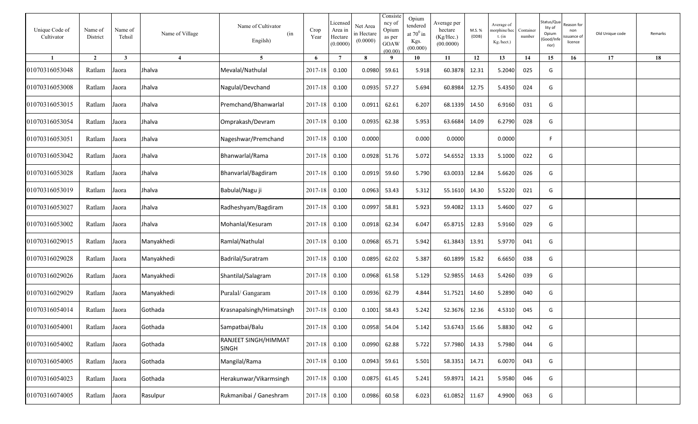| Unique Code of<br>Cultivator | Name of<br>District | Name of<br>Tehsil       | Name of Village | Name of Cultivator<br>(in<br>Engilsh) | Crop<br>Year  | Licensed<br>Area in<br>Hectare<br>(0.0000) | Net Area<br>in Hectare<br>(0.0000) | Consiste<br>ncy of<br>Opium<br>as per<br>GOAW<br>(00.00) | Opium<br>tendered<br>at $70^0$ in<br>Kgs.<br>(00.000) | Average per<br>hectare<br>(Kg/Hec.)<br>(00.0000) | M.S. %<br>(ODB) | Average of<br>norphine/hec<br>t. $(in$<br>Kg./hect.) | Container<br>number | Status/Qu<br>lity of<br>Opium<br>Good/Inf<br>rior) | eason for:<br>non<br>ssuance of<br>licence | Old Unique code | Remarks |
|------------------------------|---------------------|-------------------------|-----------------|---------------------------------------|---------------|--------------------------------------------|------------------------------------|----------------------------------------------------------|-------------------------------------------------------|--------------------------------------------------|-----------------|------------------------------------------------------|---------------------|----------------------------------------------------|--------------------------------------------|-----------------|---------|
| $\mathbf{1}$                 | $\overline{2}$      | $\overline{\mathbf{3}}$ | $\overline{4}$  | 5 <sup>5</sup>                        | 6             | $7\phantom{.0}$                            | $\mathbf{8}$                       | -9                                                       | 10                                                    | 11                                               | 12              | 13                                                   | 14                  | 15                                                 | 16                                         | 17              | 18      |
| 01070316053048               | Ratlam              | Jaora                   | Jhalva          | Mevalal/Nathulal                      | 2017-18       | 0.100                                      | 0.0980                             | 59.61                                                    | 5.918                                                 | 60.3878                                          | 12.31           | 5.2040                                               | 025                 | G                                                  |                                            |                 |         |
| 01070316053008               | Ratlam              | Jaora                   | Jhalva          | Nagulal/Devchand                      | 2017-18       | 0.100                                      | 0.0935                             | 57.27                                                    | 5.694                                                 | 60.8984                                          | 12.75           | 5.4350                                               | 024                 | G                                                  |                                            |                 |         |
| 01070316053015               | Ratlam              | Jaora                   | Jhalva          | Premchand/Bhanwarlal                  | 2017-18       | 0.100                                      | 0.0911                             | 62.61                                                    | 6.207                                                 | 68.1339                                          | 14.50           | 6.9160                                               | 031                 | G                                                  |                                            |                 |         |
| 01070316053054               | Ratlam              | Jaora                   | Jhalva          | Omprakash/Devram                      | 2017-18       | 0.100                                      | 0.0935                             | 62.38                                                    | 5.953                                                 | 63.6684                                          | 14.09           | 6.2790                                               | 028                 | G                                                  |                                            |                 |         |
| 01070316053051               | Ratlam              | Jaora                   | Jhalva          | Nageshwar/Premchand                   | 2017-18       | 0.100                                      | 0.0000                             |                                                          | 0.000                                                 | 0.0000                                           |                 | 0.0000                                               |                     | F                                                  |                                            |                 |         |
| 01070316053042               | Ratlam              | Jaora                   | Jhalva          | Bhanwarlal/Rama                       | 2017-18       | 0.100                                      | 0.0928                             | 51.76                                                    | 5.072                                                 | 54.6552                                          | 13.33           | 5.1000                                               | 022                 | G                                                  |                                            |                 |         |
| 01070316053028               | Ratlam              | Jaora                   | Jhalva          | Bhanvarlal/Bagdiram                   | 2017-18       | 0.100                                      | 0.0919                             | 59.60                                                    | 5.790                                                 | 63.0033                                          | 12.84           | 5.6620                                               | 026                 | G                                                  |                                            |                 |         |
| 01070316053019               | Ratlam              | Jaora                   | Jhalva          | Babulal/Nagu ji                       | 2017-18       | 0.100                                      | 0.0963                             | 53.43                                                    | 5.312                                                 | 55.1610                                          | 14.30           | 5.5220                                               | 021                 | G                                                  |                                            |                 |         |
| 01070316053027               | Ratlam              | Jaora                   | Jhalva          | Radheshyam/Bagdiram                   | 2017-18       | 0.100                                      | 0.0997                             | 58.81                                                    | 5.923                                                 | 59.4082                                          | 13.13           | 5.4600                                               | 027                 | G                                                  |                                            |                 |         |
| 01070316053002               | Ratlam              | Jaora                   | Jhalva          | Mohanlal/Kesuram                      | 2017-18       | 0.100                                      | 0.0918                             | 62.34                                                    | 6.047                                                 | 65.8715                                          | 12.83           | 5.9160                                               | 029                 | G                                                  |                                            |                 |         |
| 01070316029015               | Ratlam              | Jaora                   | Manyakhedi      | Ramlal/Nathulal                       | 2017-18       | 0.100                                      | 0.0968                             | 65.71                                                    | 5.942                                                 | 61.3843                                          | 13.91           | 5.9770                                               | 041                 | G                                                  |                                            |                 |         |
| 01070316029028               | Ratlam              | Jaora                   | Manyakhedi      | Badrilal/Suratram                     | 2017-18       | 0.100                                      | 0.0895                             | 62.02                                                    | 5.387                                                 | 60.1899                                          | 15.82           | 6.6650                                               | 038                 | G                                                  |                                            |                 |         |
| 01070316029026               | Ratlam              | Jaora                   | Manyakhedi      | Shantilal/Salagram                    | 2017-18       | 0.100                                      | 0.0968                             | 61.58                                                    | 5.129                                                 | 52.9855                                          | 14.63           | 5.4260                                               | 039                 | G                                                  |                                            |                 |         |
| 01070316029029               | Ratlam              | Jaora                   | Manyakhedi      | Puralal/ Gangaram                     | 2017-18       | 0.100                                      | 0.0936                             | 62.79                                                    | 4.844                                                 | 51.7521                                          | 14.60           | 5.2890                                               | 040                 | G                                                  |                                            |                 |         |
| 01070316054014               | Ratlam              | Jaora                   | Gothada         | Krasnapalsingh/Himatsingh             | 2017-18       | 0.100                                      | 0.1001                             | 58.43                                                    | 5.242                                                 | 52.3676                                          | 12.36           | 4.5310                                               | 045                 | G                                                  |                                            |                 |         |
| 01070316054001               | Ratlam Jaora        |                         | Gothada         | Sampatbai/Balu                        | 2017-18 0.100 |                                            | 0.0958                             | 54.04                                                    | 5.142                                                 | 53.6743 15.66                                    |                 | 5.8830                                               | 042                 | G                                                  |                                            |                 |         |
| 01070316054002               | Ratlam Jaora        |                         | Gothada         | RANJEET SINGH/HIMMAT<br>SINGH         | 2017-18 0.100 |                                            | 0.0990                             | 62.88                                                    | 5.722                                                 | 57.7980 14.33                                    |                 | 5.7980                                               | 044                 | G                                                  |                                            |                 |         |
| 01070316054005               | Ratlam Jaora        |                         | Gothada         | Mangilal/Rama                         | $2017 - 18$   | 0.100                                      | 0.0943                             | 59.61                                                    | 5.501                                                 | 58.3351 14.71                                    |                 | 6.0070                                               | 043                 | G                                                  |                                            |                 |         |
| 01070316054023               | Ratlam              | Jaora                   | Gothada         | Herakunwar/Vikarmsingh                | 2017-18       | 0.100                                      | 0.0875                             | 61.45                                                    | 5.241                                                 | 59.8971 14.21                                    |                 | 5.9580                                               | 046                 | G                                                  |                                            |                 |         |
| 01070316074005               | Ratlam              | Jaora                   | Rasulpur        | Rukmanibai / Ganeshram                | 2017-18       | 0.100                                      | 0.0986                             | 60.58                                                    | 6.023                                                 | 61.0852 11.67                                    |                 | 4.9900                                               | 063                 | G                                                  |                                            |                 |         |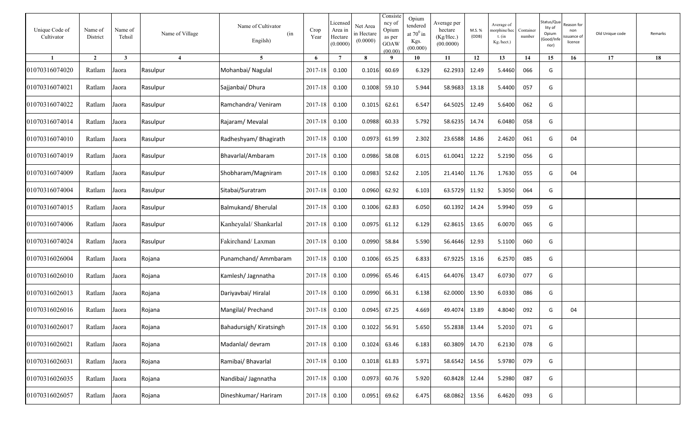| Unique Code of<br>Cultivator | Name of<br>District | Name of<br>Tehsil | Name of Village | Name of Cultivator<br>(in<br>Engilsh) | Crop<br>Year  | Licensed<br>Area in<br>Hectare<br>(0.0000) | Net Area<br>in Hectare<br>(0.0000) | Consiste<br>ncy of<br>Opium<br>as per<br>GOAW<br>(00.00) | Opium<br>tendered<br>at $70^0$ in<br>Kgs.<br>(00.000) | Average per<br>hectare<br>(Kg/Hec.)<br>(00.0000) | M.S. %<br>(ODB) | Average of<br>norphine/hec<br>$t.$ (in<br>Kg./hect.) | Container<br>number | Status/Qu<br>lity of<br>Opium<br>Good/Inf<br>rior) | eason for:<br>non<br>suance of<br>licence | Old Unique code | Remarks |
|------------------------------|---------------------|-------------------|-----------------|---------------------------------------|---------------|--------------------------------------------|------------------------------------|----------------------------------------------------------|-------------------------------------------------------|--------------------------------------------------|-----------------|------------------------------------------------------|---------------------|----------------------------------------------------|-------------------------------------------|-----------------|---------|
| $\mathbf{1}$                 | $\overline{2}$      | $\mathbf{3}$      | $\overline{4}$  | 5                                     | 6             | $\overline{7}$                             | 8                                  | - 9                                                      | 10                                                    | 11                                               | 12              | 13                                                   | 14                  | 15                                                 | 16                                        | 17              | 18      |
| 01070316074020               | Ratlam              | Jaora             | Rasulpur        | Mohanbai/ Nagulal                     | 2017-18       | 0.100                                      | 0.1016                             | 60.69                                                    | 6.329                                                 | 62.2933                                          | 12.49           | 5.4460                                               | 066                 | G                                                  |                                           |                 |         |
| 01070316074021               | Ratlam              | Jaora             | Rasulpur        | Sajjanbai/ Dhura                      | 2017-18       | 0.100                                      | 0.1008                             | 59.10                                                    | 5.944                                                 | 58.9683                                          | 13.18           | 5.4400                                               | 057                 | G                                                  |                                           |                 |         |
| 01070316074022               | Ratlam              | Jaora             | Rasulpur        | Ramchandra/ Veniram                   | 2017-18       | 0.100                                      | 0.1015                             | 62.61                                                    | 6.547                                                 | 64.5025                                          | 12.49           | 5.6400                                               | 062                 | G                                                  |                                           |                 |         |
| 01070316074014               | Ratlam              | Jaora             | Rasulpur        | Rajaram/Mevalal                       | 2017-18       | 0.100                                      | 0.0988                             | 60.33                                                    | 5.792                                                 | 58.6235                                          | 14.74           | 6.0480                                               | 058                 | G                                                  |                                           |                 |         |
| 01070316074010               | Ratlam              | Jaora             | Rasulpur        | Radheshyam/Bhagirath                  | 2017-18       | 0.100                                      | 0.0973                             | 61.99                                                    | 2.302                                                 | 23.6588                                          | 14.86           | 2.4620                                               | 061                 | G                                                  | 04                                        |                 |         |
| 01070316074019               | Ratlam              | Jaora             | Rasulpur        | Bhavarlal/Ambaram                     | 2017-18       | 0.100                                      | 0.0986                             | 58.08                                                    | 6.015                                                 | 61.0041                                          | 12.22           | 5.2190                                               | 056                 | G                                                  |                                           |                 |         |
| 01070316074009               | Ratlam              | Jaora             | Rasulpur        | Shobharam/Magniram                    | 2017-18       | 0.100                                      | 0.0983                             | 52.62                                                    | 2.105                                                 | 21.4140                                          | 11.76           | 1.7630                                               | 055                 | G                                                  | 04                                        |                 |         |
| 01070316074004               | Ratlam              | Jaora             | Rasulpur        | Sitabai/Suratram                      | 2017-18       | 0.100                                      | 0.0960                             | 62.92                                                    | 6.103                                                 | 63.5729                                          | 11.92           | 5.3050                                               | 064                 | G                                                  |                                           |                 |         |
| 01070316074015               | Ratlam              | Jaora             | Rasulpur        | Balmukand/Bherulal                    | 2017-18       | 0.100                                      | 0.1006                             | 62.83                                                    | 6.050                                                 | 60.1392                                          | 14.24           | 5.9940                                               | 059                 | G                                                  |                                           |                 |         |
| 01070316074006               | Ratlam              | Jaora             | Rasulpur        | Kanheyalal/ Shankarlal                | 2017-18       | 0.100                                      | 0.0975                             | 61.12                                                    | 6.129                                                 | 62.8615                                          | 13.65           | 6.0070                                               | 065                 | G                                                  |                                           |                 |         |
| 01070316074024               | Ratlam              | Jaora             | Rasulpur        | Fakirchand/Laxman                     | 2017-18       | 0.100                                      | 0.0990                             | 58.84                                                    | 5.590                                                 | 56.4646                                          | 12.93           | 5.1100                                               | 060                 | G                                                  |                                           |                 |         |
| 01070316026004               | Ratlam              | Jaora             | Rojana          | Punamchand/ Ammbaram                  | 2017-18       | 0.100                                      | 0.1006                             | 65.25                                                    | 6.833                                                 | 67.9225                                          | 13.16           | 6.2570                                               | 085                 | G                                                  |                                           |                 |         |
| 01070316026010               | Ratlam              | Jaora             | Rojana          | Kamlesh/ Jagnnatha                    | 2017-18       | 0.100                                      | 0.0996                             | 65.46                                                    | 6.415                                                 | 64.4076                                          | 13.47           | 6.0730                                               | 077                 | G                                                  |                                           |                 |         |
| 01070316026013               | Ratlam              | Jaora             | Rojana          | Dariyavbai/ Hiralal                   | 2017-18       | 0.100                                      | 0.0990                             | 66.31                                                    | 6.138                                                 | 62.0000                                          | 13.90           | 6.0330                                               | 086                 | G                                                  |                                           |                 |         |
| 01070316026016               | Ratlam              | Jaora             | Rojana          | Mangilal/ Prechand                    | 2017-18       | 0.100                                      | 0.0945                             | 67.25                                                    | 4.669                                                 | 49.4074                                          | 13.89           | 4.8040                                               | 092                 | G                                                  | 04                                        |                 |         |
| 01070316026017               | Ratlam              | Jaora             | Rojana          | Bahadursigh/Kiratsingh                | 2017-18 0.100 |                                            | 0.1022 56.91                       |                                                          | 5.650                                                 | 55.2838 13.44                                    |                 | 5.2010                                               | 071                 | G                                                  |                                           |                 |         |
| 01070316026021               | Ratlam              | Jaora             | Rojana          | Madanlal/ devram                      | 2017-18 0.100 |                                            | 0.1024 63.46                       |                                                          | 6.183                                                 | 60.3809 14.70                                    |                 | 6.2130                                               | 078                 | G                                                  |                                           |                 |         |
| 01070316026031               | Ratlam              | Jaora             | Rojana          | Ramibai/ Bhavarlal                    | 2017-18 0.100 |                                            | $0.1018$ 61.83                     |                                                          | 5.971                                                 | 58.6542 14.56                                    |                 | 5.9780                                               | 079                 | G                                                  |                                           |                 |         |
| 01070316026035               | Ratlam              | Jaora             | Rojana          | Nandibai/ Jagnnatha                   | 2017-18 0.100 |                                            | 0.0973 60.76                       |                                                          | 5.920                                                 | 60.8428 12.44                                    |                 | 5.2980                                               | 087                 | G                                                  |                                           |                 |         |
| 01070316026057               | Ratlam              | Jaora             | Rojana          | Dineshkumar/ Hariram                  | 2017-18 0.100 |                                            | 0.0951                             | 69.62                                                    | 6.475                                                 | 68.0862 13.56                                    |                 | 6.4620                                               | 093                 | G                                                  |                                           |                 |         |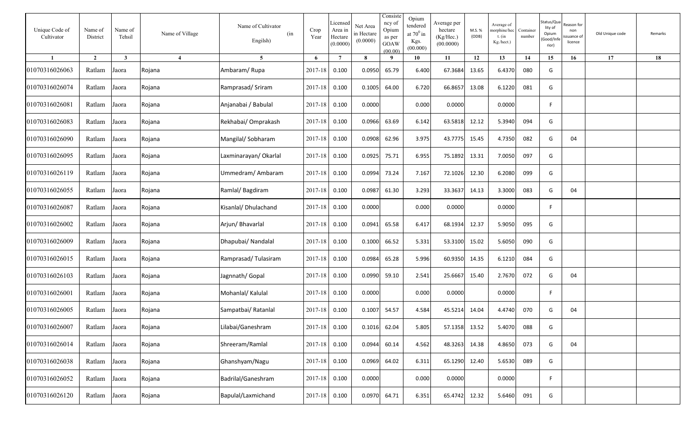| Unique Code of<br>Cultivator | Name of<br>District | Name of<br>Tehsil       | Name of Village | Name of Cultivator<br>(in<br>Engilsh) | Crop<br>Year  | Licensed<br>Area in<br>Hectare<br>(0.0000) | Net Area<br>in Hectare<br>(0.0000) | Consiste<br>ncy of<br>Opium<br>as per<br><b>GOAW</b><br>(00.00) | Opium<br>tendered<br>at $70^0$ in<br>Kgs.<br>(00.000) | Average per<br>hectare<br>(Kg/Hec.)<br>(00.0000) | M.S. %<br>(ODB) | Average of<br>norphine/hec<br>t. $(in$<br>Kg./hect.) | Container<br>number | Status/Qu<br>lity of<br>Opium<br>Good/Inf<br>rior) | eason for:<br>non<br>ssuance of<br>licence | Old Unique code | Remarks |
|------------------------------|---------------------|-------------------------|-----------------|---------------------------------------|---------------|--------------------------------------------|------------------------------------|-----------------------------------------------------------------|-------------------------------------------------------|--------------------------------------------------|-----------------|------------------------------------------------------|---------------------|----------------------------------------------------|--------------------------------------------|-----------------|---------|
| $\mathbf{1}$                 | $\overline{2}$      | $\overline{\mathbf{3}}$ | $\overline{4}$  | 5 <sup>5</sup>                        | 6             | $7\phantom{.0}$                            | 8                                  | 9                                                               | 10                                                    | 11                                               | 12              | 13                                                   | 14                  | 15                                                 | 16                                         | 17              | 18      |
| 01070316026063               | Ratlam              | Jaora                   | Rojana          | Ambaram/Rupa                          | 2017-18       | 0.100                                      | 0.0950                             | 65.79                                                           | 6.400                                                 | 67.3684                                          | 13.65           | 6.4370                                               | 080                 | G                                                  |                                            |                 |         |
| 01070316026074               | Ratlam              | Jaora                   | Rojana          | Ramprasad/Sriram                      | 2017-18       | 0.100                                      | 0.1005                             | 64.00                                                           | 6.720                                                 | 66.8657                                          | 13.08           | 6.1220                                               | 081                 | G                                                  |                                            |                 |         |
| 01070316026081               | Ratlam              | Jaora                   | Rojana          | Anjanabai / Babulal                   | 2017-18       | 0.100                                      | 0.0000                             |                                                                 | 0.000                                                 | 0.0000                                           |                 | 0.0000                                               |                     | F.                                                 |                                            |                 |         |
| 01070316026083               | Ratlam              | Jaora                   | Rojana          | Rekhabai/ Omprakash                   | 2017-18       | 0.100                                      | 0.0966                             | 63.69                                                           | 6.142                                                 | 63.5818                                          | 12.12           | 5.3940                                               | 094                 | G                                                  |                                            |                 |         |
| 01070316026090               | Ratlam              | Jaora                   | Rojana          | Mangilal/Sobharam                     | 2017-18       | 0.100                                      | 0.0908                             | 62.96                                                           | 3.975                                                 | 43.7775                                          | 15.45           | 4.7350                                               | 082                 | G                                                  | 04                                         |                 |         |
| 01070316026095               | Ratlam              | Jaora                   | Rojana          | Laxminarayan/Okarlal                  | 2017-18       | 0.100                                      | 0.0925                             | 75.71                                                           | 6.955                                                 | 75.1892                                          | 13.31           | 7.0050                                               | 097                 | G                                                  |                                            |                 |         |
| 01070316026119               | Ratlam              | Jaora                   | Rojana          | Ummedram/Ambaram                      | 2017-18       | 0.100                                      | 0.0994                             | 73.24                                                           | 7.167                                                 | 72.1026                                          | 12.30           | 6.2080                                               | 099                 | G                                                  |                                            |                 |         |
| 01070316026055               | Ratlam              | Jaora                   | Rojana          | Ramlal/Bagdiram                       | 2017-18       | 0.100                                      | 0.0987                             | 61.30                                                           | 3.293                                                 | 33.3637                                          | 14.13           | 3.3000                                               | 083                 | G                                                  | 04                                         |                 |         |
| 01070316026087               | Ratlam              | Jaora                   | Rojana          | Kisanlal/ Dhulachand                  | 2017-18       | 0.100                                      | 0.0000                             |                                                                 | 0.000                                                 | 0.0000                                           |                 | 0.0000                                               |                     | F.                                                 |                                            |                 |         |
| 01070316026002               | Ratlam              | Jaora                   | Rojana          | Arjun/ Bhavarlal                      | 2017-18       | 0.100                                      | 0.0941                             | 65.58                                                           | 6.417                                                 | 68.1934                                          | 12.37           | 5.9050                                               | 095                 | G                                                  |                                            |                 |         |
| 01070316026009               | Ratlam              | Jaora                   | Rojana          | Dhapubai/ Nandalal                    | 2017-18       | 0.100                                      | 0.1000                             | 66.52                                                           | 5.331                                                 | 53.3100                                          | 15.02           | 5.6050                                               | 090                 | G                                                  |                                            |                 |         |
| 01070316026015               | Ratlam              | Jaora                   | Rojana          | Ramprasad/Tulasiram                   | 2017-18       | 0.100                                      | 0.0984                             | 65.28                                                           | 5.996                                                 | 60.9350                                          | 14.35           | 6.1210                                               | 084                 | G                                                  |                                            |                 |         |
| 01070316026103               | Ratlam              | Jaora                   | Rojana          | Jagnnath/ Gopal                       | 2017-18       | 0.100                                      | 0.0990                             | 59.10                                                           | 2.541                                                 | 25.6667                                          | 15.40           | 2.7670                                               | 072                 | G                                                  | 04                                         |                 |         |
| 01070316026001               | Ratlam              | Jaora                   | Rojana          | Mohanlal/ Kalulal                     | 2017-18       | 0.100                                      | 0.0000                             |                                                                 | 0.000                                                 | 0.0000                                           |                 | 0.0000                                               |                     | F                                                  |                                            |                 |         |
| 01070316026005               | Ratlam              | Jaora                   | Rojana          | Sampatbai/ Ratanlal                   | 2017-18       | 0.100                                      | 0.1007                             | 54.57                                                           | 4.584                                                 | 45.5214                                          | 14.04           | 4.4740                                               | 070                 | G                                                  | 04                                         |                 |         |
| 01070316026007               | Ratlam Jaora        |                         | Rojana          | Lilabai/Ganeshram                     | 2017-18 0.100 |                                            | 0.1016                             | 62.04                                                           | 5.805                                                 | 57.1358 13.52                                    |                 | 5.4070                                               | 088                 | G                                                  |                                            |                 |         |
| 01070316026014               | Ratlam Jaora        |                         | Rojana          | Shreeram/Ramlal                       | 2017-18       | 0.100                                      | 0.0944                             | 60.14                                                           | 4.562                                                 | 48.3263 14.38                                    |                 | 4.8650                                               | 073                 | G                                                  | 04                                         |                 |         |
| 01070316026038               | Ratlam Jaora        |                         | Rojana          | Ghanshyam/Nagu                        | $2017 - 18$   | 0.100                                      | 0.0969                             | 64.02                                                           | 6.311                                                 | 65.1290 12.40                                    |                 | 5.6530                                               | 089                 | G                                                  |                                            |                 |         |
| 01070316026052               | Ratlam              | Jaora                   | Rojana          | Badrilal/Ganeshram                    | 2017-18       | 0.100                                      | 0.0000                             |                                                                 | 0.000                                                 | 0.0000                                           |                 | 0.0000                                               |                     | F.                                                 |                                            |                 |         |
| 01070316026120               | Ratlam              | Jaora                   | Rojana          | Bapulal/Laxmichand                    | 2017-18       | 0.100                                      | 0.0970                             | 64.71                                                           | 6.351                                                 | 65.4742                                          | 12.32           | 5.6460                                               | 091                 | G                                                  |                                            |                 |         |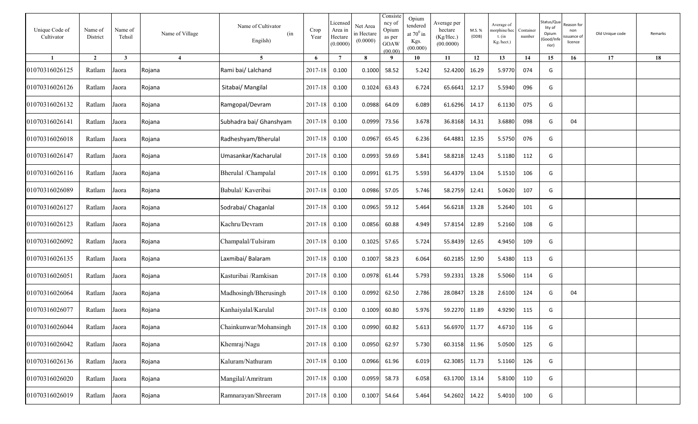| Unique Code of<br>Cultivator | Name of<br>District | Name of<br>Tehsil | Name of Village | Name of Cultivator<br>(in<br>Engilsh) | Crop<br>Year  | Licensed<br>Area in<br>Hectare<br>(0.0000) | Net Area<br>in Hectare<br>(0.0000) | Consiste<br>ncy of<br>Opium<br>as per<br>GOAW<br>(00.00) | Opium<br>tendered<br>at $70^0$ in<br>Kgs.<br>(00.000) | Average per<br>hectare<br>(Kg/Hec.)<br>(00.0000) | M.S. %<br>(ODB) | Average of<br>norphine/hec<br>$t.$ (in<br>Kg./hect.) | Container<br>number | Status/Qu<br>lity of<br>Opium<br>Good/Inf<br>rior) | eason for:<br>non<br>suance of<br>licence | Old Unique code | Remarks |
|------------------------------|---------------------|-------------------|-----------------|---------------------------------------|---------------|--------------------------------------------|------------------------------------|----------------------------------------------------------|-------------------------------------------------------|--------------------------------------------------|-----------------|------------------------------------------------------|---------------------|----------------------------------------------------|-------------------------------------------|-----------------|---------|
| $\blacksquare$               | $\overline{2}$      | $\mathbf{3}$      | $\overline{4}$  | $\overline{5}$                        | 6             | $\overline{7}$                             | 8                                  | - 9                                                      | 10                                                    | 11                                               | 12              | 13                                                   | 14                  | 15                                                 | 16                                        | 17              | 18      |
| 01070316026125               | Ratlam              | Jaora             | Rojana          | Rami bai/ Lalchand                    | 2017-18       | 0.100                                      | 0.1000                             | 58.52                                                    | 5.242                                                 | 52.4200                                          | 16.29           | 5.9770                                               | 074                 | G                                                  |                                           |                 |         |
| 01070316026126               | Ratlam              | Jaora             | Rojana          | Sitabai/ Mangilal                     | 2017-18       | 0.100                                      | 0.1024                             | 63.43                                                    | 6.724                                                 | 65.6641                                          | 12.17           | 5.5940                                               | 096                 | G                                                  |                                           |                 |         |
| 01070316026132               | Ratlam              | Jaora             | Rojana          | Ramgopal/Devram                       | 2017-18       | 0.100                                      | 0.0988                             | 64.09                                                    | 6.089                                                 | 61.6296                                          | 14.17           | 6.1130                                               | 075                 | G                                                  |                                           |                 |         |
| 01070316026141               | Ratlam              | Jaora             | Rojana          | Subhadra bai/ Ghanshyam               | 2017-18       | 0.100                                      | 0.0999                             | 73.56                                                    | 3.678                                                 | 36.8168                                          | 14.31           | 3.6880                                               | 098                 | G                                                  | 04                                        |                 |         |
| 01070316026018               | Ratlam              | Jaora             | Rojana          | Radheshyam/Bherulal                   | 2017-18       | 0.100                                      | 0.0967                             | 65.45                                                    | 6.236                                                 | 64.4881                                          | 12.35           | 5.5750                                               | 076                 | G                                                  |                                           |                 |         |
| 01070316026147               | Ratlam              | Jaora             | Rojana          | Umasankar/Kacharulal                  | 2017-18       | 0.100                                      | 0.0993                             | 59.69                                                    | 5.841                                                 | 58.8218                                          | 12.43           | 5.1180                                               | 112                 | G                                                  |                                           |                 |         |
| 01070316026116               | Ratlam              | Jaora             | Rojana          | Bherulal /Champalal                   | 2017-18       | 0.100                                      | 0.0991                             | 61.75                                                    | 5.593                                                 | 56.4379                                          | 13.04           | 5.1510                                               | 106                 | G                                                  |                                           |                 |         |
| 01070316026089               | Ratlam              | Jaora             | Rojana          | Babulal/Kaveribai                     | 2017-18       | 0.100                                      | 0.0986                             | 57.05                                                    | 5.746                                                 | 58.2759                                          | 12.41           | 5.0620                                               | 107                 | G                                                  |                                           |                 |         |
| 01070316026127               | Ratlam              | Jaora             | Rojana          | Sodrabai/ Chaganlal                   | 2017-18       | 0.100                                      | 0.0965                             | 59.12                                                    | 5.464                                                 | 56.6218                                          | 13.28           | 5.2640                                               | 101                 | G                                                  |                                           |                 |         |
| 01070316026123               | Ratlam              | Jaora             | Rojana          | Kachru/Devram                         | 2017-18       | 0.100                                      | 0.0856                             | 60.88                                                    | 4.949                                                 | 57.8154                                          | 12.89           | 5.2160                                               | 108                 | G                                                  |                                           |                 |         |
| 01070316026092               | Ratlam              | Jaora             | Rojana          | Champalal/Tulsiram                    | 2017-18       | 0.100                                      | 0.1025                             | 57.65                                                    | 5.724                                                 | 55.8439                                          | 12.65           | 4.9450                                               | 109                 | G                                                  |                                           |                 |         |
| 01070316026135               | Ratlam              | Jaora             | Rojana          | Laxmibai/ Balaram                     | 2017-18       | 0.100                                      | 0.1007                             | 58.23                                                    | 6.064                                                 | 60.2185                                          | 12.90           | 5.4380                                               | 113                 | G                                                  |                                           |                 |         |
| 01070316026051               | Ratlam              | Jaora             | Rojana          | Kasturibai /Ramkisan                  | 2017-18       | 0.100                                      | 0.0978                             | 61.44                                                    | 5.793                                                 | 59.2331                                          | 13.28           | 5.5060                                               | 114                 | G                                                  |                                           |                 |         |
| 01070316026064               | Ratlam              | Jaora             | Rojana          | Madhosingh/Bherusingh                 | 2017-18       | 0.100                                      | 0.0992                             | 62.50                                                    | 2.786                                                 | 28.0847                                          | 13.28           | 2.6100                                               | 124                 | G                                                  | 04                                        |                 |         |
| 01070316026077               | Ratlam              | Jaora             | Rojana          | Kanhaiyalal/Karulal                   | 2017-18       | 0.100                                      | 0.1009                             | 60.80                                                    | 5.976                                                 | 59.2270                                          | 11.89           | 4.9290                                               | 115                 | G                                                  |                                           |                 |         |
| 01070316026044               | Ratlam              | Jaora             | Rojana          | Chainkunwar/Mohansingh                | 2017-18 0.100 |                                            | 0.0990                             | 60.82                                                    | 5.613                                                 | 56.6970 11.77                                    |                 | 4.6710                                               | 116                 | G                                                  |                                           |                 |         |
| 01070316026042               | Ratlam              | Jaora             | Rojana          | Khemraj/Nagu                          | 2017-18 0.100 |                                            | 0.0950 62.97                       |                                                          | 5.730                                                 | 60.3158 11.96                                    |                 | 5.0500                                               | 125                 | G                                                  |                                           |                 |         |
| 01070316026136               | Ratlam              | Jaora             | Rojana          | Kaluram/Nathuram                      | 2017-18 0.100 |                                            |                                    | 0.0966 61.96                                             | 6.019                                                 | 62.3085 11.73                                    |                 | 5.1160                                               | 126                 | G                                                  |                                           |                 |         |
| 01070316026020               | Ratlam              | Jaora             | Rojana          | Mangilal/Amritram                     | 2017-18 0.100 |                                            | 0.0959 58.73                       |                                                          | 6.058                                                 | 63.1700                                          | 13.14           | 5.8100                                               | 110                 | G                                                  |                                           |                 |         |
| 01070316026019               | Ratlam              | Jaora             | Rojana          | Ramnarayan/Shreeram                   | 2017-18 0.100 |                                            | 0.1007                             | 54.64                                                    | 5.464                                                 | 54.2602 14.22                                    |                 | 5.4010                                               | 100                 | G                                                  |                                           |                 |         |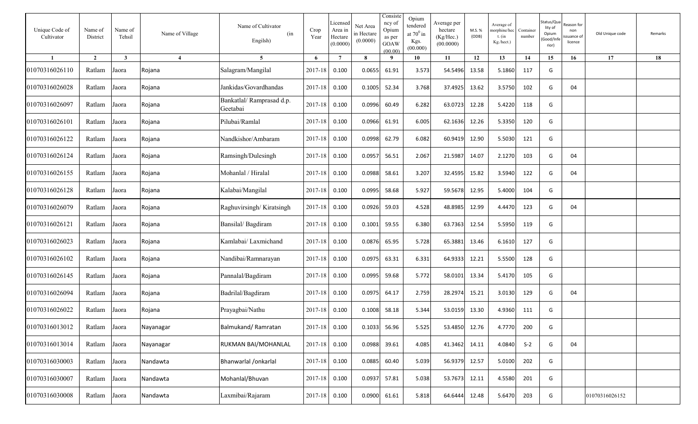| Unique Code of<br>Cultivator | Name of<br>District | Name of<br>Tehsil | Name of Village       | Name of Cultivator<br>(in<br>Engilsh) | Crop<br>Year  | Licensed<br>Area in<br>Hectare<br>(0.0000) | Net Area<br>in Hectare<br>(0.0000) | Consiste<br>ncy of<br>Opium<br>as per<br>GOAW<br>(00.00) | Opium<br>tendered<br>at $70^0\,\mathrm{in}$<br>Kgs.<br>(00.000) | Average per<br>hectare<br>(Kg/Hec.)<br>(00.0000) | M.S. %<br>(ODB) | Average of<br>norphine/hec<br>t. $(in$<br>Kg./hect.) | Container<br>number | Status/Qu<br>lity of<br>Opium<br>Good/Inf<br>rior) | eason for:<br>non<br>ssuance of<br>licence | Old Unique code | Remarks |
|------------------------------|---------------------|-------------------|-----------------------|---------------------------------------|---------------|--------------------------------------------|------------------------------------|----------------------------------------------------------|-----------------------------------------------------------------|--------------------------------------------------|-----------------|------------------------------------------------------|---------------------|----------------------------------------------------|--------------------------------------------|-----------------|---------|
|                              | $\overline{2}$      | $\mathbf{3}$      | $\boldsymbol{\Delta}$ | $\overline{5}$                        | 6             | $\overline{7}$                             | $\mathbf{8}$                       | $\mathbf{o}$                                             | 10                                                              | 11                                               | 12              | 13                                                   | 14                  | 15                                                 | 16                                         | 17              | 18      |
| 01070316026110               | Ratlam              | Jaora             | Rojana                | Salagram/Mangilal                     | 2017-18       | 0.100                                      | 0.0655                             | 61.91                                                    | 3.573                                                           | 54.5496                                          | 13.58           | 5.1860                                               | 117                 | G                                                  |                                            |                 |         |
| 01070316026028               | Ratlam              | Jaora             | Rojana                | Jankidas/Govardhandas                 | 2017-18       | 0.100                                      | 0.1005                             | 52.34                                                    | 3.768                                                           | 37.4925                                          | 13.62           | 3.5750                                               | 102                 | G                                                  | 04                                         |                 |         |
| 01070316026097               | Ratlam              | Jaora             | Rojana                | Bankatlal/Ramprasad d.p.<br>Geetabai  | 2017-18       | 0.100                                      | 0.0996                             | 60.49                                                    | 6.282                                                           | 63.0723                                          | 12.28           | 5.4220                                               | 118                 | G                                                  |                                            |                 |         |
| 01070316026101               | Ratlam              | Jaora             | Rojana                | Pilubai/Ramlal                        | 2017-18       | 0.100                                      | 0.0966                             | 61.91                                                    | 6.005                                                           | 62.1636                                          | 12.26           | 5.3350                                               | 120                 | G                                                  |                                            |                 |         |
| 01070316026122               | Ratlam              | Jaora             | Rojana                | Nandkishor/Ambaram                    | 2017-18       | 0.100                                      | 0.0998                             | 62.79                                                    | 6.082                                                           | 60.9419                                          | 12.90           | 5.5030                                               | 121                 | G                                                  |                                            |                 |         |
| 01070316026124               | Ratlam              | Jaora             | Rojana                | Ramsingh/Dulesingh                    | 2017-18       | 0.100                                      | 0.0957                             | 56.51                                                    | 2.067                                                           | 21.5987                                          | 14.07           | 2.1270                                               | 103                 | G                                                  | 04                                         |                 |         |
| 01070316026155               | Ratlam              | Jaora             | Rojana                | Mohanlal / Hiralal                    | 2017-18       | 0.100                                      | 0.0988                             | 58.61                                                    | 3.207                                                           | 32.4595                                          | 15.82           | 3.5940                                               | 122                 | G                                                  | 04                                         |                 |         |
| 01070316026128               | Ratlam              | Jaora             | Rojana                | Kalabai/Mangilal                      | 2017-18       | 0.100                                      | 0.0995                             | 58.68                                                    | 5.927                                                           | 59.5678                                          | 12.95           | 5.4000                                               | 104                 | G                                                  |                                            |                 |         |
| 01070316026079               | Ratlam              | Jaora             | Rojana                | Raghuvirsingh/Kiratsingh              | 2017-18       | 0.100                                      | 0.0926                             | 59.03                                                    | 4.528                                                           | 48.8985                                          | 12.99           | 4.4470                                               | 123                 | G                                                  | 04                                         |                 |         |
| 01070316026121               | Ratlam              | Jaora             | Rojana                | Bansilal/Bagdiram                     | 2017-18       | 0.100                                      | 0.1001                             | 59.55                                                    | 6.380                                                           | 63.7363                                          | 12.54           | 5.5950                                               | 119                 | G                                                  |                                            |                 |         |
| 01070316026023               | Ratlam              | Jaora             | Rojana                | Kamlabai/ Laxmichand                  | 2017-18       | 0.100                                      | 0.0876                             | 65.95                                                    | 5.728                                                           | 65.3881                                          | 13.46           | 6.1610                                               | 127                 | G                                                  |                                            |                 |         |
| 01070316026102               | Ratlam              | Jaora             | Rojana                | Nandibai/Ramnarayan                   | 2017-18       | 0.100                                      | 0.0975                             | 63.31                                                    | 6.331                                                           | 64.9333                                          | 12.21           | 5.5500                                               | 128                 | G                                                  |                                            |                 |         |
| 01070316026145               | Ratlam              | Jaora             | Rojana                | Pannalal/Bagdiram                     | 2017-18       | 0.100                                      | 0.0995                             | 59.68                                                    | 5.772                                                           | 58.0101                                          | 13.34           | 5.4170                                               | 105                 | G                                                  |                                            |                 |         |
| 01070316026094               | Ratlam              | Jaora             | Rojana                | Badrilal/Bagdiram                     | 2017-18       | 0.100                                      | 0.0975                             | 64.17                                                    | 2.759                                                           | 28.2974                                          | 15.21           | 3.0130                                               | 129                 | G                                                  | 04                                         |                 |         |
| 01070316026022               | Ratlam              | Jaora             | Rojana                | Prayagbai/Nathu                       | 2017-18       | 0.100                                      | 0.1008                             | 58.18                                                    | 5.344                                                           | 53.0159                                          | 13.30           | 4.9360                                               | 111                 | G                                                  |                                            |                 |         |
| 01070316013012               | Ratlam              | Jaora             | Nayanagar             | Balmukand/Ramratan                    | 2017-18 0.100 |                                            |                                    | 0.1033 56.96                                             | 5.525                                                           | 53.4850 12.76                                    |                 | 4.7770                                               | 200                 | G                                                  |                                            |                 |         |
| 01070316013014               | Ratlam              | Jaora             | Nayanagar             | RUKMAN BAI/MOHANLAL                   | 2017-18 0.100 |                                            | 0.0988                             | 39.61                                                    | 4.085                                                           | 41.3462 14.11                                    |                 | 4.0840                                               | $S-2$               | G                                                  | 04                                         |                 |         |
| 01070316030003               | Ratlam              | Jaora             | Nandawta              | Bhanwarlal /onkarlal                  | 2017-18 0.100 |                                            | 0.0885                             | 60.40                                                    | 5.039                                                           | 56.9379 12.57                                    |                 | 5.0100                                               | 202                 | G                                                  |                                            |                 |         |
| 01070316030007               | Ratlam              | Jaora             | Nandawta              | Mohanlal/Bhuvan                       | 2017-18 0.100 |                                            | 0.0937                             | 57.81                                                    | 5.038                                                           | 53.7673 12.11                                    |                 | 4.5580                                               | 201                 | G                                                  |                                            |                 |         |
| 01070316030008               | Ratlam              | Jaora             | Nandawta              | Laxmibai/Rajaram                      | 2017-18 0.100 |                                            | 0.0900                             | 61.61                                                    | 5.818                                                           | 64.6444                                          | 12.48           | 5.6470                                               | 203                 | G                                                  |                                            | 01070316026152  |         |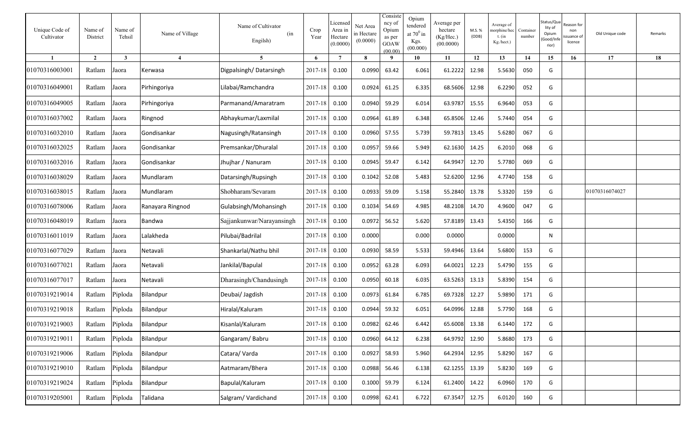| Unique Code of<br>Cultivator | Name of<br>District | Name of<br>Tehsil       | Name of Village       | Name of Cultivator<br>(in<br>Engilsh) | Crop<br>Year  | Licensed<br>Area in<br>Hectare<br>(0.0000) | Net Area<br>in Hectare<br>(0.0000) | Consiste<br>ncy of<br>Opium<br>as per<br>GOAW<br>(00.00) | Opium<br>tendered<br>at $70^0$ in<br>Kgs.<br>(00.000) | Average per<br>hectare<br>(Kg/Hec.)<br>(00.0000) | M.S. %<br>(ODB) | Average of<br>norphine/hec<br>t. (in<br>Kg./hect.) | Container<br>number | Status/Qu<br>lity of<br>Opium<br>Good/Inf<br>rior) | eason for:<br>non<br>suance of<br>licence | Old Unique code | Remarks |
|------------------------------|---------------------|-------------------------|-----------------------|---------------------------------------|---------------|--------------------------------------------|------------------------------------|----------------------------------------------------------|-------------------------------------------------------|--------------------------------------------------|-----------------|----------------------------------------------------|---------------------|----------------------------------------------------|-------------------------------------------|-----------------|---------|
|                              | $\overline{2}$      | $\overline{\mathbf{3}}$ | $\boldsymbol{\Delta}$ | $5\overline{)}$                       | 6             | $\overline{7}$                             | $\bf{8}$                           |                                                          | 10                                                    | 11                                               | 12              | 13                                                 | 14                  | 15                                                 | 16                                        | 17              | 18      |
| 01070316003001               | Ratlam              | Jaora                   | Kerwasa               | Digpalsingh/Datarsingh                | 2017-18       | 0.100                                      | 0.0990                             | 63.42                                                    | 6.061                                                 | 61.2222                                          | 12.98           | 5.5630                                             | 050                 | G                                                  |                                           |                 |         |
| 01070316049001               | Ratlam              | Jaora                   | Pirhingoriya          | Lilabai/Ramchandra                    | 2017-18       | 0.100                                      | 0.0924                             | 61.25                                                    | 6.335                                                 | 68.5606                                          | 12.98           | 6.2290                                             | 052                 | G                                                  |                                           |                 |         |
| 01070316049005               | Ratlam              | Jaora                   | Pirhingoriya          | Parmanand/Amaratram                   | 2017-18       | 0.100                                      | 0.0940                             | 59.29                                                    | 6.014                                                 | 63.9787                                          | 15.55           | 6.9640                                             | 053                 | G                                                  |                                           |                 |         |
| 01070316037002               | Ratlam              | Jaora                   | Ringnod               | Abhaykumar/Laxmilal                   | 2017-18       | 0.100                                      | 0.0964                             | 61.89                                                    | 6.348                                                 | 65.8506                                          | 12.46           | 5.7440                                             | 054                 | G                                                  |                                           |                 |         |
| 01070316032010               | Ratlam              | Jaora                   | Gondisankar           | Nagusingh/Ratansingh                  | 2017-18       | 0.100                                      | 0.0960                             | 57.55                                                    | 5.739                                                 | 59.7813                                          | 13.45           | 5.6280                                             | 067                 | G                                                  |                                           |                 |         |
| 01070316032025               | Ratlam              | Jaora                   | Gondisankar           | Premsankar/Dhuralal                   | 2017-18       | 0.100                                      | 0.0957                             | 59.66                                                    | 5.949                                                 | 62.1630                                          | 14.25           | 6.2010                                             | 068                 | G                                                  |                                           |                 |         |
| 01070316032016               | Ratlam              | Jaora                   | Gondisankar           | Jhujhar / Nanuram                     | 2017-18       | 0.100                                      | 0.0945                             | 59.47                                                    | 6.142                                                 | 64.9947                                          | 12.70           | 5.7780                                             | 069                 | G                                                  |                                           |                 |         |
| 01070316038029               | Ratlam              | Jaora                   | Mundlaram             | Datarsingh/Rupsingh                   | 2017-18       | 0.100                                      | 0.1042                             | 52.08                                                    | 5.483                                                 | 52.6200                                          | 12.96           | 4.7740                                             | 158                 | G                                                  |                                           |                 |         |
| 01070316038015               | Ratlam              | Jaora                   | Mundlaram             | Shobharam/Sevaram                     | 2017-18       | 0.100                                      | 0.0933                             | 59.09                                                    | 5.158                                                 | 55.2840                                          | 13.78           | 5.3320                                             | 159                 | G                                                  |                                           | 01070316074027  |         |
| 01070316078006               | Ratlam              | Jaora                   | Ranayara Ringnod      | Gulabsingh/Mohansingh                 | 2017-18       | 0.100                                      | 0.1034                             | 54.69                                                    | 4.985                                                 | 48.2108                                          | 14.70           | 4.9600                                             | 047                 | G                                                  |                                           |                 |         |
| 01070316048019               | Ratlam              | Jaora                   | Bandwa                | Sajjankunwar/Narayansingh             | 2017-18       | 0.100                                      | 0.0972                             | 56.52                                                    | 5.620                                                 | 57.8189                                          | 13.43           | 5.4350                                             | 166                 | G                                                  |                                           |                 |         |
| 01070316011019               | Ratlam              | Jaora                   | Lalakheda             | Pilubai/Badrilal                      | 2017-18       | 0.100                                      | 0.0000                             |                                                          | 0.000                                                 | 0.0000                                           |                 | 0.0000                                             |                     | N                                                  |                                           |                 |         |
| 01070316077029               | Ratlam              | Jaora                   | Netavali              | Shankarlal/Nathu bhil                 | 2017-18       | 0.100                                      | 0.0930                             | 58.59                                                    | 5.533                                                 | 59.4946                                          | 13.64           | 5.6800                                             | 153                 | G                                                  |                                           |                 |         |
| 01070316077021               | Ratlam              | Jaora                   | Netavali              | Jankilal/Bapulal                      | 2017-18       | 0.100                                      | 0.0952                             | 63.28                                                    | 6.093                                                 | 64.0021                                          | 12.23           | 5.4790                                             | 155                 | G                                                  |                                           |                 |         |
| 01070316077017               | Ratlam              | Jaora                   | Netavali              | Dharasingh/Chandusingh                | 2017-18       | 0.100                                      | 0.0950                             | 60.18                                                    | 6.035                                                 | 63.5263                                          | 13.13           | 5.8390                                             | 154                 | G                                                  |                                           |                 |         |
| 01070319219014               | Ratlam              | Piploda                 | Bilandpur             | Deubai/ Jagdish                       | 2017-18       | 0.100                                      | 0.0973                             | 61.84                                                    | 6.785                                                 | 69.7328                                          | 12.27           | 5.9890                                             | 171                 | G                                                  |                                           |                 |         |
| 01070319219018               | Ratlam              | Piploda                 | <b>Bilandpur</b>      | Hiralal/Kaluram                       | 2017-18       | 0.100                                      | 0.0944                             | 59.32                                                    | 6.051                                                 | 64.0996                                          | 12.88           | 5.7790                                             | 168                 | G                                                  |                                           |                 |         |
| 01070319219003               | Ratlam Piploda      |                         | Bilandpur             | Kisanlal/Kaluram                      | 2017-18 0.100 |                                            | 0.0982 62.46                       |                                                          | 6.442                                                 | 65.6008                                          | 13.38           | 6.1440                                             | 172                 | G                                                  |                                           |                 |         |
| 01070319219011               | Ratlam              | Piploda                 | Bilandpur             | Gangaram/Babru                        | 2017-18 0.100 |                                            | 0.0960                             | 64.12                                                    | 6.238                                                 | 64.9792                                          | 12.90           | 5.8680                                             | 173                 | G                                                  |                                           |                 |         |
| 01070319219006               | Ratlam              | Piploda                 | Bilandpur             | Catara/Varda                          | 2017-18 0.100 |                                            | 0.0927                             | 58.93                                                    | 5.960                                                 | 64.2934 12.95                                    |                 | 5.8290                                             | 167                 | G                                                  |                                           |                 |         |
| 01070319219010               | Ratlam              | Piploda                 | Bilandpur             | Aatmaram/Bhera                        | 2017-18       | 0.100                                      | 0.0988                             | 56.46                                                    | 6.138                                                 | 62.1255                                          | 13.39           | 5.8230                                             | 169                 | G                                                  |                                           |                 |         |
| 01070319219024               | Ratlam              | Piploda                 | Bilandpur             | Bapulal/Kaluram                       | 2017-18 0.100 |                                            | 0.1000                             | 59.79                                                    | 6.124                                                 | 61.2400 14.22                                    |                 | 6.0960                                             | 170                 | G                                                  |                                           |                 |         |
| 01070319205001               | Ratlam              | Piploda                 | Talidana              | Salgram/Vardichand                    | 2017-18 0.100 |                                            | 0.0998 62.41                       |                                                          | 6.722                                                 | 67.3547                                          | 12.75           | 6.0120                                             | 160                 | G                                                  |                                           |                 |         |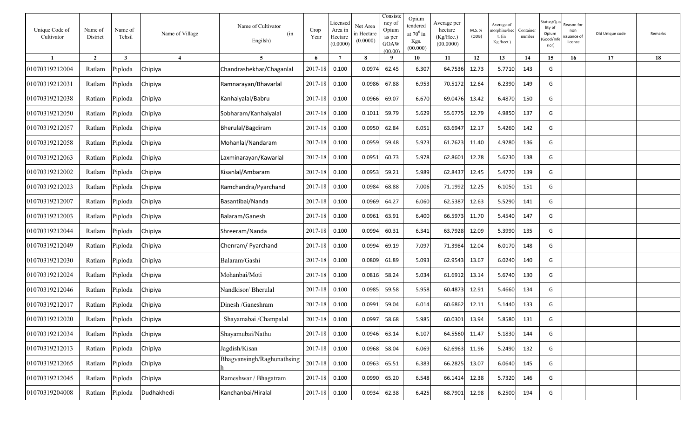| Unique Code of<br>Cultivator | Name of<br>District | Name of<br>Tehsil | Name of Village | Name of Cultivator<br>(in<br>Engilsh) | Crop<br>Year | Licensed<br>Area in<br>Hectare<br>(0.0000) | Net Area<br>n Hectare<br>(0.0000) | Consiste<br>ncy of<br>Opium<br>as per<br><b>GOAW</b><br>(00.00) | Opium<br>tendered<br>at $70^0$ in<br>Kgs.<br>(00.000) | Average per<br>hectare<br>(Kg/Hec.)<br>(00.0000) | M.S. %<br>(ODB) | Average of<br>norphine/hec<br>t. $(in$<br>Kg./hect.) | Container<br>number | Status/Qua<br>lity of<br>Opium<br>Good/Inf<br>rior) | ≀eason for<br>non<br>ssuance of<br>licence | Old Unique code | Remarks |
|------------------------------|---------------------|-------------------|-----------------|---------------------------------------|--------------|--------------------------------------------|-----------------------------------|-----------------------------------------------------------------|-------------------------------------------------------|--------------------------------------------------|-----------------|------------------------------------------------------|---------------------|-----------------------------------------------------|--------------------------------------------|-----------------|---------|
| $\mathbf{1}$                 | $\overline{2}$      | $\mathbf{3}$      | $\overline{4}$  | $5^{\circ}$                           | 6            | $7\phantom{.0}$                            | 8                                 | - 9                                                             | 10                                                    | 11                                               | 12              | 13                                                   | 14                  | 15                                                  | 16                                         | 17              | 18      |
| 01070319212004               | Ratlam              | Piploda           | Chipiya         | Chandrashekhar/Chaganlal              | 2017-18      | 0.100                                      | 0.0974                            | 62.45                                                           | 6.307                                                 | 64.7536                                          | 12.73           | 5.7710                                               | 143                 | G                                                   |                                            |                 |         |
| 01070319212031               | Ratlam              | Piploda           | Chipiya         | Ramnarayan/Bhavarlal                  | 2017-18      | 0.100                                      | 0.0986                            | 67.88                                                           | 6.953                                                 | 70.5172                                          | 12.64           | 6.2390                                               | 149                 | G                                                   |                                            |                 |         |
| 01070319212038               | Ratlam              | Piploda           | Chipiya         | Kanhaiyalal/Babru                     | 2017-18      | 0.100                                      | 0.0966                            | 69.07                                                           | 6.670                                                 | 69.0476                                          | 13.42           | 6.4870                                               | 150                 | G                                                   |                                            |                 |         |
| 01070319212050               | Ratlam              | Piploda           | Chipiya         | Sobharam/Kanhaiyalal                  | 2017-18      | 0.100                                      | 0.1011                            | 59.79                                                           | 5.629                                                 | 55.6775                                          | 12.79           | 4.9850                                               | 137                 | G                                                   |                                            |                 |         |
| 01070319212057               | Ratlam              | Piploda           | Chipiya         | Bherulal/Bagdiram                     | 2017-18      | 0.100                                      | 0.0950                            | 62.84                                                           | 6.051                                                 | 63.6947                                          | 12.17           | 5.4260                                               | 142                 | G                                                   |                                            |                 |         |
| 01070319212058               | Ratlam              | Piploda           | Chipiya         | Mohanlal/Nandaram                     | 2017-18      | 0.100                                      | 0.0959                            | 59.48                                                           | 5.923                                                 | 61.7623                                          | 11.40           | 4.9280                                               | 136                 | G                                                   |                                            |                 |         |
| 01070319212063               | Ratlam              | Piploda           | Chipiya         | Laxminarayan/Kawarlal                 | 2017-18      | 0.100                                      | 0.0951                            | 60.73                                                           | 5.978                                                 | 62.8601                                          | 12.78           | 5.6230                                               | 138                 | G                                                   |                                            |                 |         |
| 01070319212002               | Ratlam              | Piploda           | Chipiya         | Kisanlal/Ambaram                      | 2017-18      | 0.100                                      | 0.0953                            | 59.21                                                           | 5.989                                                 | 62.8437                                          | 12.45           | 5.4770                                               | 139                 | G                                                   |                                            |                 |         |
| 01070319212023               | Ratlam              | Piploda           | Chipiya         | Ramchandra/Pyarchand                  | 2017-18      | 0.100                                      | 0.0984                            | 68.88                                                           | 7.006                                                 | 71.1992                                          | 12.25           | 6.1050                                               | 151                 | G                                                   |                                            |                 |         |
| 01070319212007               | Ratlam              | Piploda           | Chipiya         | Basantibai/Nanda                      | 2017-18      | 0.100                                      | 0.0969                            | 64.27                                                           | 6.060                                                 | 62.5387                                          | 12.63           | 5.5290                                               | 141                 | G                                                   |                                            |                 |         |
| 01070319212003               | Ratlam              | Piploda           | Chipiya         | Balaram/Ganesh                        | 2017-18      | 0.100                                      | 0.0961                            | 63.91                                                           | 6.400                                                 | 66.5973                                          | 11.70           | 5.4540                                               | 147                 | G                                                   |                                            |                 |         |
| 01070319212044               | Ratlam              | Piploda           | Chipiya         | Shreeram/Nanda                        | 2017-18      | 0.100                                      | 0.0994                            | 60.31                                                           | 6.341                                                 | 63.7928                                          | 12.09           | 5.3990                                               | 135                 | G                                                   |                                            |                 |         |
| 01070319212049               | Ratlam              | Piploda           | Chipiya         | Chenram/ Pyarchand                    | 2017-18      | 0.100                                      | 0.0994                            | 69.19                                                           | 7.097                                                 | 71.3984                                          | 12.04           | 6.0170                                               | 148                 | G                                                   |                                            |                 |         |
| 01070319212030               | Ratlam              | Piploda           | Chipiya         | Balaram/Gashi                         | 2017-18      | 0.100                                      | 0.0809                            | 61.89                                                           | 5.093                                                 | 62.9543                                          | 13.67           | 6.0240                                               | 140                 | G                                                   |                                            |                 |         |
| 01070319212024               | Ratlam              | Piploda           | Chipiya         | Mohanbai/Moti                         | 2017-18      | 0.100                                      | 0.0816                            | 58.24                                                           | 5.034                                                 | 61.6912                                          | 13.14           | 5.6740                                               | 130                 | G                                                   |                                            |                 |         |
| 01070319212046               | Ratlam              | Piploda           | Chipiya         | Nandkisor/Bherulal                    | 2017-18      | 0.100                                      | 0.0985                            | 59.58                                                           | 5.958                                                 | 60.4873                                          | 12.91           | 5.4660                                               | 134                 | G                                                   |                                            |                 |         |
| 01070319212017               | Ratlam              | Piploda           | Chipiya         | Dinesh /Ganeshram                     | 2017-18      | 0.100                                      | 0.0991                            | 59.04                                                           | 6.014                                                 | 60.6862                                          | 12.11           | 5.1440                                               | 133                 | G                                                   |                                            |                 |         |
| 01070319212020               | Ratlam              | Piploda           | Chipiya         | Shayamabai /Champalal                 | 2017-18      | 0.100                                      | 0.0997                            | 58.68                                                           | 5.985                                                 | 60.0301                                          | 13.94           | 5.8580                                               | 131                 | G                                                   |                                            |                 |         |
| 01070319212034               | Ratlam              | Piploda           | Chipiya         | Shayamubai/Nathu                      | 2017-18      | 0.100                                      | 0.0946                            | 63.14                                                           | 6.107                                                 | 64.5560                                          | 11.47           | 5.1830                                               | 144                 | G                                                   |                                            |                 |         |
| 01070319212013               | Ratlam              | Piploda           | Chipiya         | Jagdish/Kisan                         | 2017-18      | 0.100                                      | 0.0968                            | 58.04                                                           | 6.069                                                 | 62.6963                                          | 11.96           | 5.2490                                               | 132                 | G                                                   |                                            |                 |         |
| 01070319212065               | Ratlam              | Piploda           | Chipiya         | Bhagvansingh/Raghunathsing            | 2017-18      | 0.100                                      | 0.0963                            | 65.51                                                           | 6.383                                                 | 66.2825                                          | 13.07           | 6.0640                                               | 145                 | G                                                   |                                            |                 |         |
| 01070319212045               | Ratlam              | Piploda           | Chipiya         | Rameshwar / Bhagatram                 | 2017-18      | 0.100                                      | 0.0990                            | 65.20                                                           | 6.548                                                 | 66.1414                                          | 12.38           | 5.7320                                               | 146                 | G                                                   |                                            |                 |         |
| 01070319204008               | Ratlam              | Piploda           | Dudhakhedi      | Kanchanbai/Hiralal                    | 2017-18      | 0.100                                      | 0.0934                            | 62.38                                                           | 6.425                                                 | 68.7901                                          | 12.98           | 6.2500                                               | 194                 | G                                                   |                                            |                 |         |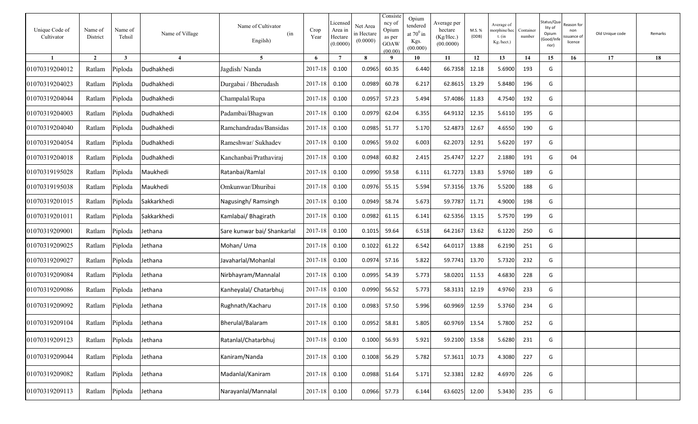| Unique Code of<br>Cultivator | Name of<br>District | Name of<br>Tehsil | Name of Village        | Name of Cultivator<br>(in<br>Engilsh) | Crop<br>Year  | Licensed<br>Area in<br>Hectare<br>(0.0000) | Net Area<br>in Hectare<br>(0.0000) | Consiste<br>ncy of<br>Opium<br>as per<br>GOAW<br>(00.00) | Opium<br>tendered<br>at $70^0$ in<br>Kgs.<br>(00.000) | Average per<br>hectare<br>(Kg/Hec.)<br>(00.0000) | M.S. %<br>(ODB) | Average of<br>norphine/hec<br>t. $(in$<br>Kg./hect.) | Container<br>number | Status/Qua<br>lity of<br>Opium<br>Good/Inf<br>rior) | ≀eason for<br>non<br>ssuance of<br>licence | Old Unique code | Remarks |
|------------------------------|---------------------|-------------------|------------------------|---------------------------------------|---------------|--------------------------------------------|------------------------------------|----------------------------------------------------------|-------------------------------------------------------|--------------------------------------------------|-----------------|------------------------------------------------------|---------------------|-----------------------------------------------------|--------------------------------------------|-----------------|---------|
|                              | $\overline{2}$      | $\mathbf{3}$      | $\boldsymbol{\Lambda}$ | $\overline{5}$                        | 6             | $\overline{7}$                             | 8                                  | - 9                                                      | 10                                                    | 11                                               | 12              | 13                                                   | 14                  | 15                                                  | 16                                         | 17              | 18      |
| 01070319204012               | Ratlam              | Piploda           | Dudhakhedi             | Jagdish/Nanda                         | 2017-18       | 0.100                                      | 0.0965                             | 60.35                                                    | 6.440                                                 | 66.7358                                          | 12.18           | 5.6900                                               | 193                 | G                                                   |                                            |                 |         |
| 01070319204023               | Ratlam              | Piploda           | Dudhakhedi             | Durgabai / Bherudash                  | $2017 - 18$   | 0.100                                      | 0.0989                             | 60.78                                                    | 6.217                                                 | 62.8615                                          | 13.29           | 5.8480                                               | 196                 | G                                                   |                                            |                 |         |
| 01070319204044               | Ratlam              | Piploda           | Dudhakhedi             | Champalal/Rupa                        | 2017-18       | 0.100                                      | 0.0957                             | 57.23                                                    | 5.494                                                 | 57.4086                                          | 11.83           | 4.7540                                               | 192                 | G                                                   |                                            |                 |         |
| 01070319204003               | Ratlam              | Piploda           | Dudhakhedi             | Padambai/Bhagwan                      | 2017-18       | 0.100                                      | 0.0979                             | 62.04                                                    | 6.355                                                 | 64.9132                                          | 12.35           | 5.6110                                               | 195                 | G                                                   |                                            |                 |         |
| 01070319204040               | Ratlam              | Piploda           | Dudhakhedi             | Ramchandradas/Bansidas                | 2017-18       | 0.100                                      | 0.0985                             | 51.77                                                    | 5.170                                                 | 52.4873                                          | 12.67           | 4.6550                                               | 190                 | G                                                   |                                            |                 |         |
| 01070319204054               | Ratlam              | Piploda           | Dudhakhedi             | Rameshwar/ Sukhadev                   | $2017 - 18$   | 0.100                                      | 0.0965                             | 59.02                                                    | 6.003                                                 | 62.2073                                          | 12.91           | 5.6220                                               | 197                 | G                                                   |                                            |                 |         |
| 01070319204018               | Ratlam              | Piploda           | Dudhakhedi             | Kanchanbai/Prathaviraj                | 2017-18       | 0.100                                      | 0.0948                             | 60.82                                                    | 2.415                                                 | 25.4747                                          | 12.27           | 2.1880                                               | 191                 | G                                                   | 04                                         |                 |         |
| 01070319195028               | Ratlam              | Piploda           | Maukhedi               | Ratanbai/Ramlal                       | 2017-18       | 0.100                                      | 0.0990                             | 59.58                                                    | 6.111                                                 | 61.7273                                          | 13.83           | 5.9760                                               | 189                 | G                                                   |                                            |                 |         |
| 01070319195038               | Ratlam              | Piploda           | Maukhedi               | Omkunwar/Dhuribai                     | 2017-18       | 0.100                                      | 0.0976                             | 55.15                                                    | 5.594                                                 | 57.3156                                          | 13.76           | 5.5200                                               | 188                 | G                                                   |                                            |                 |         |
| 01070319201015               | Ratlam              | Piploda           | Sakkarkhedi            | Nagusingh/Ramsingh                    | 2017-18       | 0.100                                      | 0.0949                             | 58.74                                                    | 5.673                                                 | 59.7787                                          | 11.71           | 4.9000                                               | 198                 | G                                                   |                                            |                 |         |
| 01070319201011               | Ratlam              | Piploda           | Sakkarkhedi            | Kamlabai/ Bhagirath                   | 2017-18       | 0.100                                      | 0.0982                             | 61.15                                                    | 6.141                                                 | 62.5356                                          | 13.15           | 5.7570                                               | 199                 | G                                                   |                                            |                 |         |
| 01070319209001               | Ratlam              | Piploda           | Jethana                | Sare kunwar bai/ Shankarlal           | 2017-18       | 0.100                                      | 0.1015                             | 59.64                                                    | 6.518                                                 | 64.2167                                          | 13.62           | 6.1220                                               | 250                 | G                                                   |                                            |                 |         |
| 01070319209025               | Ratlam              | Piploda           | Jethana                | Mohan/ Uma                            | 2017-18       | 0.100                                      | 0.1022                             | 61.22                                                    | 6.542                                                 | 64.0117                                          | 13.88           | 6.2190                                               | 251                 | G                                                   |                                            |                 |         |
| 01070319209027               | Ratlam              | Piploda           | Jethana                | Javaharlal/Mohanlal                   | 2017-18       | 0.100                                      | 0.0974                             | 57.16                                                    | 5.822                                                 | 59.7741                                          | 13.70           | 5.7320                                               | 232                 | G                                                   |                                            |                 |         |
| 01070319209084               | Ratlam              | Piploda           | Jethana                | Nirbhayram/Mannalal                   | $2017 - 18$   | 0.100                                      | 0.0995                             | 54.39                                                    | 5.773                                                 | 58.0201                                          | 11.53           | 4.6830                                               | 228                 | G                                                   |                                            |                 |         |
| 01070319209086               | Ratlam              | Piploda           | Jethana                | Kanheyalal/ Chatarbhuj                | $2017 - 18$   | 0.100                                      | 0.0990                             | 56.52                                                    | 5.773                                                 | 58.3131                                          | 12.19           | 4.9760                                               | 233                 | G                                                   |                                            |                 |         |
| 01070319209092               | Ratlam              | Piploda           | Jethana                | Rughnath/Kacharu                      | 2017-18       | 0.100                                      | 0.0983                             | 57.50                                                    | 5.996                                                 | 60.9969                                          | 12.59           | 5.3760                                               | 234                 | G                                                   |                                            |                 |         |
| 01070319209104               |                     | Ratlam Piploda    | Jethana                | Bherulal/Balaram                      | 2017-18       | 0.100                                      | 0.0952                             | 58.81                                                    | 5.805                                                 | 60.9769                                          | 13.54           | 5.7800                                               | 252                 | G                                                   |                                            |                 |         |
| 01070319209123               | Ratlam              | Piploda           | Jethana                | Ratanlal/Chatarbhuj                   | 2017-18 0.100 |                                            |                                    | 0.1000 56.93                                             | 5.921                                                 | 59.2100 13.58                                    |                 | 5.6280                                               | 231                 | G                                                   |                                            |                 |         |
| 01070319209044               |                     | Ratlam Piploda    | Jethana                | Kaniram/Nanda                         | 2017-18 0.100 |                                            |                                    | 0.1008 56.29                                             | 5.782                                                 | 57.3611 10.73                                    |                 | 4.3080                                               | 227                 | G                                                   |                                            |                 |         |
| 01070319209082               | Ratlam              | Piploda           | Jethana                | Madanlal/Kaniram                      | 2017-18 0.100 |                                            |                                    | 0.0988 51.64                                             | 5.171                                                 | 52.3381 12.82                                    |                 | 4.6970                                               | 226                 | G                                                   |                                            |                 |         |
| 01070319209113               | Ratlam              | Piploda           | Jethana                | Narayanlal/Mannalal                   | 2017-18 0.100 |                                            |                                    | 0.0966 57.73                                             | 6.144                                                 | 63.6025                                          | 12.00           | 5.3430                                               | 235                 | G                                                   |                                            |                 |         |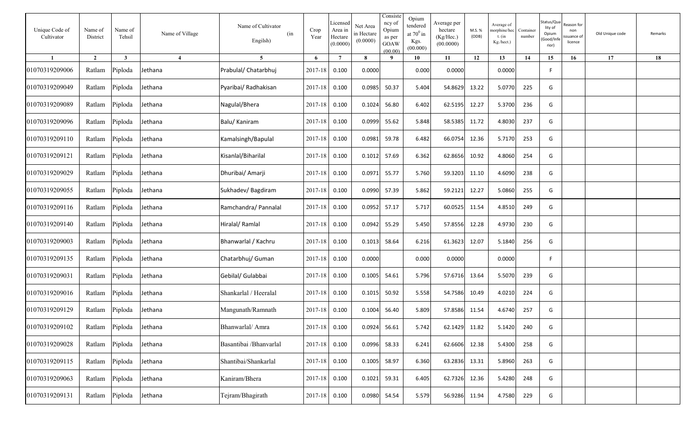| Unique Code of<br>Cultivator | Name of<br>District | Name of<br>Tehsil | Name of Village | Name of Cultivator<br>(in<br>Engilsh) | Crop<br>Year  | Licensed<br>Area in<br>Hectare<br>(0.0000) | Net Area<br>in Hectare<br>(0.0000) | Consiste<br>ncy of<br>Opium<br>as per<br><b>GOAW</b><br>(00.00) | Opium<br>tendered<br>at $70^0$ in<br>Kgs.<br>(00.000) | Average per<br>hectare<br>(Kg/Hec.)<br>(00.0000) | M.S. %<br>(ODB) | Average of<br>norphine/hec<br>$t.$ (in<br>Kg./hect.) | Container<br>number | Status/Qua<br>lity of<br>Opium<br>Good/Inf<br>rior) | रeason for<br>non<br>ssuance of<br>licence | Old Unique code | Remarks |
|------------------------------|---------------------|-------------------|-----------------|---------------------------------------|---------------|--------------------------------------------|------------------------------------|-----------------------------------------------------------------|-------------------------------------------------------|--------------------------------------------------|-----------------|------------------------------------------------------|---------------------|-----------------------------------------------------|--------------------------------------------|-----------------|---------|
| $\mathbf{1}$                 | $\overline{2}$      | $\mathbf{3}$      | $\overline{4}$  | $5^{\circ}$                           | 6             | $\overline{7}$                             | 8                                  | 9                                                               | 10                                                    | 11                                               | 12              | 13                                                   | 14                  | 15                                                  | 16                                         | 17              | 18      |
| 01070319209006               | Ratlam              | Piploda           | Jethana         | Prabulal/ Chatarbhuj                  | 2017-18       | 0.100                                      | 0.0000                             |                                                                 | 0.000                                                 | 0.0000                                           |                 | 0.0000                                               |                     | F                                                   |                                            |                 |         |
| 01070319209049               | Ratlam              | Piploda           | Jethana         | Pyaribai/ Radhakisan                  | 2017-18       | 0.100                                      | 0.0985                             | 50.37                                                           | 5.404                                                 | 54.8629                                          | 13.22           | 5.0770                                               | 225                 | G                                                   |                                            |                 |         |
| 01070319209089               | Ratlam              | Piploda           | Jethana         | Nagulal/Bhera                         | 2017-18       | 0.100                                      | 0.1024                             | 56.80                                                           | 6.402                                                 | 62.5195                                          | 12.27           | 5.3700                                               | 236                 | G                                                   |                                            |                 |         |
| 01070319209096               | Ratlam              | Piploda           | Jethana         | Balu/ Kaniram                         | 2017-18       | 0.100                                      | 0.0999                             | 55.62                                                           | 5.848                                                 | 58.5385                                          | 11.72           | 4.8030                                               | 237                 | G                                                   |                                            |                 |         |
| 01070319209110               | Ratlam              | Piploda           | Jethana         | Kamalsingh/Bapulal                    | 2017-18       | 0.100                                      | 0.0981                             | 59.78                                                           | 6.482                                                 | 66.0754                                          | 12.36           | 5.7170                                               | 253                 | G                                                   |                                            |                 |         |
| 01070319209121               | Ratlam              | Piploda           | Jethana         | Kisanlal/Biharilal                    | 2017-18       | 0.100                                      | 0.1012                             | 57.69                                                           | 6.362                                                 | 62.8656                                          | 10.92           | 4.8060                                               | 254                 | G                                                   |                                            |                 |         |
| 01070319209029               | Ratlam              | Piploda           | Jethana         | Dhuribai/ Amarji                      | 2017-18       | 0.100                                      | 0.0971                             | 55.77                                                           | 5.760                                                 | 59.3203                                          | 11.10           | 4.6090                                               | 238                 | G                                                   |                                            |                 |         |
| 01070319209055               | Ratlam              | Piploda           | Jethana         | Sukhadev/Bagdiram                     | 2017-18       | 0.100                                      | 0.0990                             | 57.39                                                           | 5.862                                                 | 59.2121                                          | 12.27           | 5.0860                                               | 255                 | G                                                   |                                            |                 |         |
| 01070319209116               | Ratlam              | Piploda           | Jethana         | Ramchandra/ Pannalal                  | 2017-18       | 0.100                                      | 0.0952                             | 57.17                                                           | 5.717                                                 | 60.0525                                          | 11.54           | 4.8510                                               | 249                 | G                                                   |                                            |                 |         |
| 01070319209140               | Ratlam              | Piploda           | Jethana         | Hiralal/Ramlal                        | 2017-18       | 0.100                                      | 0.0942                             | 55.29                                                           | 5.450                                                 | 57.8556                                          | 12.28           | 4.9730                                               | 230                 | G                                                   |                                            |                 |         |
| 01070319209003               | Ratlam              | Piploda           | Jethana         | Bhanwarlal / Kachru                   | 2017-18       | 0.100                                      | 0.1013                             | 58.64                                                           | 6.216                                                 | 61.3623                                          | 12.07           | 5.1840                                               | 256                 | G                                                   |                                            |                 |         |
| 01070319209135               | Ratlam              | Piploda           | Jethana         | Chatarbhuj/ Guman                     | 2017-18       | 0.100                                      | 0.0000                             |                                                                 | 0.000                                                 | 0.0000                                           |                 | 0.0000                                               |                     | F.                                                  |                                            |                 |         |
| 01070319209031               | Ratlam              | Piploda           | Jethana         | Gebilal/ Gulabbai                     | 2017-18       | 0.100                                      | 0.1005                             | 54.61                                                           | 5.796                                                 | 57.6716                                          | 13.64           | 5.5070                                               | 239                 | G                                                   |                                            |                 |         |
| 01070319209016               | Ratlam              | Piploda           | Jethana         | Shankarlal / Heeralal                 | 2017-18       | 0.100                                      | 0.1015                             | 50.92                                                           | 5.558                                                 | 54.7586                                          | 10.49           | 4.0210                                               | 224                 | G                                                   |                                            |                 |         |
| 01070319209129               | Ratlam              | Piploda           | Jethana         | Mangunath/Ramnath                     | 2017-18       | 0.100                                      | 0.1004                             | 56.40                                                           | 5.809                                                 | 57.8586                                          | 11.54           | 4.6740                                               | 257                 | G                                                   |                                            |                 |         |
| 01070319209102               |                     | Ratlam Piploda    | Jethana         | Bhanwarlal/ Amra                      | 2017-18 0.100 |                                            | 0.0924                             | 56.61                                                           | 5.742                                                 | 62.1429 11.82                                    |                 | 5.1420                                               | 240                 | G                                                   |                                            |                 |         |
| 01070319209028               |                     | Ratlam Piploda    | Jethana         | Basantibai / Bhanvarlal               | 2017-18 0.100 |                                            | 0.0996 58.33                       |                                                                 | 6.241                                                 | 62.6606                                          | 12.38           | 5.4300                                               | 258                 | G                                                   |                                            |                 |         |
| 01070319209115               |                     | Ratlam Piploda    | Jethana         | Shantibai/Shankarlal                  | 2017-18 0.100 |                                            | 0.1005                             | 58.97                                                           | 6.360                                                 | 63.2836                                          | 13.31           | 5.8960                                               | 263                 | G                                                   |                                            |                 |         |
| 01070319209063               |                     | Ratlam Piploda    | Jethana         | Kaniram/Bhera                         | 2017-18       | 0.100                                      | 0.1021                             | 59.31                                                           | 6.405                                                 | 62.7326                                          | 12.36           | 5.4280                                               | 248                 | G                                                   |                                            |                 |         |
| 01070319209131               |                     | Ratlam Piploda    | Jethana         | Tejram/Bhagirath                      | 2017-18       | 0.100                                      | 0.0980                             | 54.54                                                           | 5.579                                                 | 56.9286                                          | 11.94           | 4.7580                                               | 229                 | G                                                   |                                            |                 |         |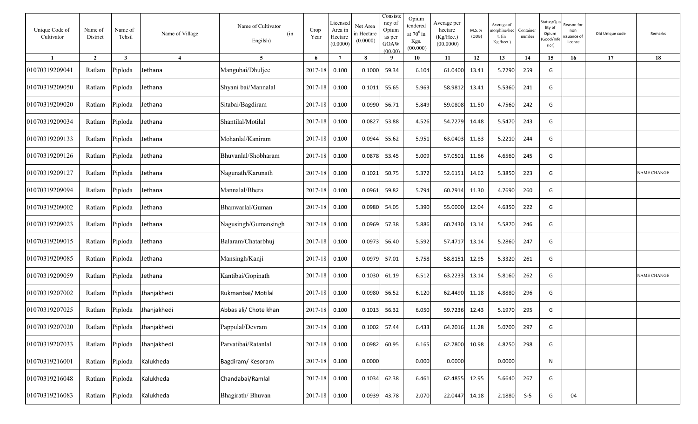| Unique Code of<br>Cultivator | Name of<br>District | Name of<br>Tehsil       | Name of Village | Name of Cultivator<br>(in<br>Engilsh) | Crop<br>Year  | Licensed<br>Area in<br>Hectare<br>(0.0000) | Net Area<br>in Hectare<br>(0.0000) | Consiste<br>ncy of<br>Opium<br>as per<br><b>GOAW</b><br>(00.00) | Opium<br>tendered<br>at $70^0$ in<br>Kgs.<br>(00.000) | Average per<br>hectare<br>(Kg/Hec.)<br>(00.0000) | M.S. %<br>(ODB) | Average of<br>norphine/hec<br>t. $(in$<br>Kg./hect.) | Container<br>number | Status/Qu<br>lity of<br>Opium<br>Good/Inf<br>rior) | ≀eason for<br>non<br>ssuance of<br>licence | Old Unique code | Remarks            |
|------------------------------|---------------------|-------------------------|-----------------|---------------------------------------|---------------|--------------------------------------------|------------------------------------|-----------------------------------------------------------------|-------------------------------------------------------|--------------------------------------------------|-----------------|------------------------------------------------------|---------------------|----------------------------------------------------|--------------------------------------------|-----------------|--------------------|
| $\mathbf{1}$                 | $\overline{2}$      | $\overline{\mathbf{3}}$ | $\overline{4}$  | 5 <sup>5</sup>                        | 6             | $7\phantom{.0}$                            | 8                                  | 9                                                               | 10                                                    | 11                                               | 12              | 13                                                   | 14                  | 15                                                 | 16                                         | 17              | 18                 |
| 01070319209041               | Ratlam              | Piploda                 | Jethana         | Mangubai/Dhuljee                      | 2017-18       | 0.100                                      | 0.1000                             | 59.34                                                           | 6.104                                                 | 61.0400                                          | 13.41           | 5.7290                                               | 259                 | G                                                  |                                            |                 |                    |
| 01070319209050               | Ratlam              | Piploda                 | Jethana         | Shyani bai/Mannalal                   | 2017-18       | 0.100                                      | 0.1011                             | 55.65                                                           | 5.963                                                 | 58.9812                                          | 13.41           | 5.5360                                               | 241                 | G                                                  |                                            |                 |                    |
| 01070319209020               | Ratlam              | Piploda                 | Jethana         | Sitabai/Bagdiram                      | 2017-18       | 0.100                                      | 0.0990                             | 56.71                                                           | 5.849                                                 | 59.0808                                          | 11.50           | 4.7560                                               | 242                 | G                                                  |                                            |                 |                    |
| 01070319209034               | Ratlam              | Piploda                 | Iethana         | Shantilal/Motilal                     | 2017-18       | 0.100                                      | 0.0827                             | 53.88                                                           | 4.526                                                 | 54.7279                                          | 14.48           | 5.5470                                               | 243                 | G                                                  |                                            |                 |                    |
| 01070319209133               | Ratlam              | Piploda                 | lethana         | Mohanlal/Kaniram                      | 2017-18       | 0.100                                      | 0.0944                             | 55.62                                                           | 5.951                                                 | 63.0403                                          | 11.83           | 5.2210                                               | 244                 | G                                                  |                                            |                 |                    |
| 01070319209126               | Ratlam              | Piploda                 | lethana         | Bhuvanlal/Shobharam                   | 2017-18       | 0.100                                      | 0.0878                             | 53.45                                                           | 5.009                                                 | 57.0501                                          | 11.66           | 4.6560                                               | 245                 | G                                                  |                                            |                 |                    |
| 01070319209127               | Ratlam              | Piploda                 | ethana          | Nagunath/Karunath                     | 2017-18       | 0.100                                      | 0.1021                             | 50.75                                                           | 5.372                                                 | 52.6151                                          | 14.62           | 5.3850                                               | 223                 | G                                                  |                                            |                 | <b>NAME CHANGE</b> |
| 01070319209094               | Ratlam              | Piploda                 | Jethana         | Mannalal/Bhera                        | 2017-18       | 0.100                                      | 0.0961                             | 59.82                                                           | 5.794                                                 | 60.2914                                          | 11.30           | 4.7690                                               | 260                 | G                                                  |                                            |                 |                    |
| 01070319209002               | Ratlam              | Piploda                 | Jethana         | Bhanwarlal/Guman                      | 2017-18       | 0.100                                      | 0.0980                             | 54.05                                                           | 5.390                                                 | 55.0000                                          | 12.04           | 4.6350                                               | 222                 | G                                                  |                                            |                 |                    |
| 01070319209023               | Ratlam              | Piploda                 | Iethana         | Nagusingh/Gumansingh                  | 2017-18       | 0.100                                      | 0.0969                             | 57.38                                                           | 5.886                                                 | 60.7430                                          | 13.14           | 5.5870                                               | 246                 | G                                                  |                                            |                 |                    |
| 01070319209015               | Ratlam              | Piploda                 | Jethana         | Balaram/Chatarbhuj                    | 2017-18       | 0.100                                      | 0.0973                             | 56.40                                                           | 5.592                                                 | 57.4717                                          | 13.14           | 5.2860                                               | 247                 | G                                                  |                                            |                 |                    |
| 01070319209085               | Ratlam              | Piploda                 | Jethana         | Mansingh/Kanji                        | 2017-18       | 0.100                                      | 0.0979                             | 57.01                                                           | 5.758                                                 | 58.8151                                          | 12.95           | 5.3320                                               | 261                 | G                                                  |                                            |                 |                    |
| 01070319209059               | Ratlam              | Piploda                 | Jethana         | Kantibai/Gopinath                     | 2017-18       | 0.100                                      | 0.1030                             | 61.19                                                           | 6.512                                                 | 63.2233                                          | 13.14           | 5.8160                                               | 262                 | G                                                  |                                            |                 | <b>NAME CHANGE</b> |
| 01070319207002               | Ratlam              | Piploda                 | Jhanjakhedi     | Rukmanbai/ Motilal                    | 2017-18       | 0.100                                      | 0.0980                             | 56.52                                                           | 6.120                                                 | 62.4490                                          | 11.18           | 4.8880                                               | 296                 | G                                                  |                                            |                 |                    |
| 01070319207025               | Ratlam              | Piploda                 | Jhanjakhedi     | Abbas ali/ Chote khan                 | 2017-18       | 0.100                                      | 0.1013                             | 56.32                                                           | 6.050                                                 | 59.7236                                          | 12.43           | 5.1970                                               | 295                 | G                                                  |                                            |                 |                    |
| 01070319207020               | Ratlam Piploda      |                         | Jhanjakhedi     | Pappulal/Devram                       | 2017-18 0.100 |                                            | 0.1002                             | 57.44                                                           | 6.433                                                 | 64.2016 11.28                                    |                 | 5.0700                                               | 297                 | G                                                  |                                            |                 |                    |
| 01070319207033               | Ratlam Piploda      |                         | Jhanjakhedi     | Parvatibai/Ratanlal                   | 2017-18       | 0.100                                      | 0.0982                             | 60.95                                                           | 6.165                                                 | 62.7800                                          | 10.98           | 4.8250                                               | 298                 | G                                                  |                                            |                 |                    |
| 01070319216001               | Ratlam Piploda      |                         | Kalukheda       | Bagdiram/Kesoram                      | $2017 - 18$   | 0.100                                      | 0.0000                             |                                                                 | 0.000                                                 | 0.0000                                           |                 | 0.0000                                               |                     | N                                                  |                                            |                 |                    |
| 01070319216048               | Ratlam Piploda      |                         | Kalukheda       | Chandabai/Ramlal                      | 2017-18       | 0.100                                      | 0.1034                             | 62.38                                                           | 6.461                                                 | 62.4855                                          | 12.95           | 5.6640                                               | 267                 | G                                                  |                                            |                 |                    |
| 01070319216083               | Ratlam Piploda      |                         | Kalukheda       | Bhagirath/Bhuvan                      | 2017-18       | 0.100                                      | 0.0939                             | 43.78                                                           | 2.070                                                 | 22.0447                                          | 14.18           | 2.1880                                               | $S-5$               | G                                                  | 04                                         |                 |                    |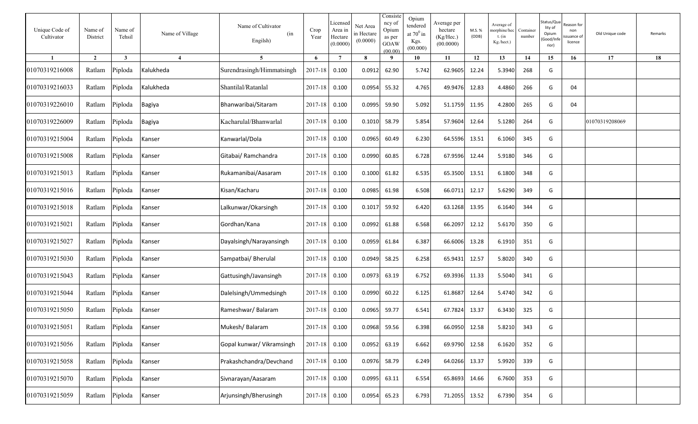| Unique Code of<br>Cultivator | Name of<br>District | Name of<br>Tehsil | Name of Village         | Name of Cultivator<br>(in<br>Engilsh) | Crop<br>Year  | Licensed<br>Area in<br>Hectare<br>(0.0000) | Net Area<br>in Hectare<br>(0.0000) | Consiste<br>ncy of<br>Opium<br>as per<br>GOAW<br>(00.00) | Opium<br>tendered<br>at $70^0$ in<br>Kgs.<br>(00.000) | Average per<br>hectare<br>(Kg/Hec.)<br>(00.0000) | M.S. %<br>(ODB) | Average of<br>norphine/hec<br>t. $(in$<br>Kg./hect.) | Container<br>number | Status/Qua<br>lity of<br>Opium<br>Good/Inf<br>rior) | रeason for<br>non<br>ssuance of<br>licence | Old Unique code | Remarks |
|------------------------------|---------------------|-------------------|-------------------------|---------------------------------------|---------------|--------------------------------------------|------------------------------------|----------------------------------------------------------|-------------------------------------------------------|--------------------------------------------------|-----------------|------------------------------------------------------|---------------------|-----------------------------------------------------|--------------------------------------------|-----------------|---------|
| -1                           | $\overline{2}$      | $\mathbf{3}$      | $\overline{\mathbf{4}}$ | 5 <sup>5</sup>                        | 6             | $\overline{7}$                             | 8                                  | -9                                                       | 10                                                    | 11                                               | 12              | 13                                                   | 14                  | 15                                                  | 16                                         | 17              | 18      |
| 01070319216008               | Ratlam              | Piploda           | Kalukheda               | Surendrasingh/Himmatsingh             | 2017-18       | 0.100                                      | 0.0912                             | 62.90                                                    | 5.742                                                 | 62.9605                                          | 12.24           | 5.3940                                               | 268                 | G                                                   |                                            |                 |         |
| 01070319216033               | Ratlam              | Piploda           | Kalukheda               | Shantilal/Ratanlal                    | 2017-18       | 0.100                                      | 0.0954                             | 55.32                                                    | 4.765                                                 | 49.9476                                          | 12.83           | 4.4860                                               | 266                 | G                                                   | 04                                         |                 |         |
| 01070319226010               | Ratlam              | Piploda           | <b>Bagiya</b>           | Bhanwaribai/Sitaram                   | 2017-18       | 0.100                                      | 0.0995                             | 59.90                                                    | 5.092                                                 | 51.1759                                          | 11.95           | 4.2800                                               | 265                 | G                                                   | 04                                         |                 |         |
| 01070319226009               | Ratlam              | Piploda           | <b>Bagiya</b>           | Kacharulal/Bhanwarlal                 | 2017-18       | 0.100                                      | 0.1010                             | 58.79                                                    | 5.854                                                 | 57.9604                                          | 12.64           | 5.1280                                               | 264                 | G                                                   |                                            | 01070319208069  |         |
| 01070319215004               | Ratlam              | Piploda           | Kanser                  | Kanwarlal/Dola                        | 2017-18       | 0.100                                      | 0.0965                             | 60.49                                                    | 6.230                                                 | 64.5596                                          | 13.51           | 6.1060                                               | 345                 | G                                                   |                                            |                 |         |
| 01070319215008               | Ratlam              | Piploda           | Kanser                  | Gitabai/ Ramchandra                   | 2017-18       | 0.100                                      | 0.0990                             | 60.85                                                    | 6.728                                                 | 67.9596                                          | 12.44           | 5.9180                                               | 346                 | G                                                   |                                            |                 |         |
| 01070319215013               | Ratlam              | Piploda           | Kanser                  | Rukamanibai/Aasaram                   | $2017 - 18$   | 0.100                                      | 0.1000                             | 61.82                                                    | 6.535                                                 | 65.3500                                          | 13.51           | 6.1800                                               | 348                 | G                                                   |                                            |                 |         |
| 01070319215016               | Ratlam              | Piploda           | Kanser                  | Kisan/Kacharu                         | $2017 - 18$   | 0.100                                      | 0.0985                             | 61.98                                                    | 6.508                                                 | 66.0711                                          | 12.17           | 5.6290                                               | 349                 | G                                                   |                                            |                 |         |
| 01070319215018               | Ratlam              | Piploda           | Kanser                  | Lalkunwar/Okarsingh                   | $2017 - 18$   | 0.100                                      | 0.1017                             | 59.92                                                    | 6.420                                                 | 63.1268                                          | 13.95           | 6.1640                                               | 344                 | G                                                   |                                            |                 |         |
| 01070319215021               | Ratlam              | Piploda           | Kanser                  | Gordhan/Kana                          | $2017 - 18$   | 0.100                                      | 0.0992                             | 61.88                                                    | 6.568                                                 | 66.2097                                          | 12.12           | 5.6170                                               | 350                 | G                                                   |                                            |                 |         |
| 01070319215027               | Ratlam              | Piploda           | Kanser                  | Dayalsingh/Narayansingh               | $2017 - 18$   | 0.100                                      | 0.0959                             | 61.84                                                    | 6.387                                                 | 66.6006                                          | 13.28           | 6.1910                                               | 351                 | G                                                   |                                            |                 |         |
| 01070319215030               | Ratlam              | Piploda           | Kanser                  | Sampatbai/ Bherulal                   | 2017-18       | 0.100                                      | 0.0949                             | 58.25                                                    | 6.258                                                 | 65.9431                                          | 12.57           | 5.8020                                               | 340                 | G                                                   |                                            |                 |         |
| 01070319215043               | Ratlam              | Piploda           | Kanser                  | Gattusingh/Javansingh                 | 2017-18       | 0.100                                      | 0.0973                             | 63.19                                                    | 6.752                                                 | 69.3936                                          | 11.33           | 5.5040                                               | 341                 | G                                                   |                                            |                 |         |
| 01070319215044               | Ratlam              | Piploda           | Kanser                  | Dalelsingh/Ummedsingh                 | 2017-18       | 0.100                                      | 0.0990                             | 60.22                                                    | 6.125                                                 | 61.8687                                          | 12.64           | 5.4740                                               | 342                 | G                                                   |                                            |                 |         |
| 01070319215050               | Ratlam              | Piploda           | Kanser                  | Rameshwar/Balaram                     | 2017-18       | 0.100                                      | 0.0965                             | 59.77                                                    | 6.541                                                 | 67.7824                                          | 13.37           | 6.3430                                               | 325                 | G                                                   |                                            |                 |         |
| 01070319215051               | Ratlam              | Piploda           | Kanser                  | Mukesh/Balaram                        | 2017-18 0.100 |                                            |                                    | 0.0968 59.56                                             | 6.398                                                 | 66.0950 12.58                                    |                 | 5.8210                                               | 343                 | G                                                   |                                            |                 |         |
| 01070319215056               | Ratlam              | Piploda           | Kanser                  | Gopal kunwar/ Vikramsingh             | 2017-18 0.100 |                                            |                                    | 0.0952 63.19                                             | 6.662                                                 | 69.9790 12.58                                    |                 | 6.1620                                               | 352                 | G                                                   |                                            |                 |         |
| 01070319215058               | Ratlam              | Piploda           | Kanser                  | Prakashchandra/Devchand               | 2017-18 0.100 |                                            |                                    | 0.0976 58.79                                             | 6.249                                                 | 64.0266 13.37                                    |                 | 5.9920                                               | 339                 | G                                                   |                                            |                 |         |
| 01070319215070               | Ratlam              | Piploda           | Kanser                  | Sivnarayan/Aasaram                    | 2017-18 0.100 |                                            |                                    | $0.0995$ 63.11                                           | 6.554                                                 | 65.8693                                          | 14.66           | 6.7600                                               | 353                 | G                                                   |                                            |                 |         |
| 01070319215059               | Ratlam              | Piploda           | Kanser                  | Arjunsingh/Bherusingh                 | 2017-18 0.100 |                                            | 0.0954                             | 65.23                                                    | 6.793                                                 | 71.2055 13.52                                    |                 | 6.7390                                               | 354                 | G                                                   |                                            |                 |         |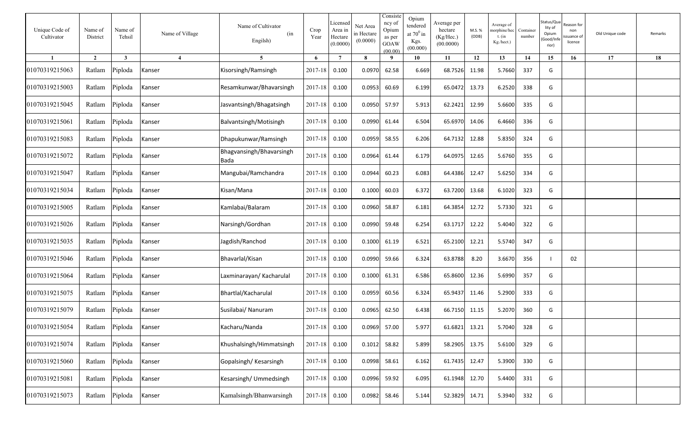| Unique Code of<br>Cultivator | Name of<br>District | Name of<br>Tehsil | Name of Village        | Name of Cultivator<br>(in<br>Engilsh) | Crop<br>Year  | Licensee<br>Area in<br>Hectare<br>(0.0000) | Net Area<br>in Hectare<br>(0.0000) | Consiste<br>ncy of<br>Opium<br>as per<br><b>GOAW</b><br>(00.00) | Opium<br>tendered<br>at $70^0$ in<br>Kgs.<br>(00.000) | Average per<br>hectare<br>(Kg/Hec.)<br>(00.0000) | M.S. %<br>(ODB) | Average of<br>norphine/hec<br>$t.$ (in<br>$Kg/hect.$ ) | Container<br>number | Status/Qua<br>lity of<br>Opium<br>Good/Inf<br>rior) | ≀eason for<br>non<br>ssuance of<br>licence | Old Unique code | Remarks |
|------------------------------|---------------------|-------------------|------------------------|---------------------------------------|---------------|--------------------------------------------|------------------------------------|-----------------------------------------------------------------|-------------------------------------------------------|--------------------------------------------------|-----------------|--------------------------------------------------------|---------------------|-----------------------------------------------------|--------------------------------------------|-----------------|---------|
| $\mathbf{1}$                 | $\overline{2}$      | $\mathbf{3}$      | $\boldsymbol{\Lambda}$ | 5 <sup>5</sup>                        | 6             | $\overline{7}$                             | 8                                  | 9                                                               | 10                                                    | 11                                               | 12              | 13                                                     | 14                  | 15                                                  | 16                                         | 17              | 18      |
| 01070319215063               | Ratlam              | Piploda           | Kanser                 | Kisorsingh/Ramsingh                   | 2017-18       | 0.100                                      | 0.0970                             | 62.58                                                           | 6.669                                                 | 68.7526                                          | 11.98           | 5.7660                                                 | 337                 | G                                                   |                                            |                 |         |
| 01070319215003               | Ratlam              | Piploda           | Kanser                 | Resamkunwar/Bhavarsingh               | 2017-18       | 0.100                                      | 0.0953                             | 60.69                                                           | 6.199                                                 | 65.0472                                          | 13.73           | 6.2520                                                 | 338                 | G                                                   |                                            |                 |         |
| 01070319215045               | Ratlam              | Piploda           | Kanser                 | Jasvantsingh/Bhagatsingh              | 2017-18       | 0.100                                      | 0.0950                             | 57.97                                                           | 5.913                                                 | 62.2421                                          | 12.99           | 5.6600                                                 | 335                 | G                                                   |                                            |                 |         |
| 01070319215061               | Ratlam              | Piploda           | Kanser                 | Balvantsingh/Motisingh                | 2017-18       | 0.100                                      | 0.0990                             | 61.44                                                           | 6.504                                                 | 65.6970                                          | 14.06           | 6.4660                                                 | 336                 | G                                                   |                                            |                 |         |
| 01070319215083               | Ratlam              | Piploda           | Kanser                 | Dhapukunwar/Ramsingh                  | 2017-18       | 0.100                                      | 0.0959                             | 58.55                                                           | 6.206                                                 | 64.7132                                          | 12.88           | 5.8350                                                 | 324                 | G                                                   |                                            |                 |         |
| 01070319215072               | Ratlam              | Piploda           | Kanser                 | Bhagvansingh/Bhavarsingh<br>Bada      | 2017-18       | 0.100                                      | 0.0964                             | 61.44                                                           | 6.179                                                 | 64.0975                                          | 12.65           | 5.6760                                                 | 355                 | G                                                   |                                            |                 |         |
| 01070319215047               | Ratlam              | Piploda           | Kanser                 | Mangubai/Ramchandra                   | 2017-18       | 0.100                                      | 0.0944                             | 60.23                                                           | 6.083                                                 | 64.4386                                          | 12.47           | 5.6250                                                 | 334                 | G                                                   |                                            |                 |         |
| 01070319215034               | Ratlam              | Piploda           | Kanser                 | Kisan/Mana                            | 2017-18       | 0.100                                      | 0.1000                             | 60.03                                                           | 6.372                                                 | 63.7200                                          | 13.68           | 6.1020                                                 | 323                 | G                                                   |                                            |                 |         |
| 01070319215005               | Ratlam              | Piploda           | Kanser                 | Kamlabai/Balaram                      | 2017-18       | 0.100                                      | 0.0960                             | 58.87                                                           | 6.181                                                 | 64.3854                                          | 12.72           | 5.7330                                                 | 321                 | G                                                   |                                            |                 |         |
| 01070319215026               | Ratlam              | Piploda           | Kanser                 | Narsingh/Gordhan                      | 2017-18       | 0.100                                      | 0.0990                             | 59.48                                                           | 6.254                                                 | 63.1717                                          | 12.22           | 5.4040                                                 | 322                 | G                                                   |                                            |                 |         |
| 01070319215035               | Ratlam              | Piploda           | Kanser                 | Jagdish/Ranchod                       | 2017-18       | 0.100                                      | 0.1000                             | 61.19                                                           | 6.521                                                 | 65.2100                                          | 12.21           | 5.5740                                                 | 347                 | G                                                   |                                            |                 |         |
| 01070319215046               | Ratlam              | Piploda           | Kanser                 | Bhavarlal/Kisan                       | 2017-18       | 0.100                                      | 0.0990                             | 59.66                                                           | 6.324                                                 | 63.8788                                          | 8.20            | 3.6670                                                 | 356                 |                                                     | 02                                         |                 |         |
| 01070319215064               | Ratlam              | Piploda           | Kanser                 | Laxminarayan/ Kacharulal              | 2017-18       | 0.100                                      | 0.1000                             | 61.31                                                           | 6.586                                                 | 65.8600                                          | 12.36           | 5.6990                                                 | 357                 | G                                                   |                                            |                 |         |
| 01070319215075               | Ratlam              | Piploda           | Kanser                 | Bhartlal/Kacharulal                   | 2017-18       | 0.100                                      | 0.0959                             | 60.56                                                           | 6.324                                                 | 65.9437                                          | 11.46           | 5.2900                                                 | 333                 | G                                                   |                                            |                 |         |
| 01070319215079               | Ratlam              | Piploda           | Kanser                 | Susilabai/ Nanuram                    | 2017-18       | 0.100                                      | 0.0965                             | 62.50                                                           | 6.438                                                 | 66.7150                                          | 11.15           | 5.2070                                                 | 360                 | G                                                   |                                            |                 |         |
| 01070319215054               | Ratlam              | Piploda           | Kanser                 | Kacharu/Nanda                         | 2017-18 0.100 |                                            | 0.0969                             | 57.00                                                           | 5.977                                                 | 61.6821                                          | 13.21           | 5.7040                                                 | 328                 | G                                                   |                                            |                 |         |
| 01070319215074               | Ratlam              | Piploda           | Kanser                 | Khushalsingh/Himmatsingh              | 2017-18       | 0.100                                      | 0.1012                             | 58.82                                                           | 5.899                                                 | 58.2905                                          | 13.75           | 5.6100                                                 | 329                 | G                                                   |                                            |                 |         |
| 01070319215060               | Ratlam              | Piploda           | Kanser                 | Gopalsingh/Kesarsingh                 | 2017-18       | 0.100                                      | 0.0998                             | 58.61                                                           | 6.162                                                 | 61.7435                                          | 12.47           | 5.3900                                                 | 330                 | G                                                   |                                            |                 |         |
| 01070319215081               | Ratlam              | Piploda           | Kanser                 | Kesarsingh/ Ummedsingh                | 2017-18       | 0.100                                      | 0.0996                             | 59.92                                                           | 6.095                                                 | 61.1948                                          | 12.70           | 5.4400                                                 | 331                 | G                                                   |                                            |                 |         |
| 01070319215073               | Ratlam              | Piploda           | Kanser                 | Kamalsingh/Bhanwarsingh               | 2017-18       | 0.100                                      | 0.0982                             | 58.46                                                           | 5.144                                                 | 52.3829                                          | 14.71           | 5.3940                                                 | 332                 | G                                                   |                                            |                 |         |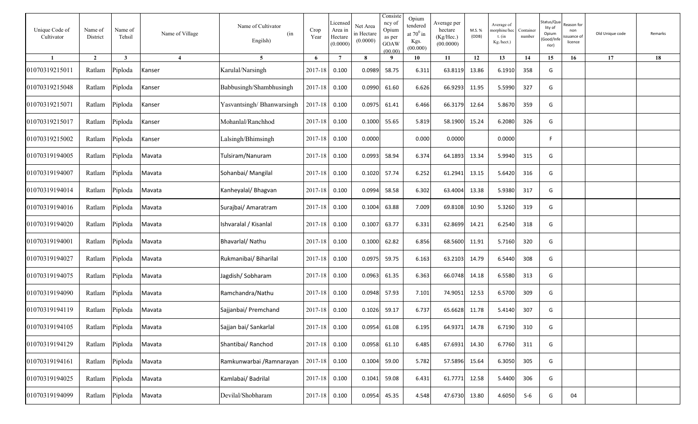| Unique Code of<br>Cultivator | Name of<br>District | Name of<br>Tehsil | Name of Village        | Name of Cultivator<br>(in<br>Engilsh) | Crop<br>Year  | Licensed<br>Area in<br>Hectare<br>(0.0000) | Net Area<br>in Hectare<br>(0.0000) | Consiste<br>ncy of<br>Opium<br>as per<br>GOAW<br>(00.00) | Opium<br>tendered<br>at $70^0\,\mathrm{in}$<br>Kgs.<br>(00.000) | Average per<br>hectare<br>(Kg/Hec.)<br>(00.0000) | M.S. %<br>(ODB) | Average of<br>norphine/hec<br>t. $(in$<br>Kg./hect.) | Container<br>number | Status/Qua<br>lity of<br>Opium<br>Good/Inf<br>rior) | ≀eason for<br>non<br>ssuance of<br>licence | Old Unique code | Remarks |
|------------------------------|---------------------|-------------------|------------------------|---------------------------------------|---------------|--------------------------------------------|------------------------------------|----------------------------------------------------------|-----------------------------------------------------------------|--------------------------------------------------|-----------------|------------------------------------------------------|---------------------|-----------------------------------------------------|--------------------------------------------|-----------------|---------|
|                              | $\overline{2}$      | $\mathbf{3}$      | $\boldsymbol{\Lambda}$ | $5\overline{)}$                       | 6             | $\overline{7}$                             | 8                                  | - 9                                                      | 10                                                              | 11                                               | 12              | 13                                                   | 14                  | 15                                                  | 16                                         | 17              | 18      |
| 01070319215011               | Ratlam              | Piploda           | Kanser                 | Karulal/Narsingh                      | 2017-18       | 0.100                                      | 0.0989                             | 58.75                                                    | 6.311                                                           | 63.8119                                          | 13.86           | 6.1910                                               | 358                 | G                                                   |                                            |                 |         |
| 01070319215048               | Ratlam              | Piploda           | Kanser                 | Babbusingh/Shambhusingh               | 2017-18       | 0.100                                      | 0.0990                             | 61.60                                                    | 6.626                                                           | 66.9293                                          | 11.95           | 5.5990                                               | 327                 | G                                                   |                                            |                 |         |
| 01070319215071               | Ratlam              | Piploda           | Kanser                 | Yasvantsingh/Bhanwarsingh             | $2017 - 18$   | 0.100                                      | 0.0975                             | 61.41                                                    | 6.466                                                           | 66.3179                                          | 12.64           | 5.8670                                               | 359                 | G                                                   |                                            |                 |         |
| 01070319215017               | Ratlam              | Piploda           | Kanser                 | Mohanlal/Ranchhod                     | 2017-18       | 0.100                                      | 0.1000                             | 55.65                                                    | 5.819                                                           | 58.1900                                          | 15.24           | 6.2080                                               | 326                 | G                                                   |                                            |                 |         |
| 01070319215002               | Ratlam              | Piploda           | Kanser                 | Lalsingh/Bhimsingh                    | 2017-18       | 0.100                                      | 0.0000                             |                                                          | 0.000                                                           | 0.0000                                           |                 | 0.0000                                               |                     | F.                                                  |                                            |                 |         |
| 01070319194005               | Ratlam              | Piploda           | Mavata                 | Tulsiram/Nanuram                      | 2017-18       | 0.100                                      | 0.0993                             | 58.94                                                    | 6.374                                                           | 64.1893                                          | 13.34           | 5.9940                                               | 315                 | G                                                   |                                            |                 |         |
| 01070319194007               | Ratlam              | Piploda           | Mavata                 | Sohanbai/ Mangilal                    | 2017-18       | 0.100                                      | 0.1020                             | 57.74                                                    | 6.252                                                           | 61.2941                                          | 13.15           | 5.6420                                               | 316                 | G                                                   |                                            |                 |         |
| 01070319194014               | Ratlam              | Piploda           | Mavata                 | Kanheyalal/ Bhagvan                   | $2017 - 18$   | 0.100                                      | 0.0994                             | 58.58                                                    | 6.302                                                           | 63.4004                                          | 13.38           | 5.9380                                               | 317                 | G                                                   |                                            |                 |         |
| 01070319194016               | Ratlam              | Piploda           | Mavata                 | Surajbai/ Amaratram                   | $2017 - 18$   | 0.100                                      | 0.1004                             | 63.88                                                    | 7.009                                                           | 69.8108                                          | 10.90           | 5.3260                                               | 319                 | G                                                   |                                            |                 |         |
| 01070319194020               | Ratlam              | Piploda           | Mavata                 | Ishvaralal / Kisanlal                 | $2017 - 18$   | 0.100                                      | 0.1007                             | 63.77                                                    | 6.331                                                           | 62.8699                                          | 14.21           | 6.2540                                               | 318                 | G                                                   |                                            |                 |         |
| 01070319194001               | Ratlam              | Piploda           | Mavata                 | Bhavarlal/ Nathu                      | 2017-18       | 0.100                                      | 0.1000                             | 62.82                                                    | 6.856                                                           | 68.5600                                          | 11.91           | 5.7160                                               | 320                 | G                                                   |                                            |                 |         |
| 01070319194027               | Ratlam              | Piploda           | Mavata                 | Rukmanibai/ Biharilal                 | $2017 - 18$   | 0.100                                      | 0.0975                             | 59.75                                                    | 6.163                                                           | 63.2103                                          | 14.79           | 6.5440                                               | 308                 | G                                                   |                                            |                 |         |
| 01070319194075               | Ratlam              | Piploda           | Mavata                 | Jagdish/Sobharam                      | $2017 - 18$   | 0.100                                      | 0.0963                             | 61.35                                                    | 6.363                                                           | 66.0748                                          | 14.18           | 6.5580                                               | 313                 | G                                                   |                                            |                 |         |
| 01070319194090               | Ratlam              | Piploda           | Mavata                 | Ramchandra/Nathu                      | 2017-18       | 0.100                                      | 0.0948                             | 57.93                                                    | 7.101                                                           | 74.9051                                          | 12.53           | 6.5700                                               | 309                 | G                                                   |                                            |                 |         |
| 01070319194119               | Ratlam              | Piploda           | Mavata                 | Sajjanbai/ Premchand                  | 2017-18       | 0.100                                      | 0.1026                             | 59.17                                                    | 6.737                                                           | 65.6628                                          | 11.78           | 5.4140                                               | 307                 | G                                                   |                                            |                 |         |
| 01070319194105               | Ratlam              | Piploda           | Mavata                 | Sajjan bai/ Sankarlal                 | 2017-18 0.100 |                                            |                                    | 0.0954 61.08                                             | 6.195                                                           | 64.9371 14.78                                    |                 | 6.7190                                               | 310                 | G                                                   |                                            |                 |         |
| 01070319194129               | Ratlam              | Piploda           | Mavata                 | Shantibai/ Ranchod                    | 2017-18 0.100 |                                            |                                    | $0.0958$ 61.10                                           | 6.485                                                           | 67.6931 14.30                                    |                 | 6.7760                                               | 311                 | G                                                   |                                            |                 |         |
| 01070319194161               | Ratlam              | Piploda           | Mavata                 | Ramkunwarbai / Ramnarayan             | 2017-18 0.100 |                                            |                                    | 0.1004 59.00                                             | 5.782                                                           | 57.5896 15.64                                    |                 | 6.3050                                               | 305                 | G                                                   |                                            |                 |         |
| 01070319194025               | Ratlam              | Piploda           | Mavata                 | Kamlabai/ Badrilal                    | 2017-18 0.100 |                                            |                                    | 0.1041 59.08                                             | 6.431                                                           | 61.7771 12.58                                    |                 | 5.4400                                               | 306                 | G                                                   |                                            |                 |         |
| 01070319194099               | Ratlam              | Piploda           | Mavata                 | Devilal/Shobharam                     | 2017-18 0.100 |                                            |                                    | 0.0954 45.35                                             | 4.548                                                           | 47.6730                                          | 13.80           | 4.6050                                               | $S-6$               | G                                                   | 04                                         |                 |         |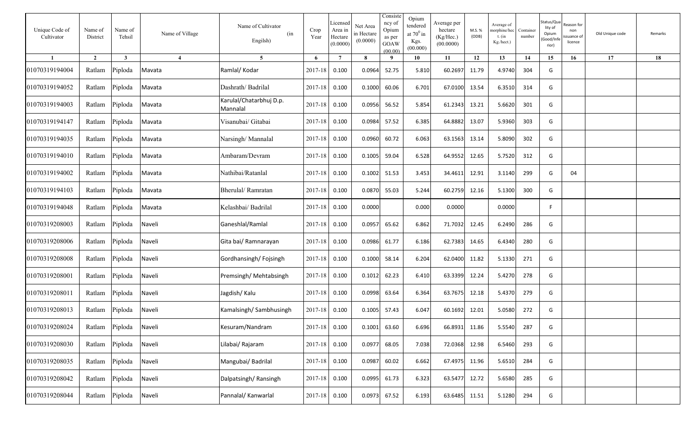| Unique Code of<br>Cultivator | Name of<br>District | Name of<br>Tehsil | Name of Village        | Name of Cultivator<br>(in<br>Engilsh) | Crop<br>Year  | Licensed<br>Area in<br>Hectare<br>(0.0000) | Net Area<br>in Hectare<br>(0.0000) | Consiste<br>ncy of<br>Opium<br>as per<br>GOAW<br>(00.00) | Opium<br>tendered<br>at $70^0$ in<br>Kgs.<br>(00.000) | Average per<br>hectare<br>(Kg/Hec.)<br>(00.0000) | M.S. %<br>(ODB) | Average of<br>norphine/hec<br>$t.$ (in<br>$Kg/hect.$ ) | Container<br>number | Status/Qua<br>lity of<br>Opium<br>Good/Inf<br>rior) | ≀eason for<br>non<br>ssuance of<br>licence | Old Unique code | Remarks |
|------------------------------|---------------------|-------------------|------------------------|---------------------------------------|---------------|--------------------------------------------|------------------------------------|----------------------------------------------------------|-------------------------------------------------------|--------------------------------------------------|-----------------|--------------------------------------------------------|---------------------|-----------------------------------------------------|--------------------------------------------|-----------------|---------|
| $\mathbf{1}$                 | $\overline{2}$      | $\mathbf{3}$      | $\boldsymbol{\Lambda}$ | 5 <sup>5</sup>                        | 6             | $7\phantom{.0}$                            | 8                                  | 9                                                        | 10                                                    | 11                                               | 12              | 13                                                     | 14                  | 15                                                  | 16                                         | 17              | 18      |
| 01070319194004               | Ratlam              | Piploda           | Mavata                 | Ramlal/ Kodar                         | 2017-18       | 0.100                                      | 0.0964                             | 52.75                                                    | 5.810                                                 | 60.2697                                          | 11.79           | 4.9740                                                 | 304                 | G                                                   |                                            |                 |         |
| 01070319194052               | Ratlam              | Piploda           | Mavata                 | Dashrath/Badrilal                     | 2017-18       | 0.100                                      | 0.1000                             | 60.06                                                    | 6.701                                                 | 67.0100                                          | 13.54           | 6.3510                                                 | 314                 | G                                                   |                                            |                 |         |
| 01070319194003               | Ratlam              | Piploda           | Mavata                 | Karulal/Chatarbhuj D.p.<br>Mannalal   | 2017-18       | 0.100                                      | 0.0956                             | 56.52                                                    | 5.854                                                 | 61.2343                                          | 13.21           | 5.6620                                                 | 301                 | G                                                   |                                            |                 |         |
| 01070319194147               | Ratlam              | Piploda           | Mavata                 | Visanubai/ Gitabai                    | 2017-18       | 0.100                                      | 0.0984                             | 57.52                                                    | 6.385                                                 | 64.8882                                          | 13.07           | 5.9360                                                 | 303                 | G                                                   |                                            |                 |         |
| 01070319194035               | Ratlam              | Piploda           | Mavata                 | Narsingh/Mannalal                     | 2017-18       | 0.100                                      | 0.0960                             | 60.72                                                    | 6.063                                                 | 63.1563                                          | 13.14           | 5.8090                                                 | 302                 | G                                                   |                                            |                 |         |
| 01070319194010               | Ratlam              | Piploda           | Mavata                 | Ambaram/Devram                        | 2017-18       | 0.100                                      | 0.1005                             | 59.04                                                    | 6.528                                                 | 64.9552                                          | 12.65           | 5.7520                                                 | 312                 | G                                                   |                                            |                 |         |
| 01070319194002               | Ratlam              | Piploda           | Mavata                 | Nathibai/Ratanlal                     | 2017-18       | 0.100                                      | 0.1002                             | 51.53                                                    | 3.453                                                 | 34.4611                                          | 12.91           | 3.1140                                                 | 299                 | G                                                   | 04                                         |                 |         |
| 01070319194103               | Ratlam              | Piploda           | Mavata                 | Bherulal/Ramratan                     | 2017-18       | 0.100                                      | 0.0870                             | 55.03                                                    | 5.244                                                 | 60.2759                                          | 12.16           | 5.1300                                                 | 300                 | G                                                   |                                            |                 |         |
| 01070319194048               | Ratlam              | Piploda           | Mavata                 | Kelashbai/ Badrilal                   | 2017-18       | 0.100                                      | 0.0000                             |                                                          | 0.000                                                 | 0.0000                                           |                 | 0.0000                                                 |                     | F                                                   |                                            |                 |         |
| 01070319208003               | Ratlam              | Piploda           | Naveli                 | Ganeshlal/Ramlal                      | 2017-18       | 0.100                                      | 0.0957                             | 65.62                                                    | 6.862                                                 | 71.7032                                          | 12.45           | 6.2490                                                 | 286                 | G                                                   |                                            |                 |         |
| 01070319208006               | Ratlam              | Piploda           | Naveli                 | Gita bai/ Ramnarayan                  | 2017-18       | 0.100                                      | 0.0986                             | 61.77                                                    | 6.186                                                 | 62.7383                                          | 14.65           | 6.4340                                                 | 280                 | G                                                   |                                            |                 |         |
| 01070319208008               | Ratlam              | Piploda           | Naveli                 | Gordhansingh/Fojsingh                 | 2017-18       | 0.100                                      | 0.1000                             | 58.14                                                    | 6.204                                                 | 62.0400                                          | 11.82           | 5.1330                                                 | 271                 | G                                                   |                                            |                 |         |
| 01070319208001               | Ratlam              | Piploda           | Naveli                 | Premsingh/ Mehtabsingh                | 2017-18       | 0.100                                      | 0.1012                             | 62.23                                                    | 6.410                                                 | 63.3399                                          | 12.24           | 5.4270                                                 | 278                 | G                                                   |                                            |                 |         |
| 01070319208011               | Ratlam              | Piploda           | Naveli                 | Jagdish/Kalu                          | 2017-18       | 0.100                                      | 0.0998                             | 63.64                                                    | 6.364                                                 | 63.7675                                          | 12.18           | 5.4370                                                 | 279                 | G                                                   |                                            |                 |         |
| 01070319208013               | Ratlam              | Piploda           | Naveli                 | Kamalsingh/Sambhusingh                | 2017-18       | 0.100                                      | 0.1005                             | 57.43                                                    | 6.047                                                 | 60.1692                                          | 12.01           | 5.0580                                                 | 272                 | G                                                   |                                            |                 |         |
| 01070319208024               | Ratlam Piploda      |                   | Naveli                 | Kesuram/Nandram                       | 2017-18 0.100 |                                            | 0.1001                             | 63.60                                                    | 6.696                                                 | 66.8931                                          | 11.86           | 5.5540                                                 | 287                 | G                                                   |                                            |                 |         |
| 01070319208030               |                     | Ratlam Piploda    | Naveli                 | Lilabai/ Rajaram                      | 2017-18       | 0.100                                      | 0.0977                             | 68.05                                                    | 7.038                                                 | 72.0368                                          | 12.98           | 6.5460                                                 | 293                 | G                                                   |                                            |                 |         |
| 01070319208035               |                     | Ratlam Piploda    | Naveli                 | Mangubai/ Badrilal                    | 2017-18 0.100 |                                            | 0.0987                             | 60.02                                                    | 6.662                                                 | 67.4975                                          | 11.96           | 5.6510                                                 | 284                 | G                                                   |                                            |                 |         |
| 01070319208042               | Ratlam              | Piploda           | Naveli                 | Dalpatsingh/Ransingh                  | $2017 - 18$   | 0.100                                      | 0.0995                             | 61.73                                                    | 6.323                                                 | 63.5477                                          | 12.72           | 5.6580                                                 | 285                 | G                                                   |                                            |                 |         |
| 01070319208044               | Ratlam Piploda      |                   | Naveli                 | Pannalal/ Kanwarlal                   | 2017-18       | 0.100                                      | 0.0973                             | 67.52                                                    | 6.193                                                 | 63.6485                                          | 11.51           | 5.1280                                                 | 294                 | G                                                   |                                            |                 |         |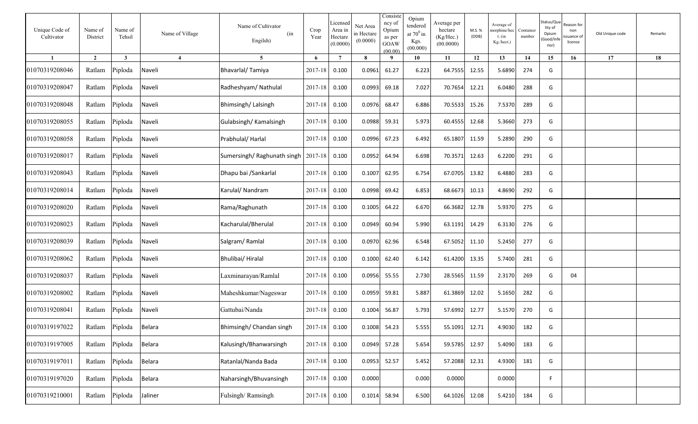| Unique Code of<br>Cultivator | Name of<br>District | Name of<br>Tehsil | Name of Village | Name of Cultivator<br>(in<br>Engilsh) | Crop<br>Year | Licenseo<br>Area in<br>Hectare<br>(0.0000) | Net Area<br>in Hectare<br>(0.0000) | Consiste<br>ncy of<br>Opium<br>as per<br>GOAW<br>(00.00) | Opium<br>tendered<br>at $70^0$ in<br>Kgs.<br>(00.000) | Average per<br>hectare<br>(Kg/Hec.)<br>(00.0000) | M.S. %<br>(ODB) | Average of<br>norphine/hec<br>$t.$ (in<br>Kg./hect.) | Container<br>number | Status/Qu<br>lity of<br>Opium<br>Good/Inf<br>rior) | leason for<br>non<br>ssuance of<br>licence | Old Unique code | Remarks |
|------------------------------|---------------------|-------------------|-----------------|---------------------------------------|--------------|--------------------------------------------|------------------------------------|----------------------------------------------------------|-------------------------------------------------------|--------------------------------------------------|-----------------|------------------------------------------------------|---------------------|----------------------------------------------------|--------------------------------------------|-----------------|---------|
| -1                           | $\overline{2}$      | $\mathbf{3}$      | $\overline{4}$  | 5 <sup>5</sup>                        | 6            | $\overline{7}$                             | 8                                  | - 9                                                      | 10                                                    | 11                                               | 12              | 13                                                   | 14                  | 15                                                 | 16                                         | 17              | 18      |
| 01070319208046               | Ratlam              | Piploda           | Naveli          | Bhavarlal/Tamiya                      | 2017-18      | 0.100                                      | 0.0961                             | 61.27                                                    | 6.223                                                 | 64.7555                                          | 12.55           | 5.6890                                               | 274                 | G                                                  |                                            |                 |         |
| 01070319208047               | Ratlam              | Piploda           | Naveli          | Radheshyam/ Nathulal                  | 2017-18      | 0.100                                      | 0.0993                             | 69.18                                                    | 7.027                                                 | 70.7654                                          | 12.21           | 6.0480                                               | 288                 | G                                                  |                                            |                 |         |
| 01070319208048               | Ratlam              | Piploda           | Naveli          | Bhimsingh/Lalsingh                    | 2017-18      | 0.100                                      | 0.0976                             | 68.47                                                    | 6.886                                                 | 70.5533                                          | 15.26           | 7.5370                                               | 289                 | G                                                  |                                            |                 |         |
| 01070319208055               | Ratlam              | Piploda           | Naveli          | Gulabsingh/ Kamalsingh                | 2017-18      | 0.100                                      | 0.0988                             | 59.31                                                    | 5.973                                                 | 60.4555                                          | 12.68           | 5.3660                                               | 273                 | G                                                  |                                            |                 |         |
| 01070319208058               | Ratlam              | Piploda           | Naveli          | Prabhulal/ Harlal                     | 2017-18      | 0.100                                      | 0.0996                             | 67.23                                                    | 6.492                                                 | 65.1807                                          | 11.59           | 5.2890                                               | 290                 | G                                                  |                                            |                 |         |
| 01070319208017               | Ratlam              | Piploda           | Naveli          | Sumersingh/ Raghunath singh           | 2017-18      | 0.100                                      | 0.0952                             | 64.94                                                    | 6.698                                                 | 70.3571                                          | 12.63           | 6.2200                                               | 291                 | G                                                  |                                            |                 |         |
| 01070319208043               | Ratlam              | Piploda           | Naveli          | Dhapu bai /Sankarlal                  | 2017-18      | 0.100                                      | 0.1007                             | 62.95                                                    | 6.754                                                 | 67.0705                                          | 13.82           | 6.4880                                               | 283                 | G                                                  |                                            |                 |         |
| 01070319208014               | Ratlam              | Piploda           | Naveli          | Karulal/ Nandram                      | 2017-18      | 0.100                                      | 0.0998                             | 69.42                                                    | 6.853                                                 | 68.6673                                          | 10.13           | 4.8690                                               | 292                 | G                                                  |                                            |                 |         |
| 01070319208020               | Ratlam              | Piploda           | Naveli          | Rama/Raghunath                        | 2017-18      | 0.100                                      | 0.1005                             | 64.22                                                    | 6.670                                                 | 66.3682                                          | 12.78           | 5.9370                                               | 275                 | G                                                  |                                            |                 |         |
| 01070319208023               | Ratlam              | Piploda           | Naveli          | Kacharulal/Bherulal                   | 2017-18      | 0.100                                      | 0.0949                             | 60.94                                                    | 5.990                                                 | 63.1191                                          | 14.29           | 6.3130                                               | 276                 | G                                                  |                                            |                 |         |
| 01070319208039               | Ratlam              | Piploda           | Naveli          | Salgram/Ramlal                        | 2017-18      | 0.100                                      | 0.0970                             | 62.96                                                    | 6.548                                                 | 67.5052                                          | 11.10           | 5.2450                                               | 277                 | G                                                  |                                            |                 |         |
| 01070319208062               | Ratlam              | Piploda           | Naveli          | Bhulibai/ Hiralal                     | 2017-18      | 0.100                                      | 0.1000                             | 62.40                                                    | 6.142                                                 | 61.4200                                          | 13.35           | 5.7400                                               | 281                 | G                                                  |                                            |                 |         |
| 01070319208037               | Ratlam              | Piploda           | Naveli          | Laxminarayan/Ramlal                   | 2017-18      | 0.100                                      | 0.0956                             | 55.55                                                    | 2.730                                                 | 28.5565                                          | 11.59           | 2.3170                                               | 269                 | G                                                  | 04                                         |                 |         |
| 01070319208002               | Ratlam              | Piploda           | Naveli          | Maheshkumar/Nageswar                  | 2017-18      | 0.100                                      | 0.0959                             | 59.81                                                    | 5.887                                                 | 61.3869                                          | 12.02           | 5.1650                                               | 282                 | G                                                  |                                            |                 |         |
| 01070319208041               | Ratlam              | Piploda           | Naveli          | Gattubai/Nanda                        | 2017-18      | 0.100                                      | 0.1004                             | 56.87                                                    | 5.793                                                 | 57.6992                                          | 12.77           | 5.1570                                               | 270                 | G                                                  |                                            |                 |         |
| 01070319197022               | Ratlam              | Piploda           | Belara          | Bhimsingh/ Chandan singh              | $2017 - 18$  | 0.100                                      | 0.1008                             | 54.23                                                    | 5.555                                                 | 55.1091 12.71                                    |                 | 4.9030                                               | 182                 | G                                                  |                                            |                 |         |
| 01070319197005               | Ratlam              | Piploda           | Belara          | Kalusingh/Bhanwarsingh                | 2017-18      | 0.100                                      | 0.0949                             | 57.28                                                    | 5.654                                                 | 59.5785                                          | 12.97           | 5.4090                                               | 183                 | G                                                  |                                            |                 |         |
| 01070319197011               | Ratlam              | Piploda           | Belara          | Ratanlal/Nanda Bada                   | 2017-18      | 0.100                                      | 0.0953                             | 52.57                                                    | 5.452                                                 | 57.2088                                          | 12.31           | 4.9300                                               | 181                 | G                                                  |                                            |                 |         |
| 01070319197020               | Ratlam              | Piploda           | <b>Belara</b>   | Naharsingh/Bhuvansingh                | 2017-18      | 0.100                                      | 0.0000                             |                                                          | 0.000                                                 | 0.0000                                           |                 | 0.0000                                               |                     | F.                                                 |                                            |                 |         |
| 01070319210001               | Ratlam              | Piploda           | Jaliner         | Fulsingh/Ramsingh                     | 2017-18      | 0.100                                      | 0.1014                             | 58.94                                                    | 6.500                                                 | 64.1026                                          | 12.08           | 5.4210                                               | 184                 | G                                                  |                                            |                 |         |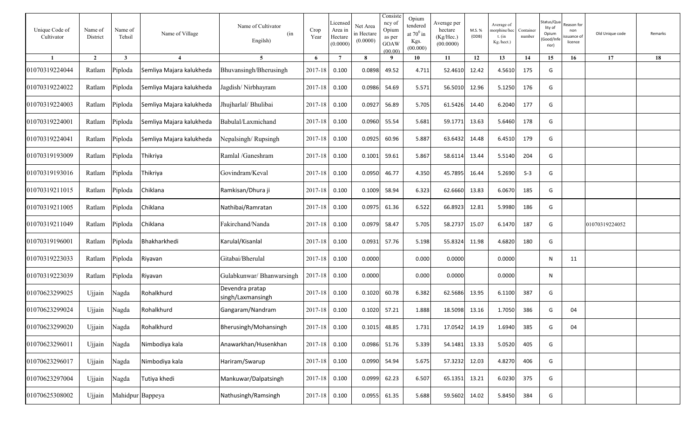| Unique Code of<br>Cultivator | Name of<br>District | Name of<br>Tehsil | Name of Village          | Name of Cultivator<br>(in<br>Engilsh) | Crop<br>Year  | Licensed<br>Area in<br>Hectare<br>(0.0000) | Net Area<br>in Hectare<br>(0.0000) | Consiste<br>ncy of<br>Opium<br>as per<br>GOAW<br>(00.00) | Opium<br>tendered<br>at $70^0$ in<br>Kgs.<br>(00.000) | Average per<br>hectare<br>(Kg/Hec.)<br>(00.0000) | M.S. %<br>(ODB) | Average of<br>norphine/hec<br>$t.$ (in<br>Kg./hect.) | Container<br>number | Status/Qua<br>lity of<br>Opium<br>Good/Inf<br>rior) | ≀eason for<br>non<br>ssuance of<br>licence | Old Unique code | Remarks |
|------------------------------|---------------------|-------------------|--------------------------|---------------------------------------|---------------|--------------------------------------------|------------------------------------|----------------------------------------------------------|-------------------------------------------------------|--------------------------------------------------|-----------------|------------------------------------------------------|---------------------|-----------------------------------------------------|--------------------------------------------|-----------------|---------|
|                              | $\overline{2}$      | $\mathbf{3}$      | $\boldsymbol{\Lambda}$   | $5\overline{)}$                       | 6             | $\overline{7}$                             | 8                                  | - 9                                                      | 10                                                    | 11                                               | 12              | 13                                                   | 14                  | 15                                                  | 16                                         | 17              | 18      |
| 01070319224044               | Ratlam              | Piploda           | Semliya Majara kalukheda | Bhuvansingh/Bherusingh                | 2017-18       | 0.100                                      | 0.0898                             | 49.52                                                    | 4.711                                                 | 52.4610                                          | 12.42           | 4.5610                                               | 175                 | G                                                   |                                            |                 |         |
| 01070319224022               | Ratlam              | Piploda           | Semliya Majara kalukheda | Jagdish/Nirbhayram                    | 2017-18       | 0.100                                      | 0.0986                             | 54.69                                                    | 5.571                                                 | 56.5010                                          | 12.96           | 5.1250                                               | 176                 | G                                                   |                                            |                 |         |
| 01070319224003               | Ratlam              | Piploda           | Semliya Majara kalukheda | Jhujharlal/ Bhulibai                  | $2017 - 18$   | 0.100                                      | 0.0927                             | 56.89                                                    | 5.705                                                 | 61.5426                                          | 14.40           | 6.2040                                               | 177                 | G                                                   |                                            |                 |         |
| 01070319224001               | Ratlam              | Piploda           | Semliya Majara kalukheda | Babulal/Laxmichand                    | 2017-18       | 0.100                                      | 0.0960                             | 55.54                                                    | 5.681                                                 | 59.1771                                          | 13.63           | 5.6460                                               | 178                 | G                                                   |                                            |                 |         |
| 01070319224041               | Ratlam              | Piploda           | Semliya Majara kalukheda | Nepalsingh/Rupsingh                   | 2017-18       | 0.100                                      | 0.0925                             | 60.96                                                    | 5.887                                                 | 63.6432                                          | 14.48           | 6.4510                                               | 179                 | G                                                   |                                            |                 |         |
| 01070319193009               | Ratlam              | Piploda           | Thikriya                 | Ramlal /Ganeshram                     | 2017-18       | 0.100                                      | 0.1001                             | 59.61                                                    | 5.867                                                 | 58.6114                                          | 13.44           | 5.5140                                               | 204                 | G                                                   |                                            |                 |         |
| 01070319193016               | Ratlam              | Piploda           | Thikriya                 | Govindram/Keval                       | 2017-18       | 0.100                                      | 0.0950                             | 46.77                                                    | 4.350                                                 | 45.7895                                          | 16.44           | 5.2690                                               | $S-3$               | G                                                   |                                            |                 |         |
| 01070319211015               | Ratlam              | Piploda           | Chiklana                 | Ramkisan/Dhura ji                     | $2017 - 18$   | 0.100                                      | 0.1009                             | 58.94                                                    | 6.323                                                 | 62.6660                                          | 13.83           | 6.0670                                               | 185                 | G                                                   |                                            |                 |         |
| 01070319211005               | Ratlam              | Piploda           | Chiklana                 | Nathibai/Ramratan                     | $2017 - 18$   | 0.100                                      | 0.0975                             | 61.36                                                    | 6.522                                                 | 66.8923                                          | 12.81           | 5.9980                                               | 186                 | G                                                   |                                            |                 |         |
| 01070319211049               | Ratlam              | Piploda           | Chiklana                 | Fakirchand/Nanda                      | $2017 - 18$   | 0.100                                      | 0.0979                             | 58.47                                                    | 5.705                                                 | 58.2737                                          | 15.07           | 6.1470                                               | 187                 | G                                                   |                                            | 01070319224052  |         |
| 01070319196001               | Ratlam              | Piploda           | Bhakharkhedi             | Karulal/Kisanlal                      | 2017-18       | 0.100                                      | 0.0931                             | 57.76                                                    | 5.198                                                 | 55.8324                                          | 11.98           | 4.6820                                               | 180                 | G                                                   |                                            |                 |         |
| 01070319223033               | Ratlam              | Piploda           | Riyavan                  | Gitabai/Bherulal                      | $2017 - 18$   | 0.100                                      | 0.0000                             |                                                          | 0.000                                                 | 0.0000                                           |                 | 0.0000                                               |                     | N                                                   | 11                                         |                 |         |
| 01070319223039               | Ratlam              | Piploda           | Riyavan                  | Gulabkunwar/ Bhanwarsingh             | $2017 - 18$   | 0.100                                      | 0.0000                             |                                                          | 0.000                                                 | 0.0000                                           |                 | 0.0000                                               |                     | N                                                   |                                            |                 |         |
| 01070623299025               | Ujjain              | Nagda             | Rohalkhurd               | Devendra pratap<br>singh/Laxmansingh  | 2017-18       | 0.100                                      | 0.1020                             | 60.78                                                    | 6.382                                                 | 62.5686                                          | 13.95           | 6.1100                                               | 387                 | G                                                   |                                            |                 |         |
| 01070623299024               | Ujjain              | Nagda             | Rohalkhurd               | Gangaram/Nandram                      | 2017-18       | 0.100                                      | 0.1020                             | 57.21                                                    | 1.888                                                 | 18.5098                                          | 13.16           | 1.7050                                               | 386                 | G                                                   | 04                                         |                 |         |
| 01070623299020               | Ujjain              | Nagda             | Rohalkhurd               | Bherusingh/Mohansingh                 | 2017-18 0.100 |                                            | 0.1015                             | 48.85                                                    | 1.731                                                 | 17.0542 14.19                                    |                 | 1.6940                                               | 385                 | G                                                   | 04                                         |                 |         |
| 01070623296011               | Ujjain              | Nagda             | Nimbodiya kala           | Anawarkhan/Husenkhan                  | 2017-18 0.100 |                                            |                                    | 0.0986 51.76                                             | 5.339                                                 | 54.1481 13.33                                    |                 | 5.0520                                               | 405                 | G                                                   |                                            |                 |         |
| 01070623296017               | Ujjain              | Nagda             | Nimbodiya kala           | Hariram/Swarup                        | 2017-18 0.100 |                                            |                                    | 0.0990 54.94                                             | 5.675                                                 | 57.3232 12.03                                    |                 | 4.8270                                               | 406                 | G                                                   |                                            |                 |         |
| 01070623297004               | Ujjain              | Nagda             | Tutiya khedi             | Mankuwar/Dalpatsingh                  | 2017-18 0.100 |                                            | 0.0999                             | 62.23                                                    | 6.507                                                 | 65.1351 13.21                                    |                 | 6.0230                                               | 375                 | G                                                   |                                            |                 |         |
| 01070625308002               | Ujjain              | Mahidpur Bappeya  |                          | Nathusingh/Ramsingh                   | 2017-18 0.100 |                                            |                                    | 0.0955 61.35                                             | 5.688                                                 | 59.5602                                          | 14.02           | 5.8450                                               | 384                 | G                                                   |                                            |                 |         |